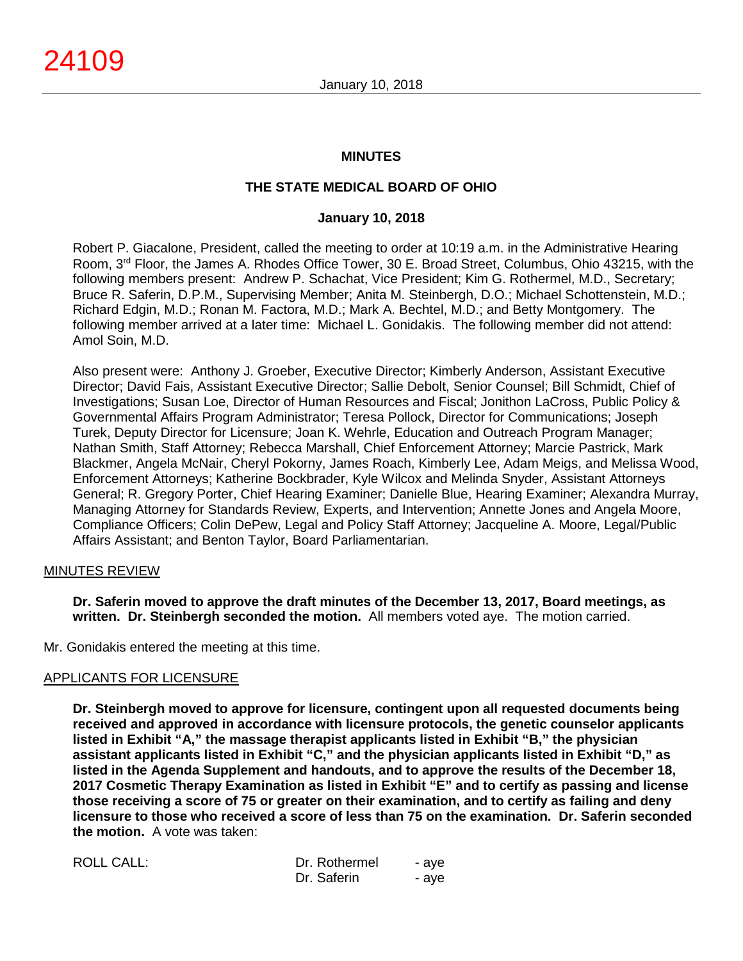### **MINUTES**

## **THE STATE MEDICAL BOARD OF OHIO**

### **January 10, 2018**

Robert P. Giacalone, President, called the meeting to order at 10:19 a.m. in the Administrative Hearing Room, 3rd Floor, the James A. Rhodes Office Tower, 30 E. Broad Street, Columbus, Ohio 43215, with the following members present: Andrew P. Schachat, Vice President; Kim G. Rothermel, M.D., Secretary; Bruce R. Saferin, D.P.M., Supervising Member; Anita M. Steinbergh, D.O.; Michael Schottenstein, M.D.; Richard Edgin, M.D.; Ronan M. Factora, M.D.; Mark A. Bechtel, M.D.; and Betty Montgomery. The following member arrived at a later time: Michael L. Gonidakis. The following member did not attend: Amol Soin, M.D.

Also present were: Anthony J. Groeber, Executive Director; Kimberly Anderson, Assistant Executive Director; David Fais, Assistant Executive Director; Sallie Debolt, Senior Counsel; Bill Schmidt, Chief of Investigations; Susan Loe, Director of Human Resources and Fiscal; Jonithon LaCross, Public Policy & Governmental Affairs Program Administrator; Teresa Pollock, Director for Communications; Joseph Turek, Deputy Director for Licensure; Joan K. Wehrle, Education and Outreach Program Manager; Nathan Smith, Staff Attorney; Rebecca Marshall, Chief Enforcement Attorney; Marcie Pastrick, Mark Blackmer, Angela McNair, Cheryl Pokorny, James Roach, Kimberly Lee, Adam Meigs, and Melissa Wood, Enforcement Attorneys; Katherine Bockbrader, Kyle Wilcox and Melinda Snyder, Assistant Attorneys General; R. Gregory Porter, Chief Hearing Examiner; Danielle Blue, Hearing Examiner; Alexandra Murray, Managing Attorney for Standards Review, Experts, and Intervention; Annette Jones and Angela Moore, Compliance Officers; Colin DePew, Legal and Policy Staff Attorney; Jacqueline A. Moore, Legal/Public Affairs Assistant; and Benton Taylor, Board Parliamentarian.

### MINUTES REVIEW

**Dr. Saferin moved to approve the draft minutes of the December 13, 2017, Board meetings, as written. Dr. Steinbergh seconded the motion.** All members voted aye. The motion carried.

Mr. Gonidakis entered the meeting at this time.

### APPLICANTS FOR LICENSURE

**Dr. Steinbergh moved to approve for licensure, contingent upon all requested documents being received and approved in accordance with licensure protocols, the genetic counselor applicants listed in Exhibit "A," the massage therapist applicants listed in Exhibit "B," the physician assistant applicants listed in Exhibit "C," and the physician applicants listed in Exhibit "D," as listed in the Agenda Supplement and handouts, and to approve the results of the December 18, 2017 Cosmetic Therapy Examination as listed in Exhibit "E" and to certify as passing and license those receiving a score of 75 or greater on their examination, and to certify as failing and deny licensure to those who received a score of less than 75 on the examination. Dr. Saferin seconded the motion.** A vote was taken:

| ROLL CALL: | Dr. Rothermel | - ave |
|------------|---------------|-------|
|            | Dr. Saferin   | - ave |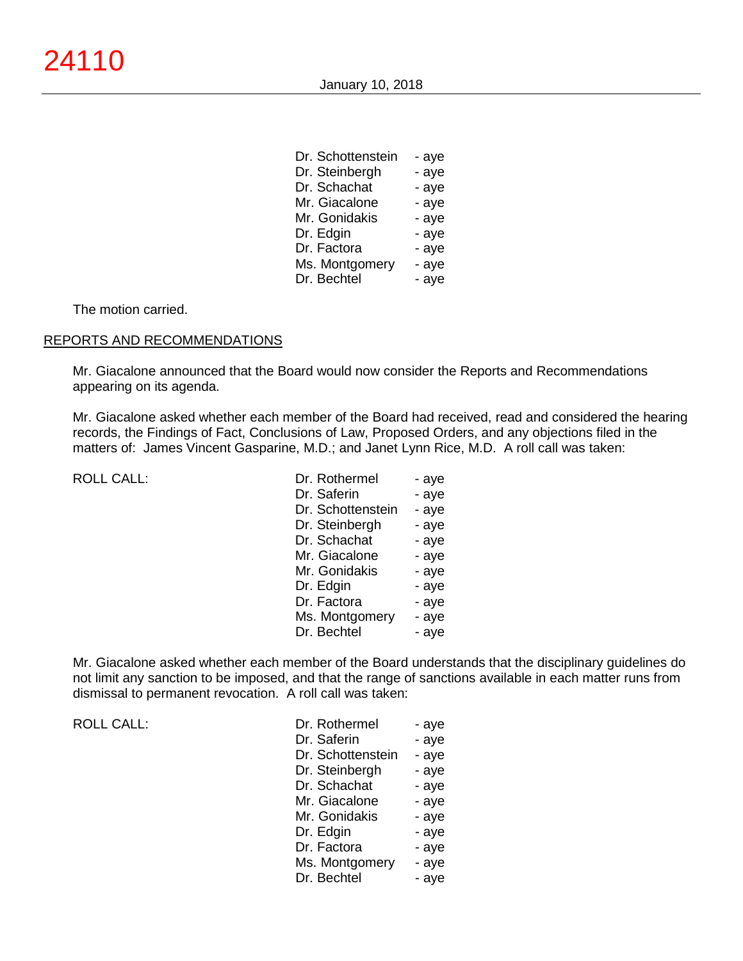Dr. Schottenstein - aye

| Dr. Schottenstein | - ave |
|-------------------|-------|
| Dr. Steinbergh    | - aye |
| Dr. Schachat      | - aye |
| Mr. Giacalone     | - aye |
| Mr. Gonidakis     | - aye |
| Dr. Edgin         | - aye |
| Dr. Factora       | - aye |
| Ms. Montgomery    | - aye |
| Dr. Bechtel       | - aye |

The motion carried.

### REPORTS AND RECOMMENDATIONS

Mr. Giacalone announced that the Board would now consider the Reports and Recommendations appearing on its agenda.

Mr. Giacalone asked whether each member of the Board had received, read and considered the hearing records, the Findings of Fact, Conclusions of Law, Proposed Orders, and any objections filed in the matters of: James Vincent Gasparine, M.D.; and Janet Lynn Rice, M.D. A roll call was taken:

ROLL CALL:

| Dr. Rothermel     | - aye |
|-------------------|-------|
| Dr. Saferin       | - aye |
| Dr. Schottenstein | - aye |
| Dr. Steinbergh    | - aye |
| Dr. Schachat      | - aye |
| Mr. Giacalone     | - aye |
| Mr. Gonidakis     | - aye |
| Dr. Edgin         | - aye |
| Dr. Factora       | - aye |
| Ms. Montgomery    | - aye |
| Dr. Bechtel       | - aye |
|                   |       |

Mr. Giacalone asked whether each member of the Board understands that the disciplinary guidelines do not limit any sanction to be imposed, and that the range of sanctions available in each matter runs from dismissal to permanent revocation. A roll call was taken:

ROLL CALL:

| Dr. Rothermel     | - aye |
|-------------------|-------|
| Dr. Saferin       | - aye |
| Dr. Schottenstein | - aye |
| Dr. Steinbergh    | - aye |
| Dr. Schachat      | - aye |
| Mr. Giacalone     | - aye |
| Mr. Gonidakis     | - aye |
| Dr. Edgin         | - aye |
| Dr. Factora       | - aye |
| Ms. Montgomery    | - aye |
| Dr. Bechtel       | - aye |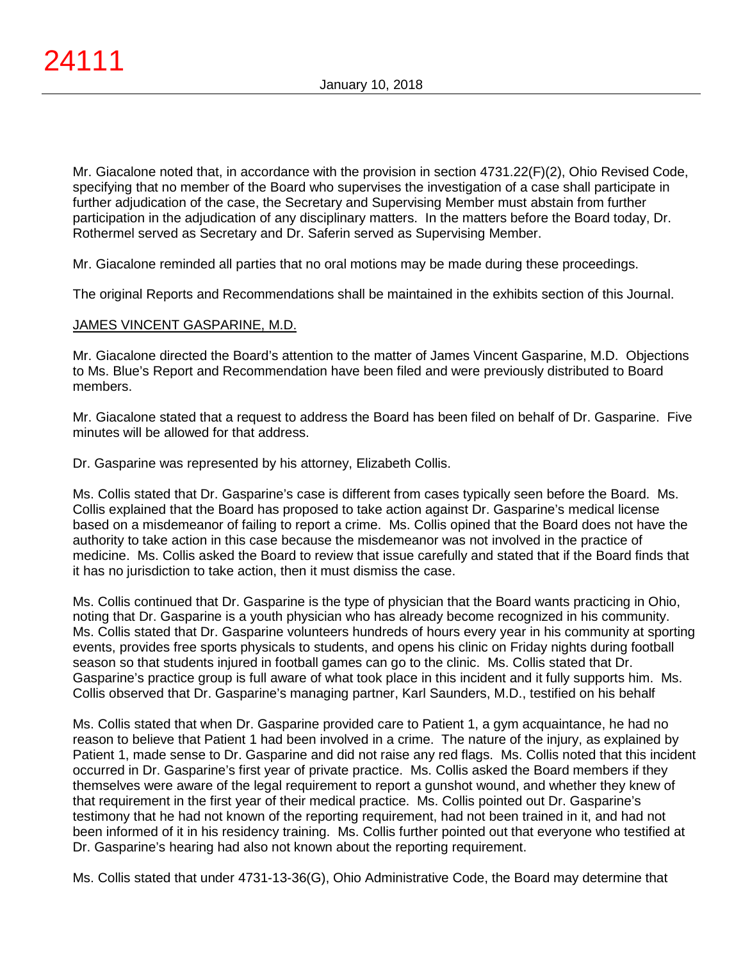Mr. Giacalone noted that, in accordance with the provision in section 4731.22(F)(2), Ohio Revised Code, specifying that no member of the Board who supervises the investigation of a case shall participate in further adjudication of the case, the Secretary and Supervising Member must abstain from further participation in the adjudication of any disciplinary matters. In the matters before the Board today, Dr. Rothermel served as Secretary and Dr. Saferin served as Supervising Member.

Mr. Giacalone reminded all parties that no oral motions may be made during these proceedings.

The original Reports and Recommendations shall be maintained in the exhibits section of this Journal.

# JAMES VINCENT GASPARINE, M.D.

Mr. Giacalone directed the Board's attention to the matter of James Vincent Gasparine, M.D. Objections to Ms. Blue's Report and Recommendation have been filed and were previously distributed to Board members.

Mr. Giacalone stated that a request to address the Board has been filed on behalf of Dr. Gasparine. Five minutes will be allowed for that address.

Dr. Gasparine was represented by his attorney, Elizabeth Collis.

Ms. Collis stated that Dr. Gasparine's case is different from cases typically seen before the Board. Ms. Collis explained that the Board has proposed to take action against Dr. Gasparine's medical license based on a misdemeanor of failing to report a crime. Ms. Collis opined that the Board does not have the authority to take action in this case because the misdemeanor was not involved in the practice of medicine. Ms. Collis asked the Board to review that issue carefully and stated that if the Board finds that it has no jurisdiction to take action, then it must dismiss the case.

Ms. Collis continued that Dr. Gasparine is the type of physician that the Board wants practicing in Ohio, noting that Dr. Gasparine is a youth physician who has already become recognized in his community. Ms. Collis stated that Dr. Gasparine volunteers hundreds of hours every year in his community at sporting events, provides free sports physicals to students, and opens his clinic on Friday nights during football season so that students injured in football games can go to the clinic. Ms. Collis stated that Dr. Gasparine's practice group is full aware of what took place in this incident and it fully supports him. Ms. Collis observed that Dr. Gasparine's managing partner, Karl Saunders, M.D., testified on his behalf

Ms. Collis stated that when Dr. Gasparine provided care to Patient 1, a gym acquaintance, he had no reason to believe that Patient 1 had been involved in a crime. The nature of the injury, as explained by Patient 1, made sense to Dr. Gasparine and did not raise any red flags. Ms. Collis noted that this incident occurred in Dr. Gasparine's first year of private practice. Ms. Collis asked the Board members if they themselves were aware of the legal requirement to report a gunshot wound, and whether they knew of that requirement in the first year of their medical practice. Ms. Collis pointed out Dr. Gasparine's testimony that he had not known of the reporting requirement, had not been trained in it, and had not been informed of it in his residency training. Ms. Collis further pointed out that everyone who testified at Dr. Gasparine's hearing had also not known about the reporting requirement.

Ms. Collis stated that under 4731-13-36(G), Ohio Administrative Code, the Board may determine that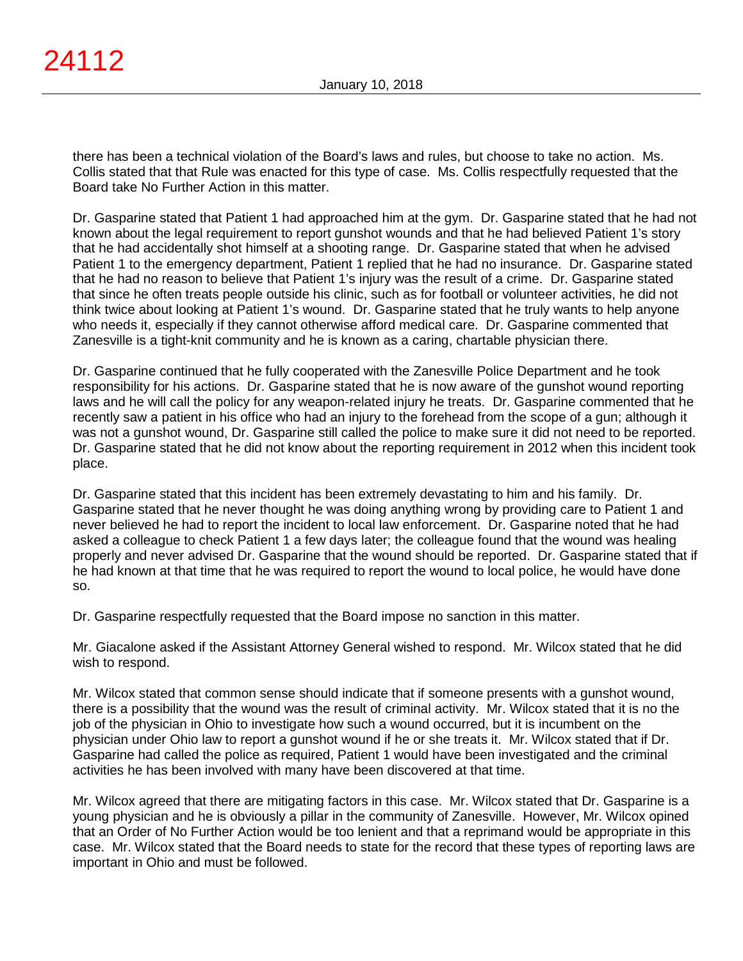there has been a technical violation of the Board's laws and rules, but choose to take no action. Ms. Collis stated that that Rule was enacted for this type of case. Ms. Collis respectfully requested that the Board take No Further Action in this matter.

Dr. Gasparine stated that Patient 1 had approached him at the gym. Dr. Gasparine stated that he had not known about the legal requirement to report gunshot wounds and that he had believed Patient 1's story that he had accidentally shot himself at a shooting range. Dr. Gasparine stated that when he advised Patient 1 to the emergency department, Patient 1 replied that he had no insurance. Dr. Gasparine stated that he had no reason to believe that Patient 1's injury was the result of a crime. Dr. Gasparine stated that since he often treats people outside his clinic, such as for football or volunteer activities, he did not think twice about looking at Patient 1's wound. Dr. Gasparine stated that he truly wants to help anyone who needs it, especially if they cannot otherwise afford medical care. Dr. Gasparine commented that Zanesville is a tight-knit community and he is known as a caring, chartable physician there.

Dr. Gasparine continued that he fully cooperated with the Zanesville Police Department and he took responsibility for his actions. Dr. Gasparine stated that he is now aware of the gunshot wound reporting laws and he will call the policy for any weapon-related injury he treats. Dr. Gasparine commented that he recently saw a patient in his office who had an injury to the forehead from the scope of a gun; although it was not a gunshot wound, Dr. Gasparine still called the police to make sure it did not need to be reported. Dr. Gasparine stated that he did not know about the reporting requirement in 2012 when this incident took place.

Dr. Gasparine stated that this incident has been extremely devastating to him and his family. Dr. Gasparine stated that he never thought he was doing anything wrong by providing care to Patient 1 and never believed he had to report the incident to local law enforcement. Dr. Gasparine noted that he had asked a colleague to check Patient 1 a few days later; the colleague found that the wound was healing properly and never advised Dr. Gasparine that the wound should be reported. Dr. Gasparine stated that if he had known at that time that he was required to report the wound to local police, he would have done so.

Dr. Gasparine respectfully requested that the Board impose no sanction in this matter.

Mr. Giacalone asked if the Assistant Attorney General wished to respond. Mr. Wilcox stated that he did wish to respond.

Mr. Wilcox stated that common sense should indicate that if someone presents with a gunshot wound, there is a possibility that the wound was the result of criminal activity. Mr. Wilcox stated that it is no the job of the physician in Ohio to investigate how such a wound occurred, but it is incumbent on the physician under Ohio law to report a gunshot wound if he or she treats it. Mr. Wilcox stated that if Dr. Gasparine had called the police as required, Patient 1 would have been investigated and the criminal activities he has been involved with many have been discovered at that time.

Mr. Wilcox agreed that there are mitigating factors in this case. Mr. Wilcox stated that Dr. Gasparine is a young physician and he is obviously a pillar in the community of Zanesville. However, Mr. Wilcox opined that an Order of No Further Action would be too lenient and that a reprimand would be appropriate in this case. Mr. Wilcox stated that the Board needs to state for the record that these types of reporting laws are important in Ohio and must be followed.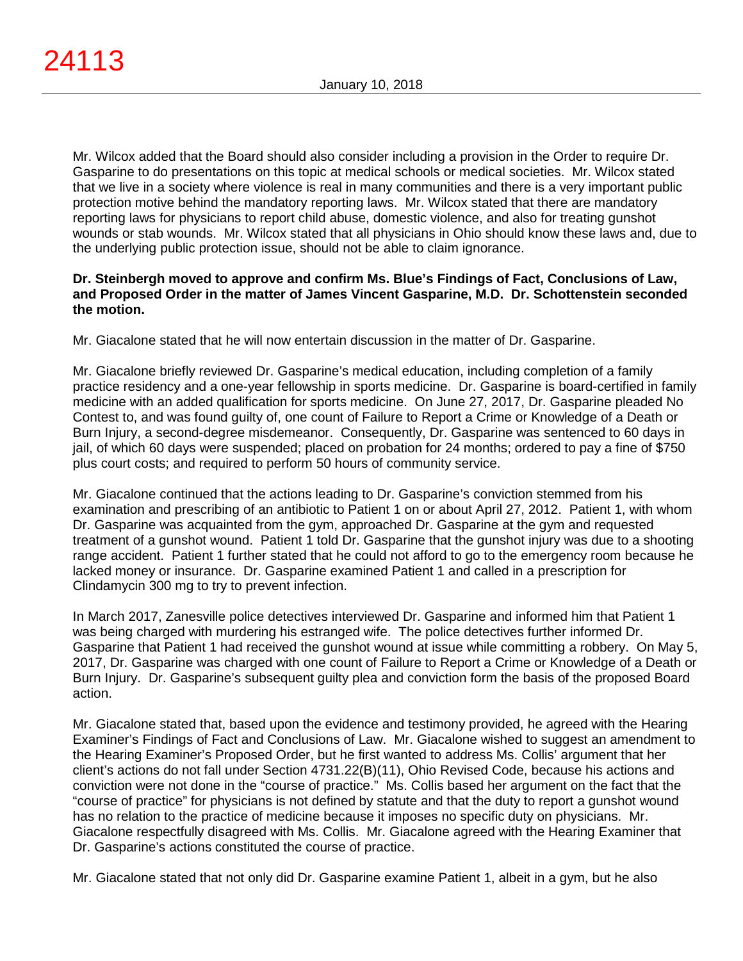Mr. Wilcox added that the Board should also consider including a provision in the Order to require Dr. Gasparine to do presentations on this topic at medical schools or medical societies. Mr. Wilcox stated that we live in a society where violence is real in many communities and there is a very important public protection motive behind the mandatory reporting laws. Mr. Wilcox stated that there are mandatory reporting laws for physicians to report child abuse, domestic violence, and also for treating gunshot wounds or stab wounds. Mr. Wilcox stated that all physicians in Ohio should know these laws and, due to the underlying public protection issue, should not be able to claim ignorance.

## **Dr. Steinbergh moved to approve and confirm Ms. Blue's Findings of Fact, Conclusions of Law, and Proposed Order in the matter of James Vincent Gasparine, M.D. Dr. Schottenstein seconded the motion.**

Mr. Giacalone stated that he will now entertain discussion in the matter of Dr. Gasparine.

Mr. Giacalone briefly reviewed Dr. Gasparine's medical education, including completion of a family practice residency and a one-year fellowship in sports medicine. Dr. Gasparine is board-certified in family medicine with an added qualification for sports medicine. On June 27, 2017, Dr. Gasparine pleaded No Contest to, and was found guilty of, one count of Failure to Report a Crime or Knowledge of a Death or Burn Injury, a second-degree misdemeanor. Consequently, Dr. Gasparine was sentenced to 60 days in jail, of which 60 days were suspended; placed on probation for 24 months; ordered to pay a fine of \$750 plus court costs; and required to perform 50 hours of community service.

Mr. Giacalone continued that the actions leading to Dr. Gasparine's conviction stemmed from his examination and prescribing of an antibiotic to Patient 1 on or about April 27, 2012. Patient 1, with whom Dr. Gasparine was acquainted from the gym, approached Dr. Gasparine at the gym and requested treatment of a gunshot wound. Patient 1 told Dr. Gasparine that the gunshot injury was due to a shooting range accident. Patient 1 further stated that he could not afford to go to the emergency room because he lacked money or insurance. Dr. Gasparine examined Patient 1 and called in a prescription for Clindamycin 300 mg to try to prevent infection.

In March 2017, Zanesville police detectives interviewed Dr. Gasparine and informed him that Patient 1 was being charged with murdering his estranged wife. The police detectives further informed Dr. Gasparine that Patient 1 had received the gunshot wound at issue while committing a robbery. On May 5, 2017, Dr. Gasparine was charged with one count of Failure to Report a Crime or Knowledge of a Death or Burn Injury. Dr. Gasparine's subsequent guilty plea and conviction form the basis of the proposed Board action.

Mr. Giacalone stated that, based upon the evidence and testimony provided, he agreed with the Hearing Examiner's Findings of Fact and Conclusions of Law. Mr. Giacalone wished to suggest an amendment to the Hearing Examiner's Proposed Order, but he first wanted to address Ms. Collis' argument that her client's actions do not fall under Section 4731.22(B)(11), Ohio Revised Code, because his actions and conviction were not done in the "course of practice." Ms. Collis based her argument on the fact that the "course of practice" for physicians is not defined by statute and that the duty to report a gunshot wound has no relation to the practice of medicine because it imposes no specific duty on physicians. Mr. Giacalone respectfully disagreed with Ms. Collis. Mr. Giacalone agreed with the Hearing Examiner that Dr. Gasparine's actions constituted the course of practice.

Mr. Giacalone stated that not only did Dr. Gasparine examine Patient 1, albeit in a gym, but he also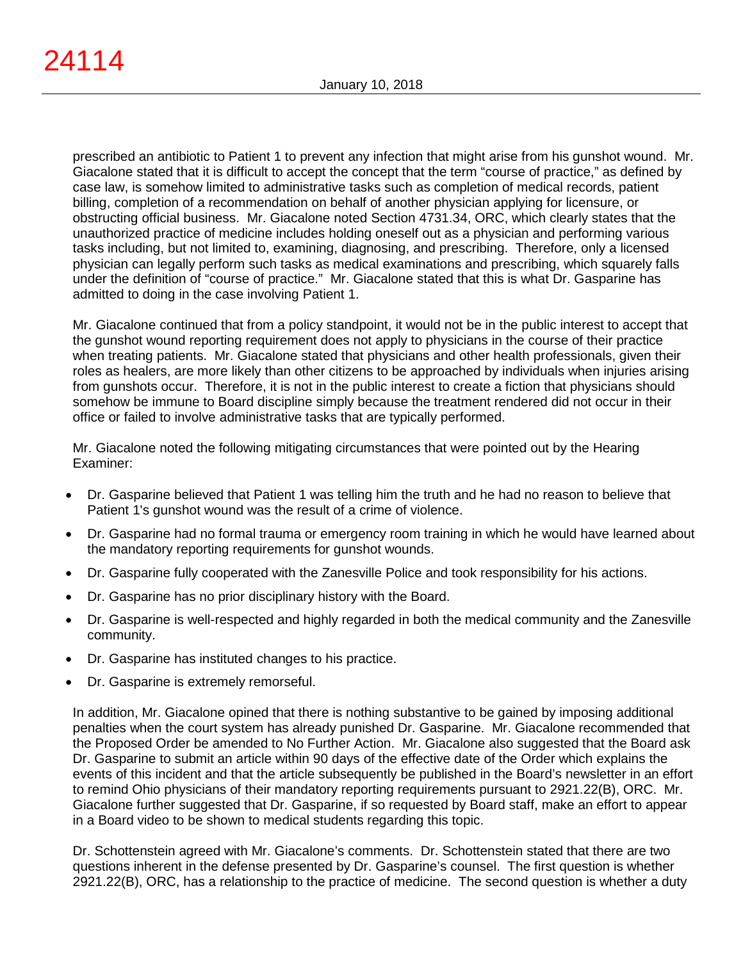prescribed an antibiotic to Patient 1 to prevent any infection that might arise from his gunshot wound. Mr. Giacalone stated that it is difficult to accept the concept that the term "course of practice," as defined by case law, is somehow limited to administrative tasks such as completion of medical records, patient billing, completion of a recommendation on behalf of another physician applying for licensure, or obstructing official business. Mr. Giacalone noted Section 4731.34, ORC, which clearly states that the unauthorized practice of medicine includes holding oneself out as a physician and performing various tasks including, but not limited to, examining, diagnosing, and prescribing. Therefore, only a licensed physician can legally perform such tasks as medical examinations and prescribing, which squarely falls under the definition of "course of practice." Mr. Giacalone stated that this is what Dr. Gasparine has admitted to doing in the case involving Patient 1.

Mr. Giacalone continued that from a policy standpoint, it would not be in the public interest to accept that the gunshot wound reporting requirement does not apply to physicians in the course of their practice when treating patients. Mr. Giacalone stated that physicians and other health professionals, given their roles as healers, are more likely than other citizens to be approached by individuals when injuries arising from gunshots occur. Therefore, it is not in the public interest to create a fiction that physicians should somehow be immune to Board discipline simply because the treatment rendered did not occur in their office or failed to involve administrative tasks that are typically performed.

Mr. Giacalone noted the following mitigating circumstances that were pointed out by the Hearing Examiner:

- Dr. Gasparine believed that Patient 1 was telling him the truth and he had no reason to believe that Patient 1's gunshot wound was the result of a crime of violence.
- Dr. Gasparine had no formal trauma or emergency room training in which he would have learned about the mandatory reporting requirements for gunshot wounds.
- Dr. Gasparine fully cooperated with the Zanesville Police and took responsibility for his actions.
- Dr. Gasparine has no prior disciplinary history with the Board.
- Dr. Gasparine is well-respected and highly regarded in both the medical community and the Zanesville community.
- Dr. Gasparine has instituted changes to his practice.
- Dr. Gasparine is extremely remorseful.

In addition, Mr. Giacalone opined that there is nothing substantive to be gained by imposing additional penalties when the court system has already punished Dr. Gasparine. Mr. Giacalone recommended that the Proposed Order be amended to No Further Action. Mr. Giacalone also suggested that the Board ask Dr. Gasparine to submit an article within 90 days of the effective date of the Order which explains the events of this incident and that the article subsequently be published in the Board's newsletter in an effort to remind Ohio physicians of their mandatory reporting requirements pursuant to 2921.22(B), ORC. Mr. Giacalone further suggested that Dr. Gasparine, if so requested by Board staff, make an effort to appear in a Board video to be shown to medical students regarding this topic.

Dr. Schottenstein agreed with Mr. Giacalone's comments. Dr. Schottenstein stated that there are two questions inherent in the defense presented by Dr. Gasparine's counsel. The first question is whether 2921.22(B), ORC, has a relationship to the practice of medicine. The second question is whether a duty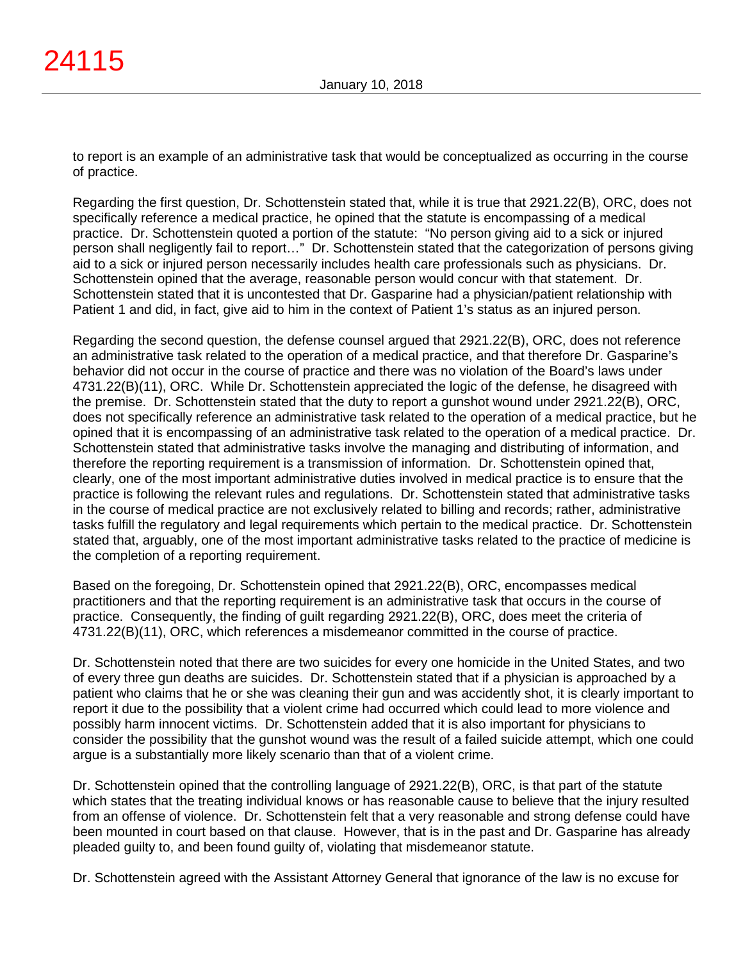to report is an example of an administrative task that would be conceptualized as occurring in the course of practice.

Regarding the first question, Dr. Schottenstein stated that, while it is true that 2921.22(B), ORC, does not specifically reference a medical practice, he opined that the statute is encompassing of a medical practice. Dr. Schottenstein quoted a portion of the statute: "No person giving aid to a sick or injured person shall negligently fail to report…" Dr. Schottenstein stated that the categorization of persons giving aid to a sick or injured person necessarily includes health care professionals such as physicians. Dr. Schottenstein opined that the average, reasonable person would concur with that statement. Dr. Schottenstein stated that it is uncontested that Dr. Gasparine had a physician/patient relationship with Patient 1 and did, in fact, give aid to him in the context of Patient 1's status as an injured person.

Regarding the second question, the defense counsel argued that 2921.22(B), ORC, does not reference an administrative task related to the operation of a medical practice, and that therefore Dr. Gasparine's behavior did not occur in the course of practice and there was no violation of the Board's laws under 4731.22(B)(11), ORC. While Dr. Schottenstein appreciated the logic of the defense, he disagreed with the premise. Dr. Schottenstein stated that the duty to report a gunshot wound under 2921.22(B), ORC, does not specifically reference an administrative task related to the operation of a medical practice, but he opined that it is encompassing of an administrative task related to the operation of a medical practice. Dr. Schottenstein stated that administrative tasks involve the managing and distributing of information, and therefore the reporting requirement is a transmission of information. Dr. Schottenstein opined that, clearly, one of the most important administrative duties involved in medical practice is to ensure that the practice is following the relevant rules and regulations. Dr. Schottenstein stated that administrative tasks in the course of medical practice are not exclusively related to billing and records; rather, administrative tasks fulfill the regulatory and legal requirements which pertain to the medical practice. Dr. Schottenstein stated that, arguably, one of the most important administrative tasks related to the practice of medicine is the completion of a reporting requirement.

Based on the foregoing, Dr. Schottenstein opined that 2921.22(B), ORC, encompasses medical practitioners and that the reporting requirement is an administrative task that occurs in the course of practice. Consequently, the finding of guilt regarding 2921.22(B), ORC, does meet the criteria of 4731.22(B)(11), ORC, which references a misdemeanor committed in the course of practice.

Dr. Schottenstein noted that there are two suicides for every one homicide in the United States, and two of every three gun deaths are suicides. Dr. Schottenstein stated that if a physician is approached by a patient who claims that he or she was cleaning their gun and was accidently shot, it is clearly important to report it due to the possibility that a violent crime had occurred which could lead to more violence and possibly harm innocent victims. Dr. Schottenstein added that it is also important for physicians to consider the possibility that the gunshot wound was the result of a failed suicide attempt, which one could argue is a substantially more likely scenario than that of a violent crime.

Dr. Schottenstein opined that the controlling language of 2921.22(B), ORC, is that part of the statute which states that the treating individual knows or has reasonable cause to believe that the injury resulted from an offense of violence. Dr. Schottenstein felt that a very reasonable and strong defense could have been mounted in court based on that clause. However, that is in the past and Dr. Gasparine has already pleaded guilty to, and been found guilty of, violating that misdemeanor statute.

Dr. Schottenstein agreed with the Assistant Attorney General that ignorance of the law is no excuse for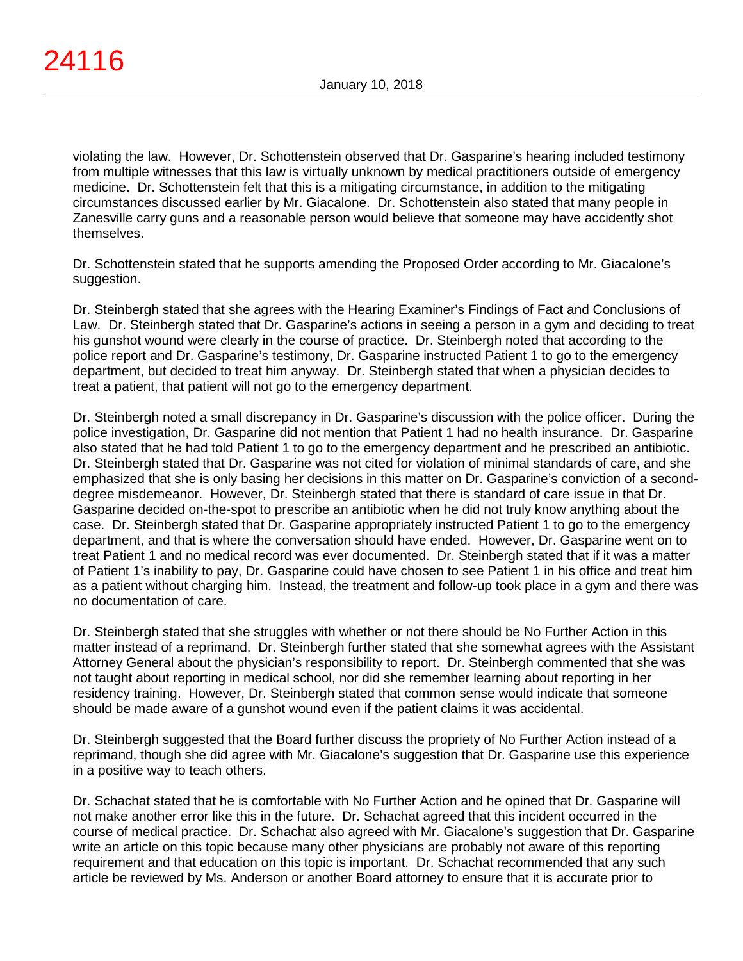violating the law. However, Dr. Schottenstein observed that Dr. Gasparine's hearing included testimony from multiple witnesses that this law is virtually unknown by medical practitioners outside of emergency medicine. Dr. Schottenstein felt that this is a mitigating circumstance, in addition to the mitigating circumstances discussed earlier by Mr. Giacalone. Dr. Schottenstein also stated that many people in Zanesville carry guns and a reasonable person would believe that someone may have accidently shot themselves.

Dr. Schottenstein stated that he supports amending the Proposed Order according to Mr. Giacalone's suggestion.

Dr. Steinbergh stated that she agrees with the Hearing Examiner's Findings of Fact and Conclusions of Law. Dr. Steinbergh stated that Dr. Gasparine's actions in seeing a person in a gym and deciding to treat his gunshot wound were clearly in the course of practice. Dr. Steinbergh noted that according to the police report and Dr. Gasparine's testimony, Dr. Gasparine instructed Patient 1 to go to the emergency department, but decided to treat him anyway. Dr. Steinbergh stated that when a physician decides to treat a patient, that patient will not go to the emergency department.

Dr. Steinbergh noted a small discrepancy in Dr. Gasparine's discussion with the police officer. During the police investigation, Dr. Gasparine did not mention that Patient 1 had no health insurance. Dr. Gasparine also stated that he had told Patient 1 to go to the emergency department and he prescribed an antibiotic. Dr. Steinbergh stated that Dr. Gasparine was not cited for violation of minimal standards of care, and she emphasized that she is only basing her decisions in this matter on Dr. Gasparine's conviction of a seconddegree misdemeanor. However, Dr. Steinbergh stated that there is standard of care issue in that Dr. Gasparine decided on-the-spot to prescribe an antibiotic when he did not truly know anything about the case. Dr. Steinbergh stated that Dr. Gasparine appropriately instructed Patient 1 to go to the emergency department, and that is where the conversation should have ended. However, Dr. Gasparine went on to treat Patient 1 and no medical record was ever documented. Dr. Steinbergh stated that if it was a matter of Patient 1's inability to pay, Dr. Gasparine could have chosen to see Patient 1 in his office and treat him as a patient without charging him. Instead, the treatment and follow-up took place in a gym and there was no documentation of care.

Dr. Steinbergh stated that she struggles with whether or not there should be No Further Action in this matter instead of a reprimand. Dr. Steinbergh further stated that she somewhat agrees with the Assistant Attorney General about the physician's responsibility to report. Dr. Steinbergh commented that she was not taught about reporting in medical school, nor did she remember learning about reporting in her residency training. However, Dr. Steinbergh stated that common sense would indicate that someone should be made aware of a gunshot wound even if the patient claims it was accidental.

Dr. Steinbergh suggested that the Board further discuss the propriety of No Further Action instead of a reprimand, though she did agree with Mr. Giacalone's suggestion that Dr. Gasparine use this experience in a positive way to teach others.

Dr. Schachat stated that he is comfortable with No Further Action and he opined that Dr. Gasparine will not make another error like this in the future. Dr. Schachat agreed that this incident occurred in the course of medical practice. Dr. Schachat also agreed with Mr. Giacalone's suggestion that Dr. Gasparine write an article on this topic because many other physicians are probably not aware of this reporting requirement and that education on this topic is important. Dr. Schachat recommended that any such article be reviewed by Ms. Anderson or another Board attorney to ensure that it is accurate prior to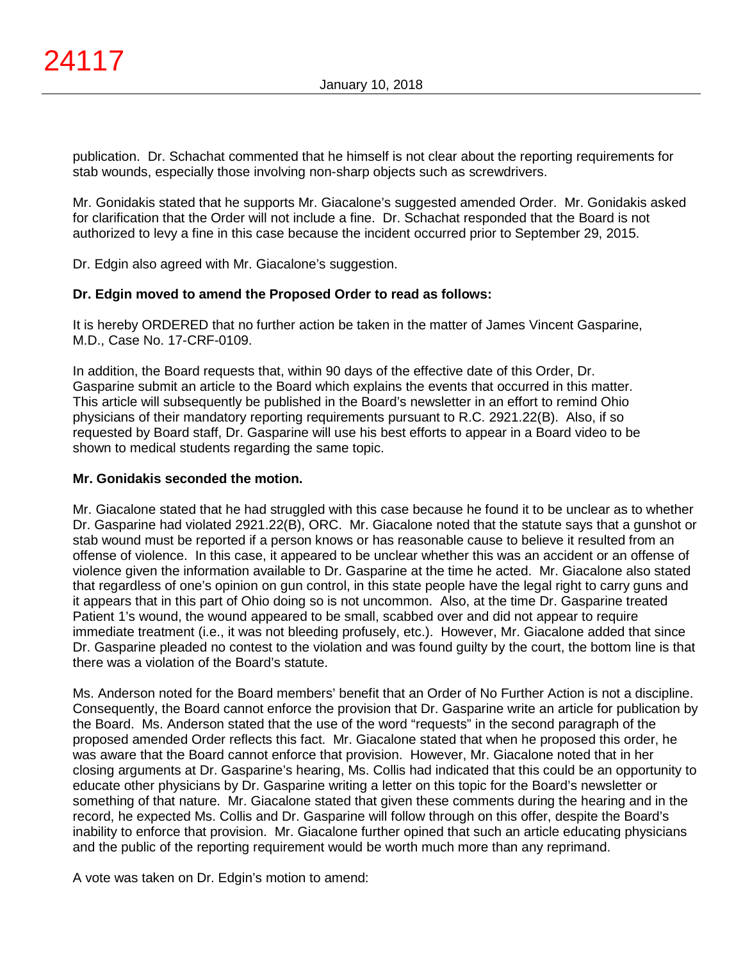publication. Dr. Schachat commented that he himself is not clear about the reporting requirements for stab wounds, especially those involving non-sharp objects such as screwdrivers.

Mr. Gonidakis stated that he supports Mr. Giacalone's suggested amended Order. Mr. Gonidakis asked for clarification that the Order will not include a fine. Dr. Schachat responded that the Board is not authorized to levy a fine in this case because the incident occurred prior to September 29, 2015.

Dr. Edgin also agreed with Mr. Giacalone's suggestion.

# **Dr. Edgin moved to amend the Proposed Order to read as follows:**

It is hereby ORDERED that no further action be taken in the matter of James Vincent Gasparine, M.D., Case No. 17-CRF-0109.

In addition, the Board requests that, within 90 days of the effective date of this Order, Dr. Gasparine submit an article to the Board which explains the events that occurred in this matter. This article will subsequently be published in the Board's newsletter in an effort to remind Ohio physicians of their mandatory reporting requirements pursuant to R.C. 2921.22(B). Also, if so requested by Board staff, Dr. Gasparine will use his best efforts to appear in a Board video to be shown to medical students regarding the same topic.

# **Mr. Gonidakis seconded the motion.**

Mr. Giacalone stated that he had struggled with this case because he found it to be unclear as to whether Dr. Gasparine had violated 2921.22(B), ORC. Mr. Giacalone noted that the statute says that a gunshot or stab wound must be reported if a person knows or has reasonable cause to believe it resulted from an offense of violence. In this case, it appeared to be unclear whether this was an accident or an offense of violence given the information available to Dr. Gasparine at the time he acted. Mr. Giacalone also stated that regardless of one's opinion on gun control, in this state people have the legal right to carry guns and it appears that in this part of Ohio doing so is not uncommon. Also, at the time Dr. Gasparine treated Patient 1's wound, the wound appeared to be small, scabbed over and did not appear to require immediate treatment (i.e., it was not bleeding profusely, etc.). However, Mr. Giacalone added that since Dr. Gasparine pleaded no contest to the violation and was found guilty by the court, the bottom line is that there was a violation of the Board's statute.

Ms. Anderson noted for the Board members' benefit that an Order of No Further Action is not a discipline. Consequently, the Board cannot enforce the provision that Dr. Gasparine write an article for publication by the Board. Ms. Anderson stated that the use of the word "requests" in the second paragraph of the proposed amended Order reflects this fact. Mr. Giacalone stated that when he proposed this order, he was aware that the Board cannot enforce that provision. However, Mr. Giacalone noted that in her closing arguments at Dr. Gasparine's hearing, Ms. Collis had indicated that this could be an opportunity to educate other physicians by Dr. Gasparine writing a letter on this topic for the Board's newsletter or something of that nature. Mr. Giacalone stated that given these comments during the hearing and in the record, he expected Ms. Collis and Dr. Gasparine will follow through on this offer, despite the Board's inability to enforce that provision. Mr. Giacalone further opined that such an article educating physicians and the public of the reporting requirement would be worth much more than any reprimand.

A vote was taken on Dr. Edgin's motion to amend: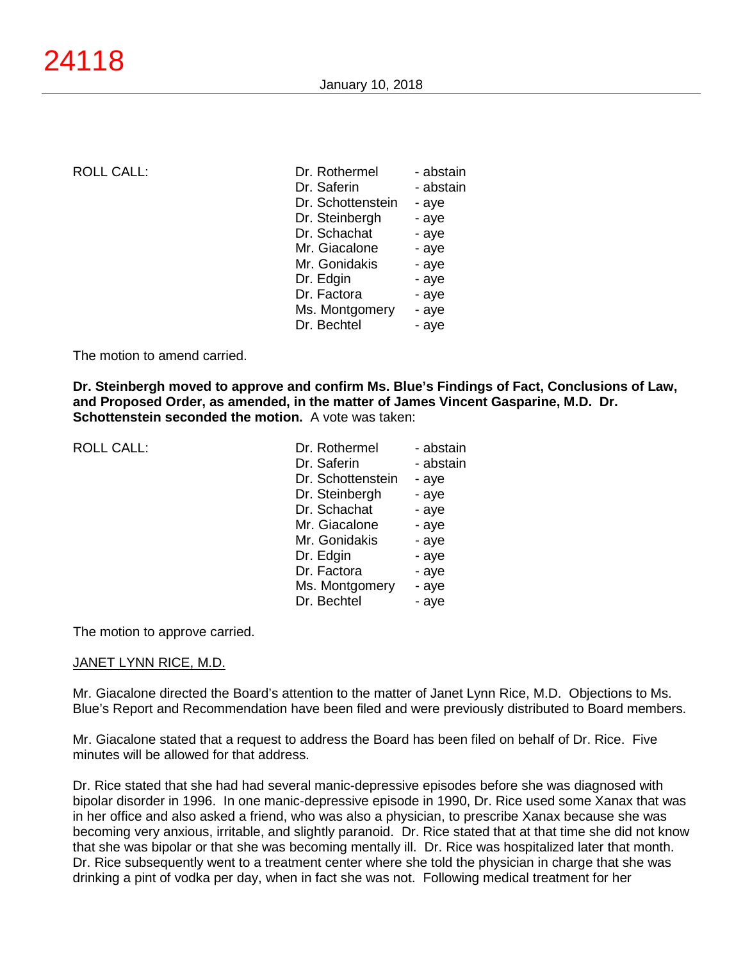### ROLL CALL:

| Dr. Rothermel     | - abstain |
|-------------------|-----------|
| Dr. Saferin       | - abstain |
| Dr. Schottenstein | - aye     |
| Dr. Steinbergh    | - aye     |
| Dr. Schachat      | - aye     |
| Mr. Giacalone     | - aye     |
| Mr. Gonidakis     | - aye     |
| Dr. Edgin         | - aye     |
| Dr. Factora       | - aye     |
| Ms. Montgomery    | - aye     |
| Dr. Bechtel       | - aye     |

The motion to amend carried.

**Dr. Steinbergh moved to approve and confirm Ms. Blue's Findings of Fact, Conclusions of Law, and Proposed Order, as amended, in the matter of James Vincent Gasparine, M.D. Dr. Schottenstein seconded the motion.** A vote was taken:

| Dr. Rothermel     | - abstain |
|-------------------|-----------|
| Dr. Saferin       | - abstain |
| Dr. Schottenstein | - aye     |
| Dr. Steinbergh    | - aye     |
| Dr. Schachat      | - aye     |
| Mr. Giacalone     | - aye     |
| Mr. Gonidakis     | - aye     |
| Dr. Edgin         | - aye     |
| Dr. Factora       | - aye     |
| Ms. Montgomery    | - aye     |
| Dr. Bechtel       | - aye     |
|                   |           |

The motion to approve carried.

### JANET LYNN RICE, M.D.

Mr. Giacalone directed the Board's attention to the matter of Janet Lynn Rice, M.D. Objections to Ms. Blue's Report and Recommendation have been filed and were previously distributed to Board members.

Mr. Giacalone stated that a request to address the Board has been filed on behalf of Dr. Rice. Five minutes will be allowed for that address.

Dr. Rice stated that she had had several manic-depressive episodes before she was diagnosed with bipolar disorder in 1996. In one manic-depressive episode in 1990, Dr. Rice used some Xanax that was in her office and also asked a friend, who was also a physician, to prescribe Xanax because she was becoming very anxious, irritable, and slightly paranoid. Dr. Rice stated that at that time she did not know that she was bipolar or that she was becoming mentally ill. Dr. Rice was hospitalized later that month. Dr. Rice subsequently went to a treatment center where she told the physician in charge that she was drinking a pint of vodka per day, when in fact she was not. Following medical treatment for her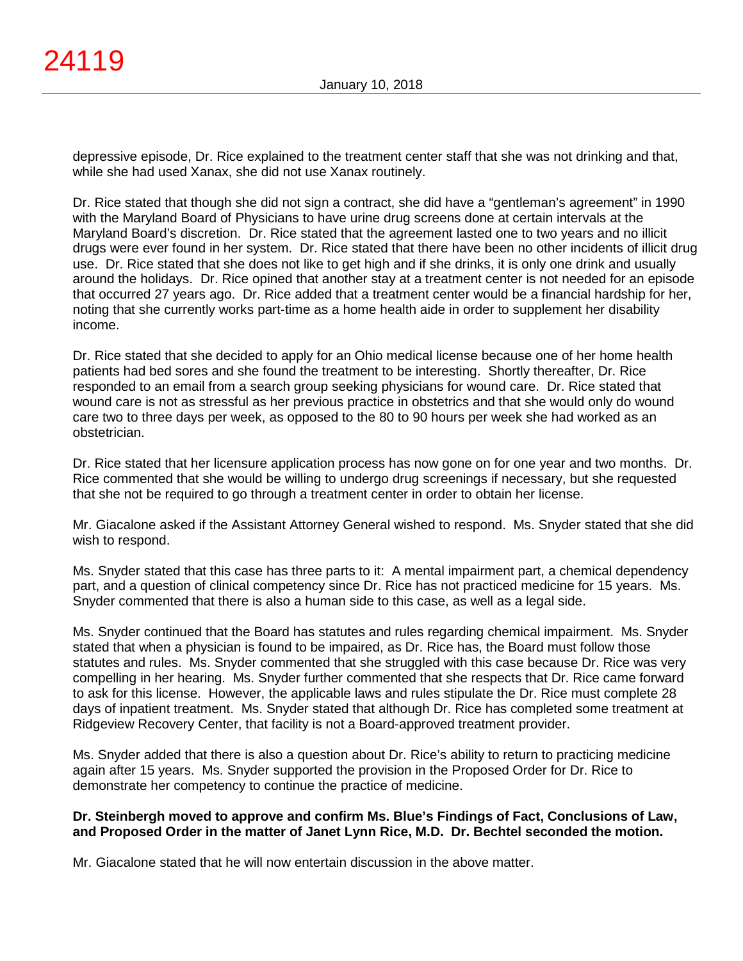depressive episode, Dr. Rice explained to the treatment center staff that she was not drinking and that, while she had used Xanax, she did not use Xanax routinely.

Dr. Rice stated that though she did not sign a contract, she did have a "gentleman's agreement" in 1990 with the Maryland Board of Physicians to have urine drug screens done at certain intervals at the Maryland Board's discretion. Dr. Rice stated that the agreement lasted one to two years and no illicit drugs were ever found in her system. Dr. Rice stated that there have been no other incidents of illicit drug use. Dr. Rice stated that she does not like to get high and if she drinks, it is only one drink and usually around the holidays. Dr. Rice opined that another stay at a treatment center is not needed for an episode that occurred 27 years ago. Dr. Rice added that a treatment center would be a financial hardship for her, noting that she currently works part-time as a home health aide in order to supplement her disability income.

Dr. Rice stated that she decided to apply for an Ohio medical license because one of her home health patients had bed sores and she found the treatment to be interesting. Shortly thereafter, Dr. Rice responded to an email from a search group seeking physicians for wound care. Dr. Rice stated that wound care is not as stressful as her previous practice in obstetrics and that she would only do wound care two to three days per week, as opposed to the 80 to 90 hours per week she had worked as an obstetrician.

Dr. Rice stated that her licensure application process has now gone on for one year and two months. Dr. Rice commented that she would be willing to undergo drug screenings if necessary, but she requested that she not be required to go through a treatment center in order to obtain her license.

Mr. Giacalone asked if the Assistant Attorney General wished to respond. Ms. Snyder stated that she did wish to respond.

Ms. Snyder stated that this case has three parts to it: A mental impairment part, a chemical dependency part, and a question of clinical competency since Dr. Rice has not practiced medicine for 15 years. Ms. Snyder commented that there is also a human side to this case, as well as a legal side.

Ms. Snyder continued that the Board has statutes and rules regarding chemical impairment. Ms. Snyder stated that when a physician is found to be impaired, as Dr. Rice has, the Board must follow those statutes and rules. Ms. Snyder commented that she struggled with this case because Dr. Rice was very compelling in her hearing. Ms. Snyder further commented that she respects that Dr. Rice came forward to ask for this license. However, the applicable laws and rules stipulate the Dr. Rice must complete 28 days of inpatient treatment. Ms. Snyder stated that although Dr. Rice has completed some treatment at Ridgeview Recovery Center, that facility is not a Board-approved treatment provider.

Ms. Snyder added that there is also a question about Dr. Rice's ability to return to practicing medicine again after 15 years. Ms. Snyder supported the provision in the Proposed Order for Dr. Rice to demonstrate her competency to continue the practice of medicine.

# **Dr. Steinbergh moved to approve and confirm Ms. Blue's Findings of Fact, Conclusions of Law, and Proposed Order in the matter of Janet Lynn Rice, M.D. Dr. Bechtel seconded the motion.**

Mr. Giacalone stated that he will now entertain discussion in the above matter.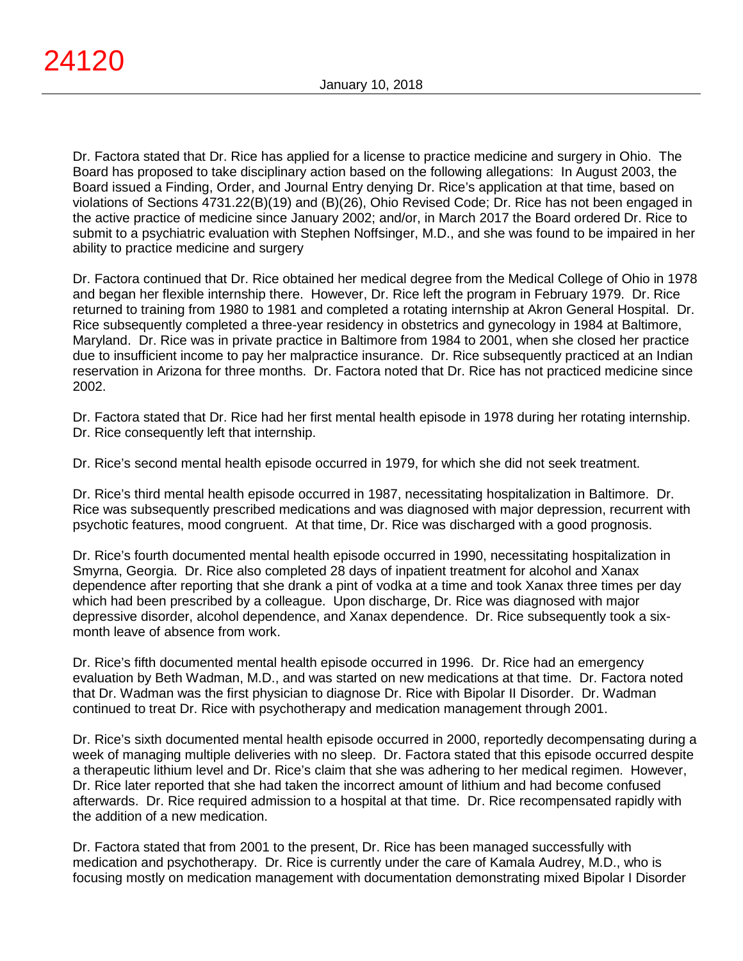Dr. Factora stated that Dr. Rice has applied for a license to practice medicine and surgery in Ohio. The Board has proposed to take disciplinary action based on the following allegations: In August 2003, the Board issued a Finding, Order, and Journal Entry denying Dr. Rice's application at that time, based on violations of Sections 4731.22(B)(19) and (B)(26), Ohio Revised Code; Dr. Rice has not been engaged in the active practice of medicine since January 2002; and/or, in March 2017 the Board ordered Dr. Rice to submit to a psychiatric evaluation with Stephen Noffsinger, M.D., and she was found to be impaired in her ability to practice medicine and surgery

Dr. Factora continued that Dr. Rice obtained her medical degree from the Medical College of Ohio in 1978 and began her flexible internship there. However, Dr. Rice left the program in February 1979. Dr. Rice returned to training from 1980 to 1981 and completed a rotating internship at Akron General Hospital. Dr. Rice subsequently completed a three-year residency in obstetrics and gynecology in 1984 at Baltimore, Maryland. Dr. Rice was in private practice in Baltimore from 1984 to 2001, when she closed her practice due to insufficient income to pay her malpractice insurance. Dr. Rice subsequently practiced at an Indian reservation in Arizona for three months. Dr. Factora noted that Dr. Rice has not practiced medicine since 2002.

Dr. Factora stated that Dr. Rice had her first mental health episode in 1978 during her rotating internship. Dr. Rice consequently left that internship.

Dr. Rice's second mental health episode occurred in 1979, for which she did not seek treatment.

Dr. Rice's third mental health episode occurred in 1987, necessitating hospitalization in Baltimore. Dr. Rice was subsequently prescribed medications and was diagnosed with major depression, recurrent with psychotic features, mood congruent. At that time, Dr. Rice was discharged with a good prognosis.

Dr. Rice's fourth documented mental health episode occurred in 1990, necessitating hospitalization in Smyrna, Georgia. Dr. Rice also completed 28 days of inpatient treatment for alcohol and Xanax dependence after reporting that she drank a pint of vodka at a time and took Xanax three times per day which had been prescribed by a colleague. Upon discharge, Dr. Rice was diagnosed with major depressive disorder, alcohol dependence, and Xanax dependence. Dr. Rice subsequently took a sixmonth leave of absence from work.

Dr. Rice's fifth documented mental health episode occurred in 1996. Dr. Rice had an emergency evaluation by Beth Wadman, M.D., and was started on new medications at that time. Dr. Factora noted that Dr. Wadman was the first physician to diagnose Dr. Rice with Bipolar II Disorder. Dr. Wadman continued to treat Dr. Rice with psychotherapy and medication management through 2001.

Dr. Rice's sixth documented mental health episode occurred in 2000, reportedly decompensating during a week of managing multiple deliveries with no sleep. Dr. Factora stated that this episode occurred despite a therapeutic lithium level and Dr. Rice's claim that she was adhering to her medical regimen. However, Dr. Rice later reported that she had taken the incorrect amount of lithium and had become confused afterwards. Dr. Rice required admission to a hospital at that time. Dr. Rice recompensated rapidly with the addition of a new medication.

Dr. Factora stated that from 2001 to the present, Dr. Rice has been managed successfully with medication and psychotherapy. Dr. Rice is currently under the care of Kamala Audrey, M.D., who is focusing mostly on medication management with documentation demonstrating mixed Bipolar I Disorder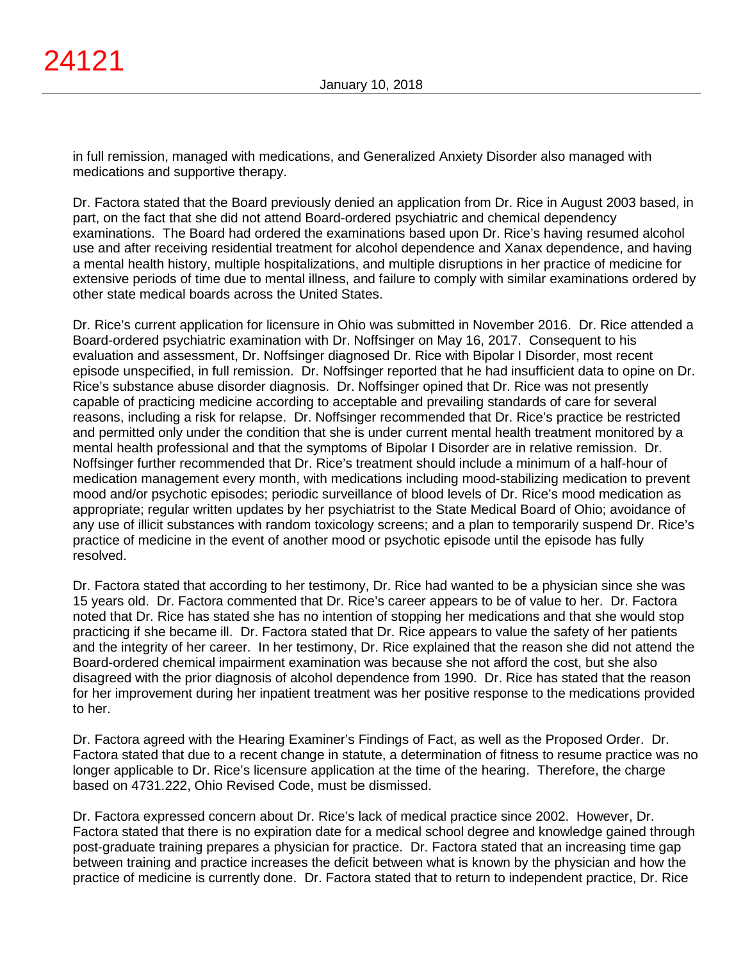in full remission, managed with medications, and Generalized Anxiety Disorder also managed with medications and supportive therapy.

Dr. Factora stated that the Board previously denied an application from Dr. Rice in August 2003 based, in part, on the fact that she did not attend Board-ordered psychiatric and chemical dependency examinations. The Board had ordered the examinations based upon Dr. Rice's having resumed alcohol use and after receiving residential treatment for alcohol dependence and Xanax dependence, and having a mental health history, multiple hospitalizations, and multiple disruptions in her practice of medicine for extensive periods of time due to mental illness, and failure to comply with similar examinations ordered by other state medical boards across the United States.

Dr. Rice's current application for licensure in Ohio was submitted in November 2016. Dr. Rice attended a Board-ordered psychiatric examination with Dr. Noffsinger on May 16, 2017. Consequent to his evaluation and assessment, Dr. Noffsinger diagnosed Dr. Rice with Bipolar I Disorder, most recent episode unspecified, in full remission. Dr. Noffsinger reported that he had insufficient data to opine on Dr. Rice's substance abuse disorder diagnosis. Dr. Noffsinger opined that Dr. Rice was not presently capable of practicing medicine according to acceptable and prevailing standards of care for several reasons, including a risk for relapse. Dr. Noffsinger recommended that Dr. Rice's practice be restricted and permitted only under the condition that she is under current mental health treatment monitored by a mental health professional and that the symptoms of Bipolar I Disorder are in relative remission. Dr. Noffsinger further recommended that Dr. Rice's treatment should include a minimum of a half-hour of medication management every month, with medications including mood-stabilizing medication to prevent mood and/or psychotic episodes; periodic surveillance of blood levels of Dr. Rice's mood medication as appropriate; regular written updates by her psychiatrist to the State Medical Board of Ohio; avoidance of any use of illicit substances with random toxicology screens; and a plan to temporarily suspend Dr. Rice's practice of medicine in the event of another mood or psychotic episode until the episode has fully resolved.

Dr. Factora stated that according to her testimony, Dr. Rice had wanted to be a physician since she was 15 years old. Dr. Factora commented that Dr. Rice's career appears to be of value to her. Dr. Factora noted that Dr. Rice has stated she has no intention of stopping her medications and that she would stop practicing if she became ill. Dr. Factora stated that Dr. Rice appears to value the safety of her patients and the integrity of her career. In her testimony, Dr. Rice explained that the reason she did not attend the Board-ordered chemical impairment examination was because she not afford the cost, but she also disagreed with the prior diagnosis of alcohol dependence from 1990. Dr. Rice has stated that the reason for her improvement during her inpatient treatment was her positive response to the medications provided to her.

Dr. Factora agreed with the Hearing Examiner's Findings of Fact, as well as the Proposed Order. Dr. Factora stated that due to a recent change in statute, a determination of fitness to resume practice was no longer applicable to Dr. Rice's licensure application at the time of the hearing. Therefore, the charge based on 4731.222, Ohio Revised Code, must be dismissed.

Dr. Factora expressed concern about Dr. Rice's lack of medical practice since 2002. However, Dr. Factora stated that there is no expiration date for a medical school degree and knowledge gained through post-graduate training prepares a physician for practice. Dr. Factora stated that an increasing time gap between training and practice increases the deficit between what is known by the physician and how the practice of medicine is currently done. Dr. Factora stated that to return to independent practice, Dr. Rice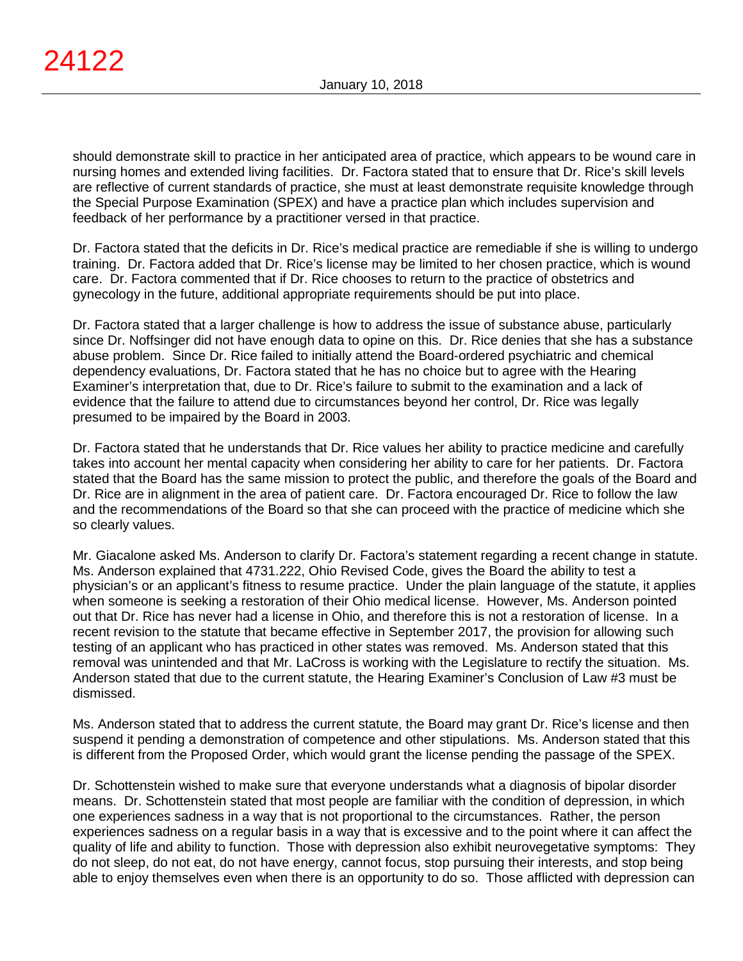should demonstrate skill to practice in her anticipated area of practice, which appears to be wound care in nursing homes and extended living facilities. Dr. Factora stated that to ensure that Dr. Rice's skill levels are reflective of current standards of practice, she must at least demonstrate requisite knowledge through the Special Purpose Examination (SPEX) and have a practice plan which includes supervision and feedback of her performance by a practitioner versed in that practice.

Dr. Factora stated that the deficits in Dr. Rice's medical practice are remediable if she is willing to undergo training. Dr. Factora added that Dr. Rice's license may be limited to her chosen practice, which is wound care. Dr. Factora commented that if Dr. Rice chooses to return to the practice of obstetrics and gynecology in the future, additional appropriate requirements should be put into place.

Dr. Factora stated that a larger challenge is how to address the issue of substance abuse, particularly since Dr. Noffsinger did not have enough data to opine on this. Dr. Rice denies that she has a substance abuse problem. Since Dr. Rice failed to initially attend the Board-ordered psychiatric and chemical dependency evaluations, Dr. Factora stated that he has no choice but to agree with the Hearing Examiner's interpretation that, due to Dr. Rice's failure to submit to the examination and a lack of evidence that the failure to attend due to circumstances beyond her control, Dr. Rice was legally presumed to be impaired by the Board in 2003.

Dr. Factora stated that he understands that Dr. Rice values her ability to practice medicine and carefully takes into account her mental capacity when considering her ability to care for her patients. Dr. Factora stated that the Board has the same mission to protect the public, and therefore the goals of the Board and Dr. Rice are in alignment in the area of patient care. Dr. Factora encouraged Dr. Rice to follow the law and the recommendations of the Board so that she can proceed with the practice of medicine which she so clearly values.

Mr. Giacalone asked Ms. Anderson to clarify Dr. Factora's statement regarding a recent change in statute. Ms. Anderson explained that 4731.222, Ohio Revised Code, gives the Board the ability to test a physician's or an applicant's fitness to resume practice. Under the plain language of the statute, it applies when someone is seeking a restoration of their Ohio medical license. However, Ms. Anderson pointed out that Dr. Rice has never had a license in Ohio, and therefore this is not a restoration of license. In a recent revision to the statute that became effective in September 2017, the provision for allowing such testing of an applicant who has practiced in other states was removed. Ms. Anderson stated that this removal was unintended and that Mr. LaCross is working with the Legislature to rectify the situation. Ms. Anderson stated that due to the current statute, the Hearing Examiner's Conclusion of Law #3 must be dismissed.

Ms. Anderson stated that to address the current statute, the Board may grant Dr. Rice's license and then suspend it pending a demonstration of competence and other stipulations. Ms. Anderson stated that this is different from the Proposed Order, which would grant the license pending the passage of the SPEX.

Dr. Schottenstein wished to make sure that everyone understands what a diagnosis of bipolar disorder means. Dr. Schottenstein stated that most people are familiar with the condition of depression, in which one experiences sadness in a way that is not proportional to the circumstances. Rather, the person experiences sadness on a regular basis in a way that is excessive and to the point where it can affect the quality of life and ability to function. Those with depression also exhibit neurovegetative symptoms: They do not sleep, do not eat, do not have energy, cannot focus, stop pursuing their interests, and stop being able to enjoy themselves even when there is an opportunity to do so. Those afflicted with depression can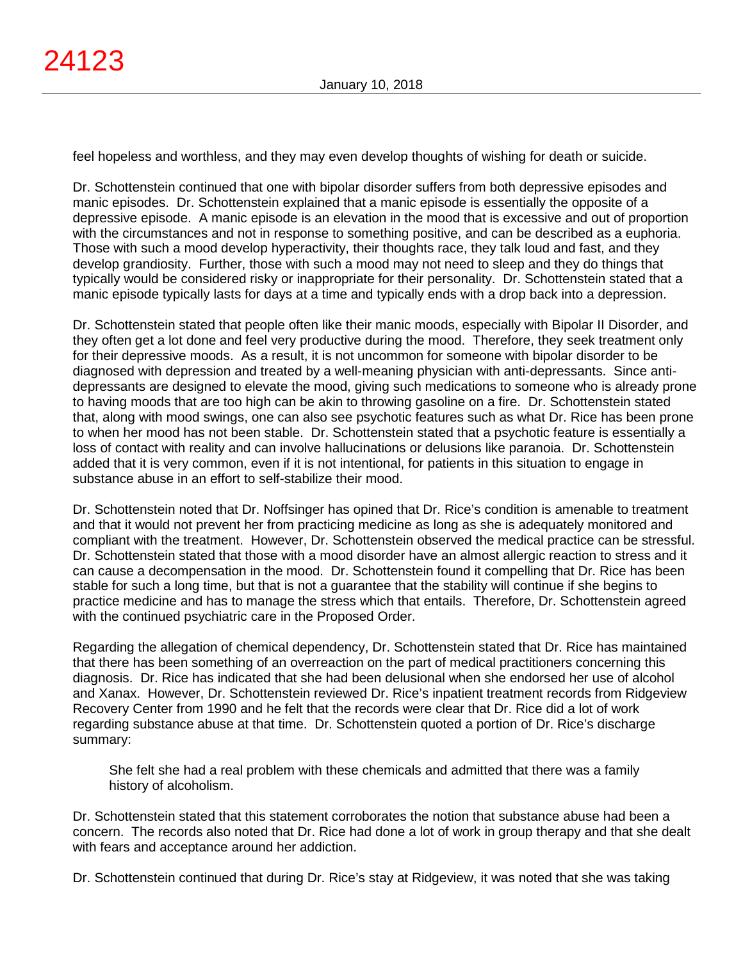feel hopeless and worthless, and they may even develop thoughts of wishing for death or suicide.

Dr. Schottenstein continued that one with bipolar disorder suffers from both depressive episodes and manic episodes. Dr. Schottenstein explained that a manic episode is essentially the opposite of a depressive episode. A manic episode is an elevation in the mood that is excessive and out of proportion with the circumstances and not in response to something positive, and can be described as a euphoria. Those with such a mood develop hyperactivity, their thoughts race, they talk loud and fast, and they develop grandiosity. Further, those with such a mood may not need to sleep and they do things that typically would be considered risky or inappropriate for their personality. Dr. Schottenstein stated that a manic episode typically lasts for days at a time and typically ends with a drop back into a depression.

Dr. Schottenstein stated that people often like their manic moods, especially with Bipolar II Disorder, and they often get a lot done and feel very productive during the mood. Therefore, they seek treatment only for their depressive moods. As a result, it is not uncommon for someone with bipolar disorder to be diagnosed with depression and treated by a well-meaning physician with anti-depressants. Since antidepressants are designed to elevate the mood, giving such medications to someone who is already prone to having moods that are too high can be akin to throwing gasoline on a fire. Dr. Schottenstein stated that, along with mood swings, one can also see psychotic features such as what Dr. Rice has been prone to when her mood has not been stable. Dr. Schottenstein stated that a psychotic feature is essentially a loss of contact with reality and can involve hallucinations or delusions like paranoia. Dr. Schottenstein added that it is very common, even if it is not intentional, for patients in this situation to engage in substance abuse in an effort to self-stabilize their mood.

Dr. Schottenstein noted that Dr. Noffsinger has opined that Dr. Rice's condition is amenable to treatment and that it would not prevent her from practicing medicine as long as she is adequately monitored and compliant with the treatment. However, Dr. Schottenstein observed the medical practice can be stressful. Dr. Schottenstein stated that those with a mood disorder have an almost allergic reaction to stress and it can cause a decompensation in the mood. Dr. Schottenstein found it compelling that Dr. Rice has been stable for such a long time, but that is not a guarantee that the stability will continue if she begins to practice medicine and has to manage the stress which that entails. Therefore, Dr. Schottenstein agreed with the continued psychiatric care in the Proposed Order.

Regarding the allegation of chemical dependency, Dr. Schottenstein stated that Dr. Rice has maintained that there has been something of an overreaction on the part of medical practitioners concerning this diagnosis. Dr. Rice has indicated that she had been delusional when she endorsed her use of alcohol and Xanax. However, Dr. Schottenstein reviewed Dr. Rice's inpatient treatment records from Ridgeview Recovery Center from 1990 and he felt that the records were clear that Dr. Rice did a lot of work regarding substance abuse at that time. Dr. Schottenstein quoted a portion of Dr. Rice's discharge summary:

She felt she had a real problem with these chemicals and admitted that there was a family history of alcoholism.

Dr. Schottenstein stated that this statement corroborates the notion that substance abuse had been a concern. The records also noted that Dr. Rice had done a lot of work in group therapy and that she dealt with fears and acceptance around her addiction.

Dr. Schottenstein continued that during Dr. Rice's stay at Ridgeview, it was noted that she was taking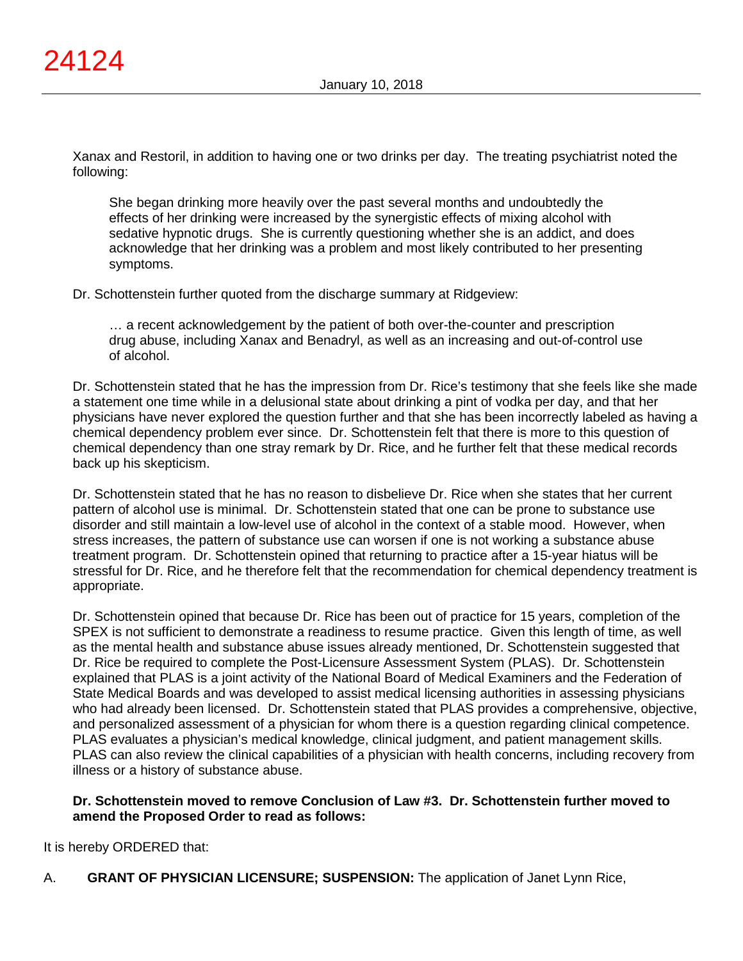Xanax and Restoril, in addition to having one or two drinks per day. The treating psychiatrist noted the following:

She began drinking more heavily over the past several months and undoubtedly the effects of her drinking were increased by the synergistic effects of mixing alcohol with sedative hypnotic drugs. She is currently questioning whether she is an addict, and does acknowledge that her drinking was a problem and most likely contributed to her presenting symptoms.

Dr. Schottenstein further quoted from the discharge summary at Ridgeview:

… a recent acknowledgement by the patient of both over-the-counter and prescription drug abuse, including Xanax and Benadryl, as well as an increasing and out-of-control use of alcohol.

Dr. Schottenstein stated that he has the impression from Dr. Rice's testimony that she feels like she made a statement one time while in a delusional state about drinking a pint of vodka per day, and that her physicians have never explored the question further and that she has been incorrectly labeled as having a chemical dependency problem ever since. Dr. Schottenstein felt that there is more to this question of chemical dependency than one stray remark by Dr. Rice, and he further felt that these medical records back up his skepticism.

Dr. Schottenstein stated that he has no reason to disbelieve Dr. Rice when she states that her current pattern of alcohol use is minimal. Dr. Schottenstein stated that one can be prone to substance use disorder and still maintain a low-level use of alcohol in the context of a stable mood. However, when stress increases, the pattern of substance use can worsen if one is not working a substance abuse treatment program. Dr. Schottenstein opined that returning to practice after a 15-year hiatus will be stressful for Dr. Rice, and he therefore felt that the recommendation for chemical dependency treatment is appropriate.

Dr. Schottenstein opined that because Dr. Rice has been out of practice for 15 years, completion of the SPEX is not sufficient to demonstrate a readiness to resume practice. Given this length of time, as well as the mental health and substance abuse issues already mentioned, Dr. Schottenstein suggested that Dr. Rice be required to complete the Post-Licensure Assessment System (PLAS). Dr. Schottenstein explained that PLAS is a joint activity of the National Board of Medical Examiners and the Federation of State Medical Boards and was developed to assist medical licensing authorities in assessing physicians who had already been licensed. Dr. Schottenstein stated that PLAS provides a comprehensive, objective, and personalized assessment of a physician for whom there is a question regarding clinical competence. PLAS evaluates a physician's medical knowledge, clinical judgment, and patient management skills. PLAS can also review the clinical capabilities of a physician with health concerns, including recovery from illness or a history of substance abuse.

# **Dr. Schottenstein moved to remove Conclusion of Law #3. Dr. Schottenstein further moved to amend the Proposed Order to read as follows:**

It is hereby ORDERED that:

A. **GRANT OF PHYSICIAN LICENSURE; SUSPENSION:** The application of Janet Lynn Rice,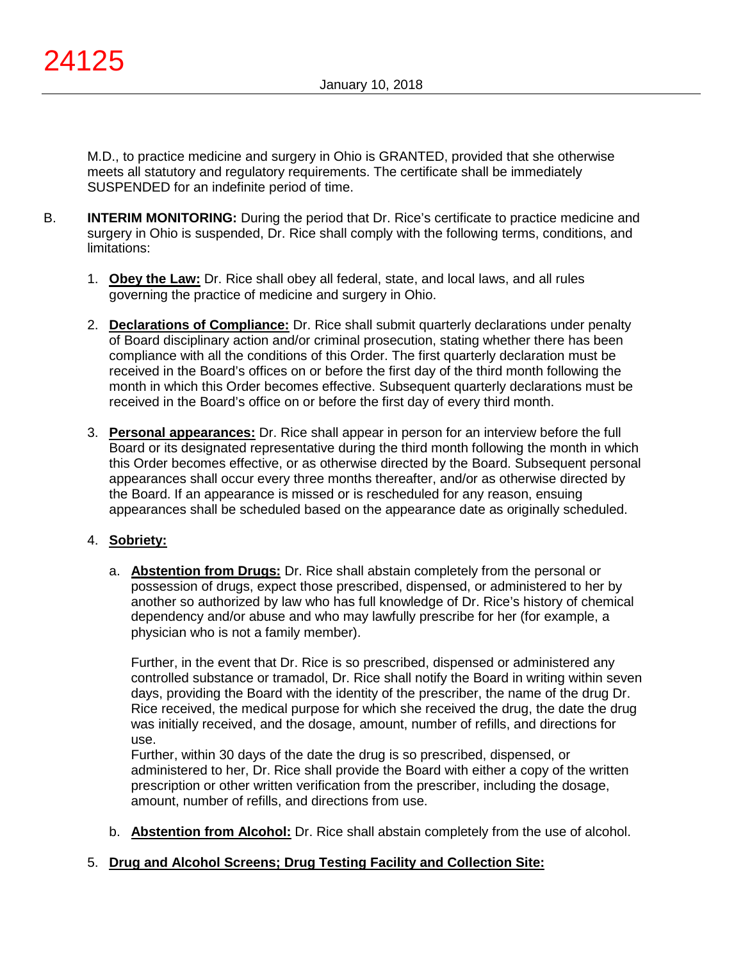M.D., to practice medicine and surgery in Ohio is GRANTED, provided that she otherwise meets all statutory and regulatory requirements. The certificate shall be immediately SUSPENDED for an indefinite period of time.

- B. **INTERIM MONITORING:** During the period that Dr. Rice's certificate to practice medicine and surgery in Ohio is suspended, Dr. Rice shall comply with the following terms, conditions, and limitations:
	- 1. **Obey the Law:** Dr. Rice shall obey all federal, state, and local laws, and all rules governing the practice of medicine and surgery in Ohio.
	- 2. **Declarations of Compliance:** Dr. Rice shall submit quarterly declarations under penalty of Board disciplinary action and/or criminal prosecution, stating whether there has been compliance with all the conditions of this Order. The first quarterly declaration must be received in the Board's offices on or before the first day of the third month following the month in which this Order becomes effective. Subsequent quarterly declarations must be received in the Board's office on or before the first day of every third month.
	- 3. **Personal appearances:** Dr. Rice shall appear in person for an interview before the full Board or its designated representative during the third month following the month in which this Order becomes effective, or as otherwise directed by the Board. Subsequent personal appearances shall occur every three months thereafter, and/or as otherwise directed by the Board. If an appearance is missed or is rescheduled for any reason, ensuing appearances shall be scheduled based on the appearance date as originally scheduled.

# 4. **Sobriety:**

a. **Abstention from Drugs:** Dr. Rice shall abstain completely from the personal or possession of drugs, expect those prescribed, dispensed, or administered to her by another so authorized by law who has full knowledge of Dr. Rice's history of chemical dependency and/or abuse and who may lawfully prescribe for her (for example, a physician who is not a family member).

Further, in the event that Dr. Rice is so prescribed, dispensed or administered any controlled substance or tramadol, Dr. Rice shall notify the Board in writing within seven days, providing the Board with the identity of the prescriber, the name of the drug Dr. Rice received, the medical purpose for which she received the drug, the date the drug was initially received, and the dosage, amount, number of refills, and directions for use.

Further, within 30 days of the date the drug is so prescribed, dispensed, or administered to her, Dr. Rice shall provide the Board with either a copy of the written prescription or other written verification from the prescriber, including the dosage, amount, number of refills, and directions from use.

b. **Abstention from Alcohol:** Dr. Rice shall abstain completely from the use of alcohol.

## 5. **Drug and Alcohol Screens; Drug Testing Facility and Collection Site:**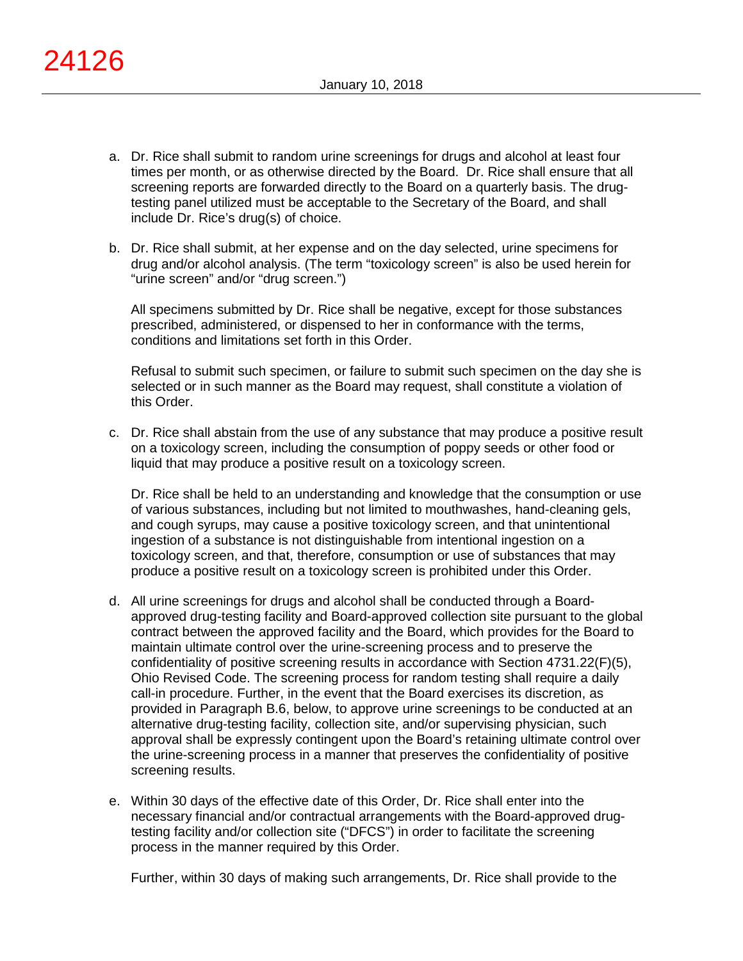- a. Dr. Rice shall submit to random urine screenings for drugs and alcohol at least four times per month, or as otherwise directed by the Board. Dr. Rice shall ensure that all screening reports are forwarded directly to the Board on a quarterly basis. The drugtesting panel utilized must be acceptable to the Secretary of the Board, and shall include Dr. Rice's drug(s) of choice.
- b. Dr. Rice shall submit, at her expense and on the day selected, urine specimens for drug and/or alcohol analysis. (The term "toxicology screen" is also be used herein for "urine screen" and/or "drug screen.")

All specimens submitted by Dr. Rice shall be negative, except for those substances prescribed, administered, or dispensed to her in conformance with the terms, conditions and limitations set forth in this Order.

Refusal to submit such specimen, or failure to submit such specimen on the day she is selected or in such manner as the Board may request, shall constitute a violation of this Order.

c. Dr. Rice shall abstain from the use of any substance that may produce a positive result on a toxicology screen, including the consumption of poppy seeds or other food or liquid that may produce a positive result on a toxicology screen.

Dr. Rice shall be held to an understanding and knowledge that the consumption or use of various substances, including but not limited to mouthwashes, hand-cleaning gels, and cough syrups, may cause a positive toxicology screen, and that unintentional ingestion of a substance is not distinguishable from intentional ingestion on a toxicology screen, and that, therefore, consumption or use of substances that may produce a positive result on a toxicology screen is prohibited under this Order.

- d. All urine screenings for drugs and alcohol shall be conducted through a Boardapproved drug-testing facility and Board-approved collection site pursuant to the global contract between the approved facility and the Board, which provides for the Board to maintain ultimate control over the urine-screening process and to preserve the confidentiality of positive screening results in accordance with Section 4731.22(F)(5), Ohio Revised Code. The screening process for random testing shall require a daily call-in procedure. Further, in the event that the Board exercises its discretion, as provided in Paragraph B.6, below, to approve urine screenings to be conducted at an alternative drug-testing facility, collection site, and/or supervising physician, such approval shall be expressly contingent upon the Board's retaining ultimate control over the urine-screening process in a manner that preserves the confidentiality of positive screening results.
- e. Within 30 days of the effective date of this Order, Dr. Rice shall enter into the necessary financial and/or contractual arrangements with the Board-approved drugtesting facility and/or collection site ("DFCS") in order to facilitate the screening process in the manner required by this Order.

Further, within 30 days of making such arrangements, Dr. Rice shall provide to the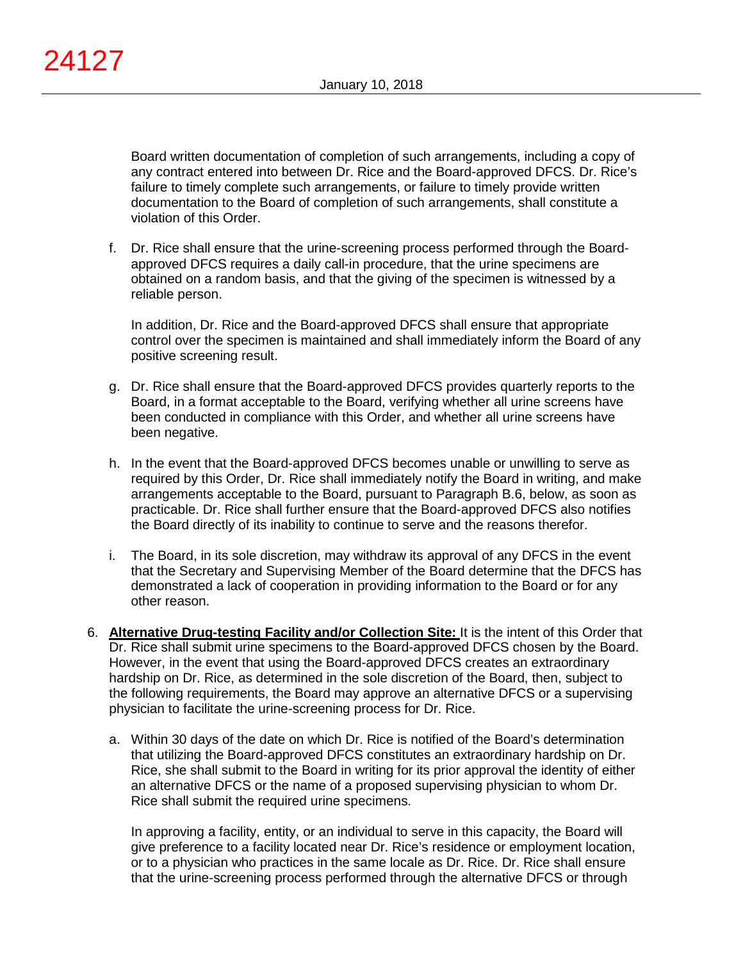Board written documentation of completion of such arrangements, including a copy of any contract entered into between Dr. Rice and the Board-approved DFCS. Dr. Rice's failure to timely complete such arrangements, or failure to timely provide written documentation to the Board of completion of such arrangements, shall constitute a violation of this Order.

f. Dr. Rice shall ensure that the urine-screening process performed through the Boardapproved DFCS requires a daily call-in procedure, that the urine specimens are obtained on a random basis, and that the giving of the specimen is witnessed by a reliable person.

In addition, Dr. Rice and the Board-approved DFCS shall ensure that appropriate control over the specimen is maintained and shall immediately inform the Board of any positive screening result.

- g. Dr. Rice shall ensure that the Board-approved DFCS provides quarterly reports to the Board, in a format acceptable to the Board, verifying whether all urine screens have been conducted in compliance with this Order, and whether all urine screens have been negative.
- h. In the event that the Board-approved DFCS becomes unable or unwilling to serve as required by this Order, Dr. Rice shall immediately notify the Board in writing, and make arrangements acceptable to the Board, pursuant to Paragraph B.6, below, as soon as practicable. Dr. Rice shall further ensure that the Board-approved DFCS also notifies the Board directly of its inability to continue to serve and the reasons therefor.
- i. The Board, in its sole discretion, may withdraw its approval of any DFCS in the event that the Secretary and Supervising Member of the Board determine that the DFCS has demonstrated a lack of cooperation in providing information to the Board or for any other reason.
- 6. **Alternative Drug-testing Facility and/or Collection Site:** It is the intent of this Order that Dr. Rice shall submit urine specimens to the Board-approved DFCS chosen by the Board. However, in the event that using the Board-approved DFCS creates an extraordinary hardship on Dr. Rice, as determined in the sole discretion of the Board, then, subject to the following requirements, the Board may approve an alternative DFCS or a supervising physician to facilitate the urine-screening process for Dr. Rice.
	- a. Within 30 days of the date on which Dr. Rice is notified of the Board's determination that utilizing the Board-approved DFCS constitutes an extraordinary hardship on Dr. Rice, she shall submit to the Board in writing for its prior approval the identity of either an alternative DFCS or the name of a proposed supervising physician to whom Dr. Rice shall submit the required urine specimens.

In approving a facility, entity, or an individual to serve in this capacity, the Board will give preference to a facility located near Dr. Rice's residence or employment location, or to a physician who practices in the same locale as Dr. Rice. Dr. Rice shall ensure that the urine-screening process performed through the alternative DFCS or through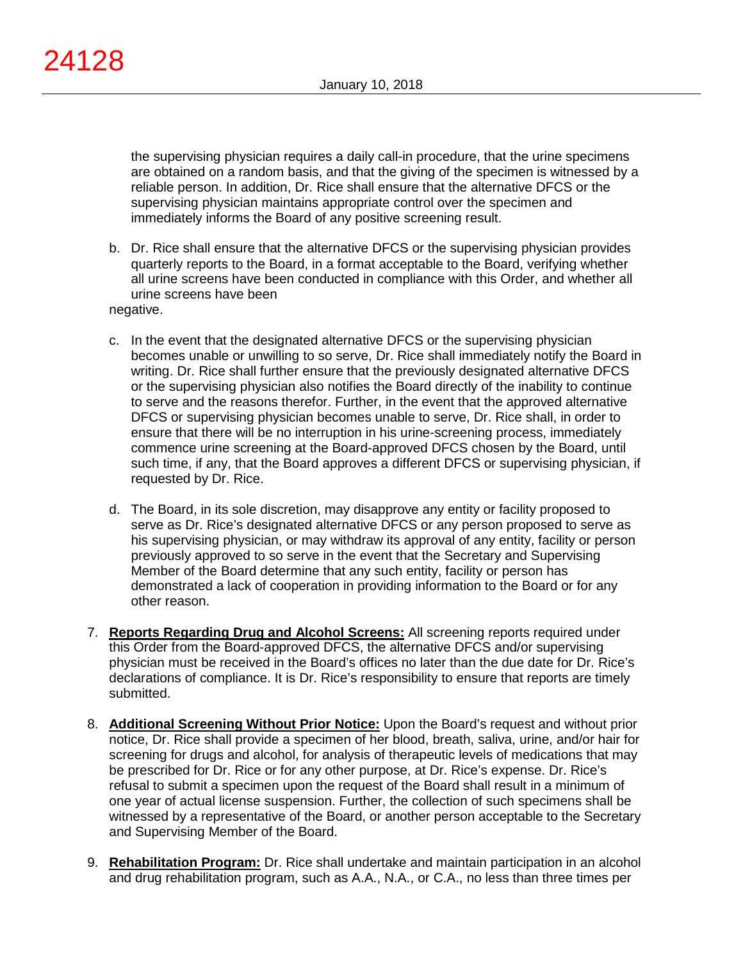the supervising physician requires a daily call-in procedure, that the urine specimens are obtained on a random basis, and that the giving of the specimen is witnessed by a reliable person. In addition, Dr. Rice shall ensure that the alternative DFCS or the supervising physician maintains appropriate control over the specimen and immediately informs the Board of any positive screening result.

- b. Dr. Rice shall ensure that the alternative DFCS or the supervising physician provides quarterly reports to the Board, in a format acceptable to the Board, verifying whether all urine screens have been conducted in compliance with this Order, and whether all urine screens have been negative.
- c. In the event that the designated alternative DFCS or the supervising physician becomes unable or unwilling to so serve, Dr. Rice shall immediately notify the Board in writing. Dr. Rice shall further ensure that the previously designated alternative DFCS or the supervising physician also notifies the Board directly of the inability to continue to serve and the reasons therefor. Further, in the event that the approved alternative DFCS or supervising physician becomes unable to serve, Dr. Rice shall, in order to ensure that there will be no interruption in his urine-screening process, immediately commence urine screening at the Board-approved DFCS chosen by the Board, until such time, if any, that the Board approves a different DFCS or supervising physician, if requested by Dr. Rice.
- d. The Board, in its sole discretion, may disapprove any entity or facility proposed to serve as Dr. Rice's designated alternative DFCS or any person proposed to serve as his supervising physician, or may withdraw its approval of any entity, facility or person previously approved to so serve in the event that the Secretary and Supervising Member of the Board determine that any such entity, facility or person has demonstrated a lack of cooperation in providing information to the Board or for any other reason.
- 7. **Reports Regarding Drug and Alcohol Screens:** All screening reports required under this Order from the Board-approved DFCS, the alternative DFCS and/or supervising physician must be received in the Board's offices no later than the due date for Dr. Rice's declarations of compliance. It is Dr. Rice's responsibility to ensure that reports are timely submitted.
- 8. **Additional Screening Without Prior Notice:** Upon the Board's request and without prior notice, Dr. Rice shall provide a specimen of her blood, breath, saliva, urine, and/or hair for screening for drugs and alcohol, for analysis of therapeutic levels of medications that may be prescribed for Dr. Rice or for any other purpose, at Dr. Rice's expense. Dr. Rice's refusal to submit a specimen upon the request of the Board shall result in a minimum of one year of actual license suspension. Further, the collection of such specimens shall be witnessed by a representative of the Board, or another person acceptable to the Secretary and Supervising Member of the Board.
- 9. **Rehabilitation Program:** Dr. Rice shall undertake and maintain participation in an alcohol and drug rehabilitation program, such as A.A., N.A., or C.A., no less than three times per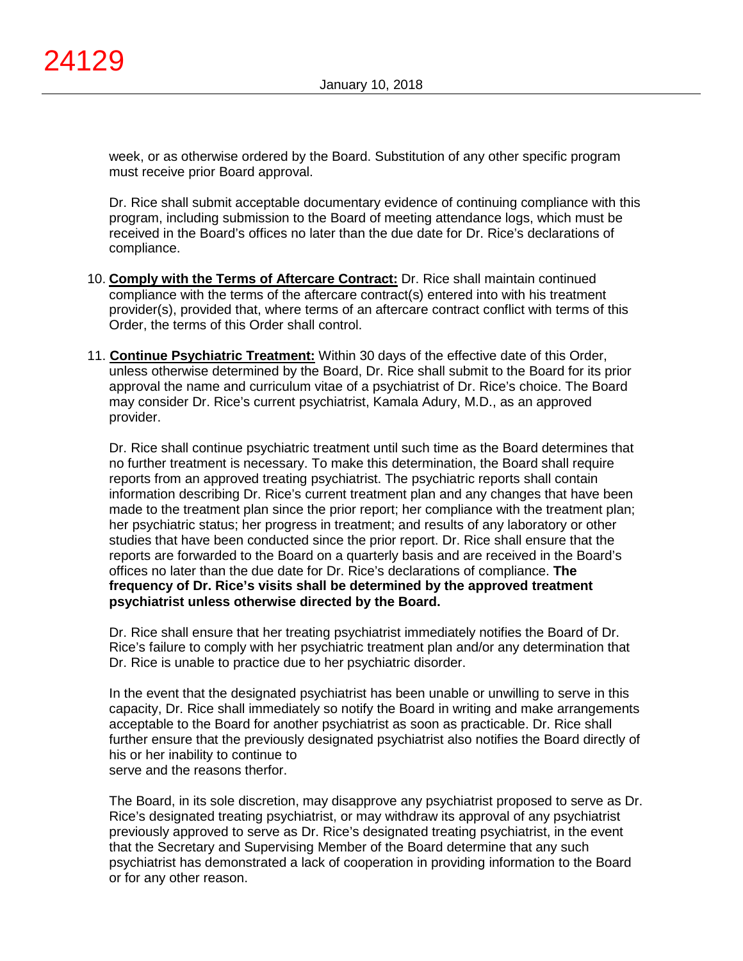week, or as otherwise ordered by the Board. Substitution of any other specific program must receive prior Board approval.

Dr. Rice shall submit acceptable documentary evidence of continuing compliance with this program, including submission to the Board of meeting attendance logs, which must be received in the Board's offices no later than the due date for Dr. Rice's declarations of compliance.

- 10. **Comply with the Terms of Aftercare Contract:** Dr. Rice shall maintain continued compliance with the terms of the aftercare contract(s) entered into with his treatment provider(s), provided that, where terms of an aftercare contract conflict with terms of this Order, the terms of this Order shall control.
- 11. **Continue Psychiatric Treatment:** Within 30 days of the effective date of this Order, unless otherwise determined by the Board, Dr. Rice shall submit to the Board for its prior approval the name and curriculum vitae of a psychiatrist of Dr. Rice's choice. The Board may consider Dr. Rice's current psychiatrist, Kamala Adury, M.D., as an approved provider.

Dr. Rice shall continue psychiatric treatment until such time as the Board determines that no further treatment is necessary. To make this determination, the Board shall require reports from an approved treating psychiatrist. The psychiatric reports shall contain information describing Dr. Rice's current treatment plan and any changes that have been made to the treatment plan since the prior report; her compliance with the treatment plan; her psychiatric status; her progress in treatment; and results of any laboratory or other studies that have been conducted since the prior report. Dr. Rice shall ensure that the reports are forwarded to the Board on a quarterly basis and are received in the Board's offices no later than the due date for Dr. Rice's declarations of compliance. **The frequency of Dr. Rice's visits shall be determined by the approved treatment psychiatrist unless otherwise directed by the Board.**

Dr. Rice shall ensure that her treating psychiatrist immediately notifies the Board of Dr. Rice's failure to comply with her psychiatric treatment plan and/or any determination that Dr. Rice is unable to practice due to her psychiatric disorder.

In the event that the designated psychiatrist has been unable or unwilling to serve in this capacity, Dr. Rice shall immediately so notify the Board in writing and make arrangements acceptable to the Board for another psychiatrist as soon as practicable. Dr. Rice shall further ensure that the previously designated psychiatrist also notifies the Board directly of his or her inability to continue to serve and the reasons therfor.

The Board, in its sole discretion, may disapprove any psychiatrist proposed to serve as Dr. Rice's designated treating psychiatrist, or may withdraw its approval of any psychiatrist previously approved to serve as Dr. Rice's designated treating psychiatrist, in the event that the Secretary and Supervising Member of the Board determine that any such psychiatrist has demonstrated a lack of cooperation in providing information to the Board or for any other reason.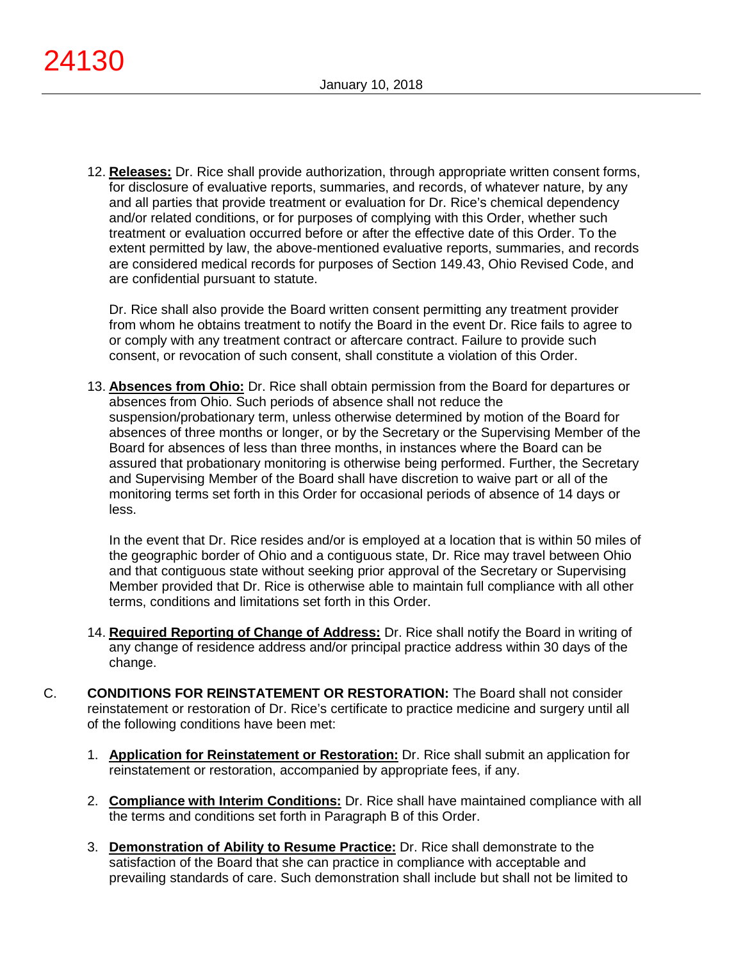12. **Releases:** Dr. Rice shall provide authorization, through appropriate written consent forms, for disclosure of evaluative reports, summaries, and records, of whatever nature, by any and all parties that provide treatment or evaluation for Dr. Rice's chemical dependency and/or related conditions, or for purposes of complying with this Order, whether such treatment or evaluation occurred before or after the effective date of this Order. To the extent permitted by law, the above-mentioned evaluative reports, summaries, and records are considered medical records for purposes of Section 149.43, Ohio Revised Code, and are confidential pursuant to statute.

Dr. Rice shall also provide the Board written consent permitting any treatment provider from whom he obtains treatment to notify the Board in the event Dr. Rice fails to agree to or comply with any treatment contract or aftercare contract. Failure to provide such consent, or revocation of such consent, shall constitute a violation of this Order.

13. **Absences from Ohio:** Dr. Rice shall obtain permission from the Board for departures or absences from Ohio. Such periods of absence shall not reduce the suspension/probationary term, unless otherwise determined by motion of the Board for absences of three months or longer, or by the Secretary or the Supervising Member of the Board for absences of less than three months, in instances where the Board can be assured that probationary monitoring is otherwise being performed. Further, the Secretary and Supervising Member of the Board shall have discretion to waive part or all of the monitoring terms set forth in this Order for occasional periods of absence of 14 days or less.

In the event that Dr. Rice resides and/or is employed at a location that is within 50 miles of the geographic border of Ohio and a contiguous state, Dr. Rice may travel between Ohio and that contiguous state without seeking prior approval of the Secretary or Supervising Member provided that Dr. Rice is otherwise able to maintain full compliance with all other terms, conditions and limitations set forth in this Order.

- 14. **Required Reporting of Change of Address:** Dr. Rice shall notify the Board in writing of any change of residence address and/or principal practice address within 30 days of the change.
- C. **CONDITIONS FOR REINSTATEMENT OR RESTORATION:** The Board shall not consider reinstatement or restoration of Dr. Rice's certificate to practice medicine and surgery until all of the following conditions have been met:
	- 1. **Application for Reinstatement or Restoration:** Dr. Rice shall submit an application for reinstatement or restoration, accompanied by appropriate fees, if any.
	- 2. **Compliance with Interim Conditions:** Dr. Rice shall have maintained compliance with all the terms and conditions set forth in Paragraph B of this Order.
	- 3. **Demonstration of Ability to Resume Practice:** Dr. Rice shall demonstrate to the satisfaction of the Board that she can practice in compliance with acceptable and prevailing standards of care. Such demonstration shall include but shall not be limited to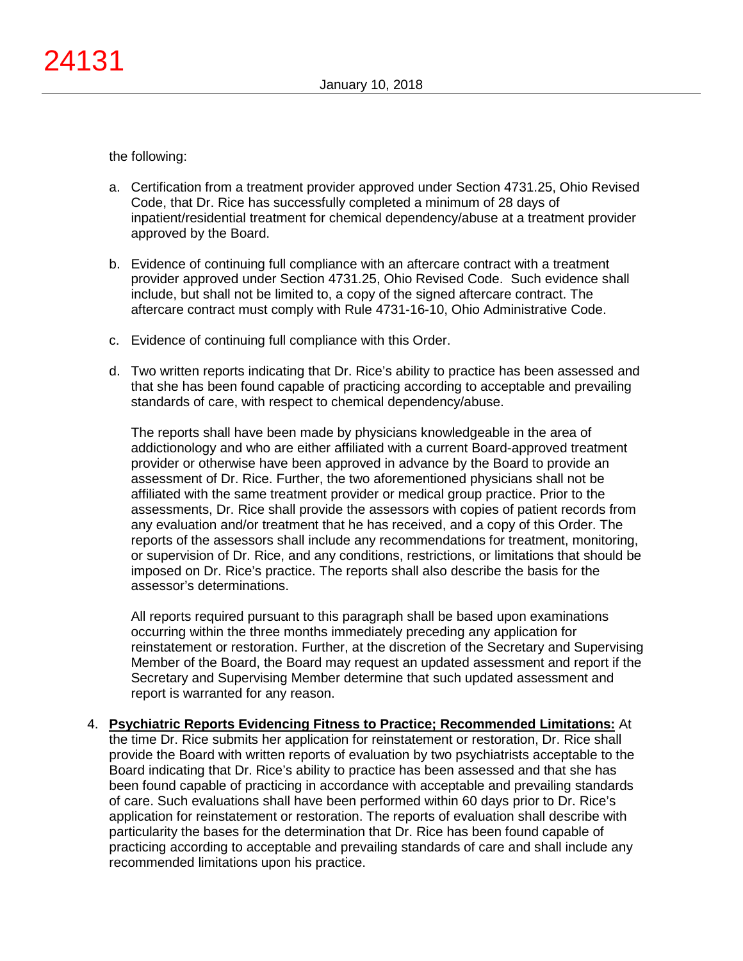the following:

- a. Certification from a treatment provider approved under Section 4731.25, Ohio Revised Code, that Dr. Rice has successfully completed a minimum of 28 days of inpatient/residential treatment for chemical dependency/abuse at a treatment provider approved by the Board.
- b. Evidence of continuing full compliance with an aftercare contract with a treatment provider approved under Section 4731.25, Ohio Revised Code. Such evidence shall include, but shall not be limited to, a copy of the signed aftercare contract. The aftercare contract must comply with Rule 4731-16-10, Ohio Administrative Code.
- c. Evidence of continuing full compliance with this Order.
- d. Two written reports indicating that Dr. Rice's ability to practice has been assessed and that she has been found capable of practicing according to acceptable and prevailing standards of care, with respect to chemical dependency/abuse.

The reports shall have been made by physicians knowledgeable in the area of addictionology and who are either affiliated with a current Board-approved treatment provider or otherwise have been approved in advance by the Board to provide an assessment of Dr. Rice. Further, the two aforementioned physicians shall not be affiliated with the same treatment provider or medical group practice. Prior to the assessments, Dr. Rice shall provide the assessors with copies of patient records from any evaluation and/or treatment that he has received, and a copy of this Order. The reports of the assessors shall include any recommendations for treatment, monitoring, or supervision of Dr. Rice, and any conditions, restrictions, or limitations that should be imposed on Dr. Rice's practice. The reports shall also describe the basis for the assessor's determinations.

All reports required pursuant to this paragraph shall be based upon examinations occurring within the three months immediately preceding any application for reinstatement or restoration. Further, at the discretion of the Secretary and Supervising Member of the Board, the Board may request an updated assessment and report if the Secretary and Supervising Member determine that such updated assessment and report is warranted for any reason.

4. **Psychiatric Reports Evidencing Fitness to Practice; Recommended Limitations:** At the time Dr. Rice submits her application for reinstatement or restoration, Dr. Rice shall provide the Board with written reports of evaluation by two psychiatrists acceptable to the Board indicating that Dr. Rice's ability to practice has been assessed and that she has been found capable of practicing in accordance with acceptable and prevailing standards of care. Such evaluations shall have been performed within 60 days prior to Dr. Rice's application for reinstatement or restoration. The reports of evaluation shall describe with particularity the bases for the determination that Dr. Rice has been found capable of practicing according to acceptable and prevailing standards of care and shall include any recommended limitations upon his practice.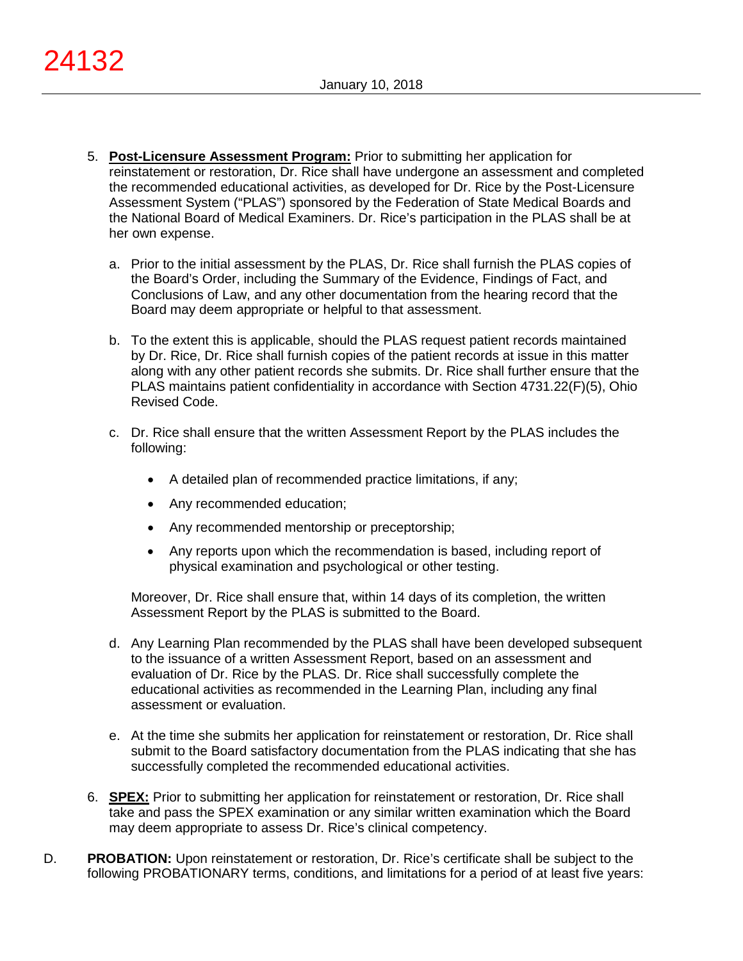- 5. **Post-Licensure Assessment Program:** Prior to submitting her application for reinstatement or restoration, Dr. Rice shall have undergone an assessment and completed the recommended educational activities, as developed for Dr. Rice by the Post-Licensure Assessment System ("PLAS") sponsored by the Federation of State Medical Boards and the National Board of Medical Examiners. Dr. Rice's participation in the PLAS shall be at her own expense.
	- a. Prior to the initial assessment by the PLAS, Dr. Rice shall furnish the PLAS copies of the Board's Order, including the Summary of the Evidence, Findings of Fact, and Conclusions of Law, and any other documentation from the hearing record that the Board may deem appropriate or helpful to that assessment.
	- b. To the extent this is applicable, should the PLAS request patient records maintained by Dr. Rice, Dr. Rice shall furnish copies of the patient records at issue in this matter along with any other patient records she submits. Dr. Rice shall further ensure that the PLAS maintains patient confidentiality in accordance with Section 4731.22(F)(5), Ohio Revised Code.
	- c. Dr. Rice shall ensure that the written Assessment Report by the PLAS includes the following:
		- A detailed plan of recommended practice limitations, if any;
		- Any recommended education;
		- Any recommended mentorship or preceptorship;
		- Any reports upon which the recommendation is based, including report of physical examination and psychological or other testing.

Moreover, Dr. Rice shall ensure that, within 14 days of its completion, the written Assessment Report by the PLAS is submitted to the Board.

- d. Any Learning Plan recommended by the PLAS shall have been developed subsequent to the issuance of a written Assessment Report, based on an assessment and evaluation of Dr. Rice by the PLAS. Dr. Rice shall successfully complete the educational activities as recommended in the Learning Plan, including any final assessment or evaluation.
- e. At the time she submits her application for reinstatement or restoration, Dr. Rice shall submit to the Board satisfactory documentation from the PLAS indicating that she has successfully completed the recommended educational activities.
- 6. **SPEX:** Prior to submitting her application for reinstatement or restoration, Dr. Rice shall take and pass the SPEX examination or any similar written examination which the Board may deem appropriate to assess Dr. Rice's clinical competency.
- D. **PROBATION:** Upon reinstatement or restoration, Dr. Rice's certificate shall be subject to the following PROBATIONARY terms, conditions, and limitations for a period of at least five years: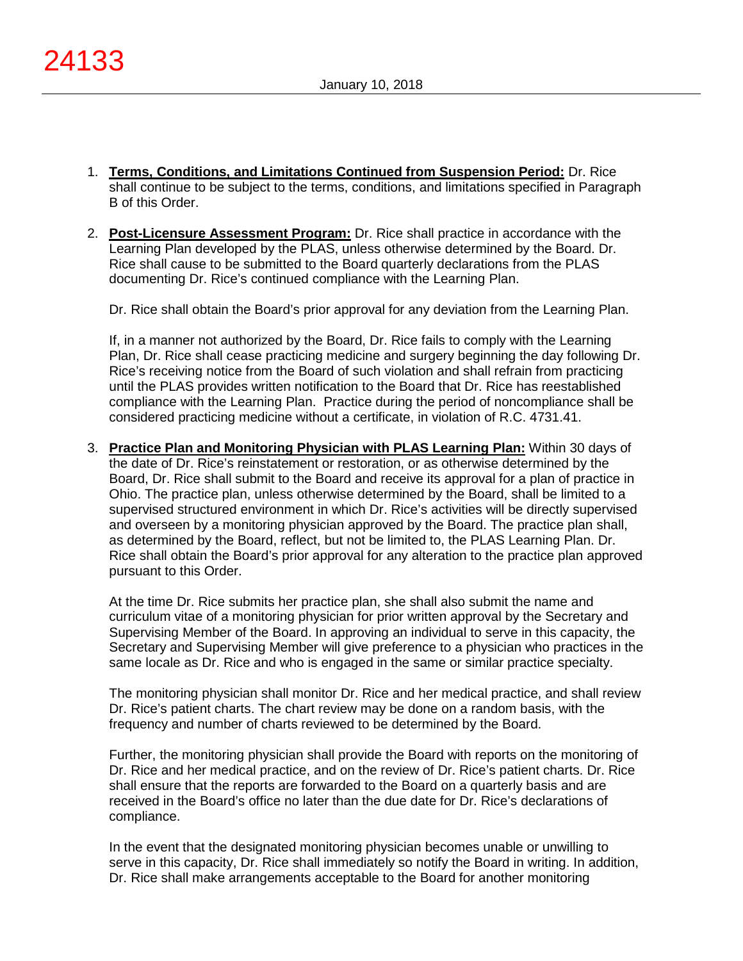- 1. **Terms, Conditions, and Limitations Continued from Suspension Period:** Dr. Rice shall continue to be subject to the terms, conditions, and limitations specified in Paragraph B of this Order.
- 2. **Post-Licensure Assessment Program:** Dr. Rice shall practice in accordance with the Learning Plan developed by the PLAS, unless otherwise determined by the Board. Dr. Rice shall cause to be submitted to the Board quarterly declarations from the PLAS documenting Dr. Rice's continued compliance with the Learning Plan.

Dr. Rice shall obtain the Board's prior approval for any deviation from the Learning Plan.

If, in a manner not authorized by the Board, Dr. Rice fails to comply with the Learning Plan, Dr. Rice shall cease practicing medicine and surgery beginning the day following Dr. Rice's receiving notice from the Board of such violation and shall refrain from practicing until the PLAS provides written notification to the Board that Dr. Rice has reestablished compliance with the Learning Plan. Practice during the period of noncompliance shall be considered practicing medicine without a certificate, in violation of R.C. 4731.41.

3. **Practice Plan and Monitoring Physician with PLAS Learning Plan:** Within 30 days of the date of Dr. Rice's reinstatement or restoration, or as otherwise determined by the Board, Dr. Rice shall submit to the Board and receive its approval for a plan of practice in Ohio. The practice plan, unless otherwise determined by the Board, shall be limited to a supervised structured environment in which Dr. Rice's activities will be directly supervised and overseen by a monitoring physician approved by the Board. The practice plan shall, as determined by the Board, reflect, but not be limited to, the PLAS Learning Plan. Dr. Rice shall obtain the Board's prior approval for any alteration to the practice plan approved pursuant to this Order.

At the time Dr. Rice submits her practice plan, she shall also submit the name and curriculum vitae of a monitoring physician for prior written approval by the Secretary and Supervising Member of the Board. In approving an individual to serve in this capacity, the Secretary and Supervising Member will give preference to a physician who practices in the same locale as Dr. Rice and who is engaged in the same or similar practice specialty.

The monitoring physician shall monitor Dr. Rice and her medical practice, and shall review Dr. Rice's patient charts. The chart review may be done on a random basis, with the frequency and number of charts reviewed to be determined by the Board.

Further, the monitoring physician shall provide the Board with reports on the monitoring of Dr. Rice and her medical practice, and on the review of Dr. Rice's patient charts. Dr. Rice shall ensure that the reports are forwarded to the Board on a quarterly basis and are received in the Board's office no later than the due date for Dr. Rice's declarations of compliance.

In the event that the designated monitoring physician becomes unable or unwilling to serve in this capacity, Dr. Rice shall immediately so notify the Board in writing. In addition, Dr. Rice shall make arrangements acceptable to the Board for another monitoring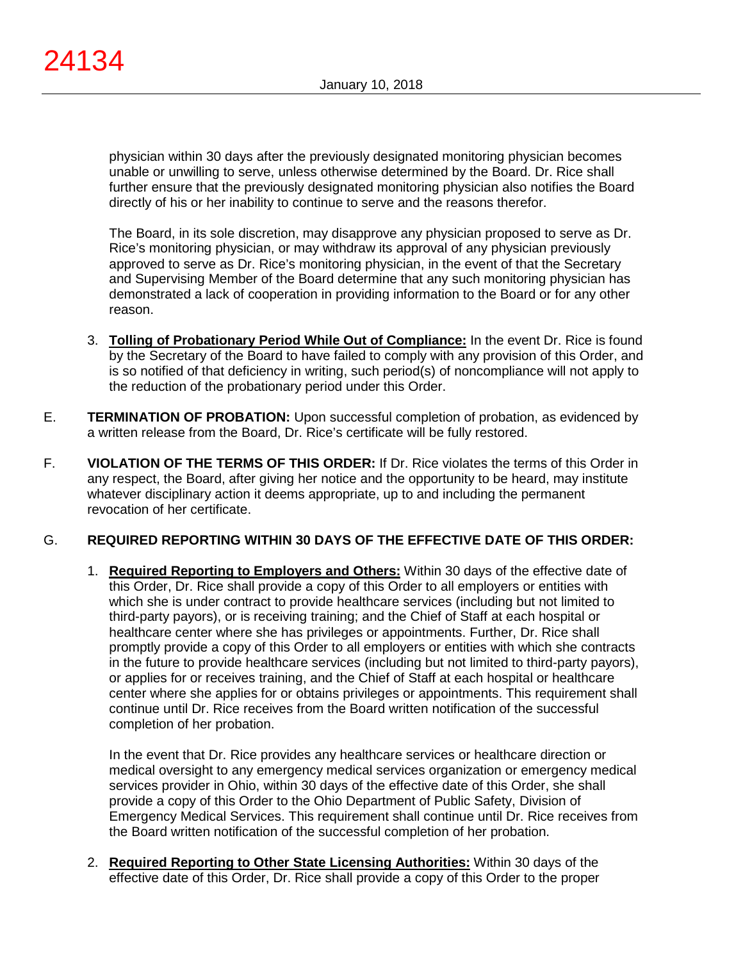physician within 30 days after the previously designated monitoring physician becomes unable or unwilling to serve, unless otherwise determined by the Board. Dr. Rice shall further ensure that the previously designated monitoring physician also notifies the Board directly of his or her inability to continue to serve and the reasons therefor.

The Board, in its sole discretion, may disapprove any physician proposed to serve as Dr. Rice's monitoring physician, or may withdraw its approval of any physician previously approved to serve as Dr. Rice's monitoring physician, in the event of that the Secretary and Supervising Member of the Board determine that any such monitoring physician has demonstrated a lack of cooperation in providing information to the Board or for any other reason.

- 3. **Tolling of Probationary Period While Out of Compliance:** In the event Dr. Rice is found by the Secretary of the Board to have failed to comply with any provision of this Order, and is so notified of that deficiency in writing, such period(s) of noncompliance will not apply to the reduction of the probationary period under this Order.
- E. **TERMINATION OF PROBATION:** Upon successful completion of probation, as evidenced by a written release from the Board, Dr. Rice's certificate will be fully restored.
- F. **VIOLATION OF THE TERMS OF THIS ORDER:** If Dr. Rice violates the terms of this Order in any respect, the Board, after giving her notice and the opportunity to be heard, may institute whatever disciplinary action it deems appropriate, up to and including the permanent revocation of her certificate.

# G. **REQUIRED REPORTING WITHIN 30 DAYS OF THE EFFECTIVE DATE OF THIS ORDER:**

1. **Required Reporting to Employers and Others:** Within 30 days of the effective date of this Order, Dr. Rice shall provide a copy of this Order to all employers or entities with which she is under contract to provide healthcare services (including but not limited to third-party payors), or is receiving training; and the Chief of Staff at each hospital or healthcare center where she has privileges or appointments. Further, Dr. Rice shall promptly provide a copy of this Order to all employers or entities with which she contracts in the future to provide healthcare services (including but not limited to third-party payors), or applies for or receives training, and the Chief of Staff at each hospital or healthcare center where she applies for or obtains privileges or appointments. This requirement shall continue until Dr. Rice receives from the Board written notification of the successful completion of her probation.

In the event that Dr. Rice provides any healthcare services or healthcare direction or medical oversight to any emergency medical services organization or emergency medical services provider in Ohio, within 30 days of the effective date of this Order, she shall provide a copy of this Order to the Ohio Department of Public Safety, Division of Emergency Medical Services. This requirement shall continue until Dr. Rice receives from the Board written notification of the successful completion of her probation.

2. **Required Reporting to Other State Licensing Authorities:** Within 30 days of the effective date of this Order, Dr. Rice shall provide a copy of this Order to the proper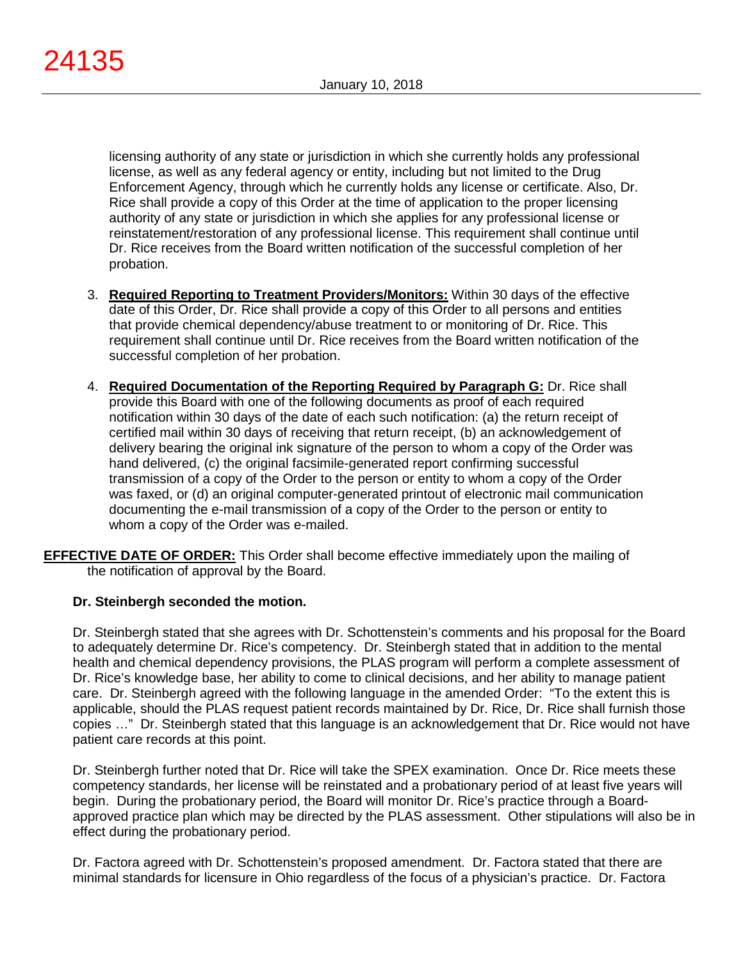licensing authority of any state or jurisdiction in which she currently holds any professional license, as well as any federal agency or entity, including but not limited to the Drug Enforcement Agency, through which he currently holds any license or certificate. Also, Dr. Rice shall provide a copy of this Order at the time of application to the proper licensing authority of any state or jurisdiction in which she applies for any professional license or reinstatement/restoration of any professional license. This requirement shall continue until Dr. Rice receives from the Board written notification of the successful completion of her probation.

- 3. **Required Reporting to Treatment Providers/Monitors:** Within 30 days of the effective date of this Order, Dr. Rice shall provide a copy of this Order to all persons and entities that provide chemical dependency/abuse treatment to or monitoring of Dr. Rice. This requirement shall continue until Dr. Rice receives from the Board written notification of the successful completion of her probation.
- 4. **Required Documentation of the Reporting Required by Paragraph G:** Dr. Rice shall provide this Board with one of the following documents as proof of each required notification within 30 days of the date of each such notification: (a) the return receipt of certified mail within 30 days of receiving that return receipt, (b) an acknowledgement of delivery bearing the original ink signature of the person to whom a copy of the Order was hand delivered, (c) the original facsimile-generated report confirming successful transmission of a copy of the Order to the person or entity to whom a copy of the Order was faxed, or (d) an original computer-generated printout of electronic mail communication documenting the e-mail transmission of a copy of the Order to the person or entity to whom a copy of the Order was e-mailed.
- **EFFECTIVE DATE OF ORDER:** This Order shall become effective immediately upon the mailing of the notification of approval by the Board.

# **Dr. Steinbergh seconded the motion.**

Dr. Steinbergh stated that she agrees with Dr. Schottenstein's comments and his proposal for the Board to adequately determine Dr. Rice's competency. Dr. Steinbergh stated that in addition to the mental health and chemical dependency provisions, the PLAS program will perform a complete assessment of Dr. Rice's knowledge base, her ability to come to clinical decisions, and her ability to manage patient care. Dr. Steinbergh agreed with the following language in the amended Order: "To the extent this is applicable, should the PLAS request patient records maintained by Dr. Rice, Dr. Rice shall furnish those copies …" Dr. Steinbergh stated that this language is an acknowledgement that Dr. Rice would not have patient care records at this point.

Dr. Steinbergh further noted that Dr. Rice will take the SPEX examination. Once Dr. Rice meets these competency standards, her license will be reinstated and a probationary period of at least five years will begin. During the probationary period, the Board will monitor Dr. Rice's practice through a Boardapproved practice plan which may be directed by the PLAS assessment. Other stipulations will also be in effect during the probationary period.

Dr. Factora agreed with Dr. Schottenstein's proposed amendment. Dr. Factora stated that there are minimal standards for licensure in Ohio regardless of the focus of a physician's practice. Dr. Factora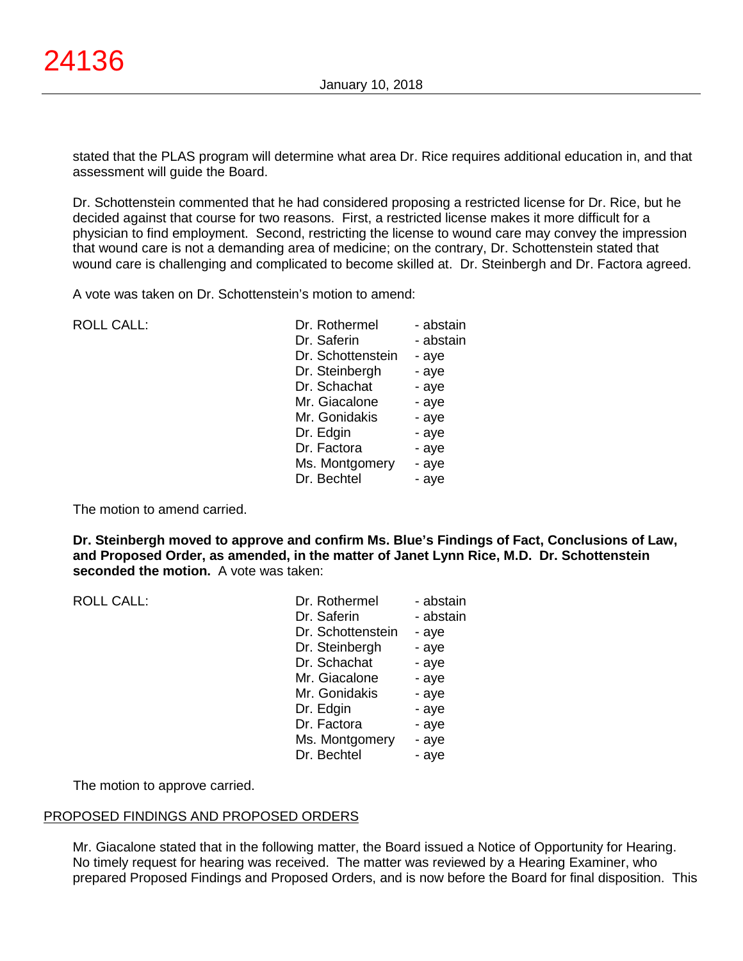stated that the PLAS program will determine what area Dr. Rice requires additional education in, and that assessment will guide the Board.

Dr. Schottenstein commented that he had considered proposing a restricted license for Dr. Rice, but he decided against that course for two reasons. First, a restricted license makes it more difficult for a physician to find employment. Second, restricting the license to wound care may convey the impression that wound care is not a demanding area of medicine; on the contrary, Dr. Schottenstein stated that wound care is challenging and complicated to become skilled at. Dr. Steinbergh and Dr. Factora agreed.

A vote was taken on Dr. Schottenstein's motion to amend:

 $ROILCAII$ :

| Dr. Rothermel     | - abstain |
|-------------------|-----------|
| Dr. Saferin       | - abstain |
| Dr. Schottenstein | - aye     |
| Dr. Steinbergh    | - aye     |
| Dr. Schachat      | - aye     |
| Mr. Giacalone     | - aye     |
| Mr. Gonidakis     | - aye     |
| Dr. Edgin         | - aye     |
| Dr. Factora       | - aye     |
| Ms. Montgomery    | - aye     |
| Dr. Bechtel       | - aye     |

The motion to amend carried.

**Dr. Steinbergh moved to approve and confirm Ms. Blue's Findings of Fact, Conclusions of Law, and Proposed Order, as amended, in the matter of Janet Lynn Rice, M.D. Dr. Schottenstein seconded the motion.** A vote was taken:

| <b>ROLL CALL:</b> | Dr. Rothermel     | - abstain |
|-------------------|-------------------|-----------|
|                   | Dr. Saferin       | - abstain |
|                   | Dr. Schottenstein | - aye     |
|                   | Dr. Steinbergh    | - aye     |
|                   | Dr. Schachat      | - aye     |
|                   | Mr. Giacalone     | - aye     |
|                   | Mr. Gonidakis     | - aye     |
|                   | Dr. Edgin         | - aye     |
|                   | Dr. Factora       | - aye     |
|                   | Ms. Montgomery    | - aye     |
|                   | Dr. Bechtel       | - aye     |

The motion to approve carried.

## PROPOSED FINDINGS AND PROPOSED ORDERS

Mr. Giacalone stated that in the following matter, the Board issued a Notice of Opportunity for Hearing. No timely request for hearing was received. The matter was reviewed by a Hearing Examiner, who prepared Proposed Findings and Proposed Orders, and is now before the Board for final disposition. This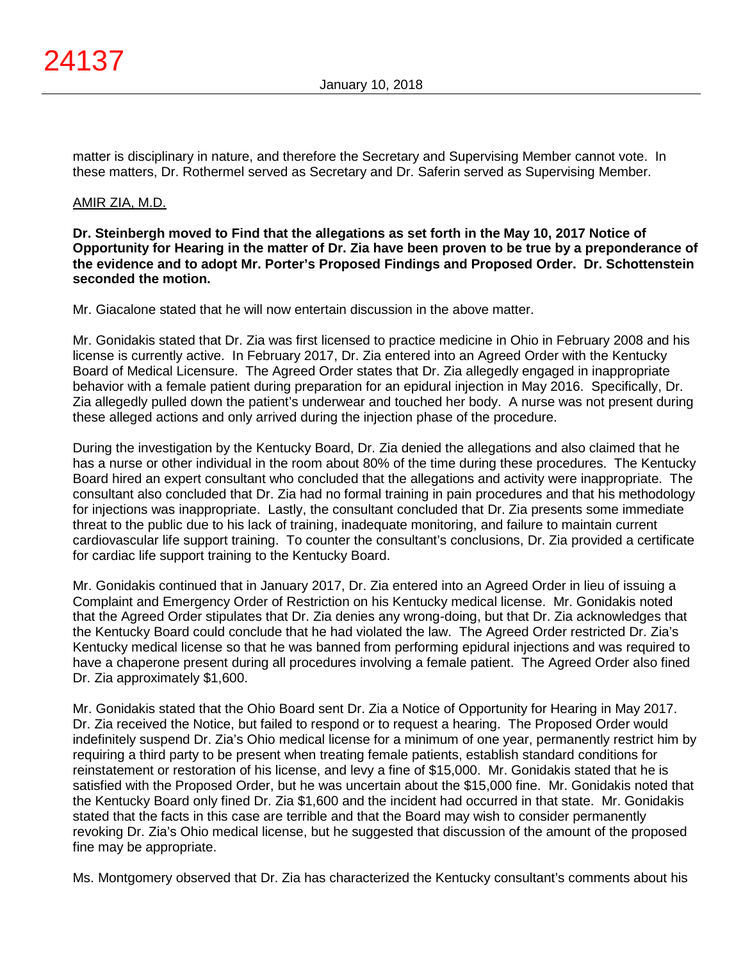matter is disciplinary in nature, and therefore the Secretary and Supervising Member cannot vote. In these matters, Dr. Rothermel served as Secretary and Dr. Saferin served as Supervising Member.

# AMIR ZIA, M.D.

**Dr. Steinbergh moved to Find that the allegations as set forth in the May 10, 2017 Notice of Opportunity for Hearing in the matter of Dr. Zia have been proven to be true by a preponderance of the evidence and to adopt Mr. Porter's Proposed Findings and Proposed Order. Dr. Schottenstein seconded the motion.**

Mr. Giacalone stated that he will now entertain discussion in the above matter.

Mr. Gonidakis stated that Dr. Zia was first licensed to practice medicine in Ohio in February 2008 and his license is currently active. In February 2017, Dr. Zia entered into an Agreed Order with the Kentucky Board of Medical Licensure. The Agreed Order states that Dr. Zia allegedly engaged in inappropriate behavior with a female patient during preparation for an epidural injection in May 2016. Specifically, Dr. Zia allegedly pulled down the patient's underwear and touched her body. A nurse was not present during these alleged actions and only arrived during the injection phase of the procedure.

During the investigation by the Kentucky Board, Dr. Zia denied the allegations and also claimed that he has a nurse or other individual in the room about 80% of the time during these procedures. The Kentucky Board hired an expert consultant who concluded that the allegations and activity were inappropriate. The consultant also concluded that Dr. Zia had no formal training in pain procedures and that his methodology for injections was inappropriate. Lastly, the consultant concluded that Dr. Zia presents some immediate threat to the public due to his lack of training, inadequate monitoring, and failure to maintain current cardiovascular life support training. To counter the consultant's conclusions, Dr. Zia provided a certificate for cardiac life support training to the Kentucky Board.

Mr. Gonidakis continued that in January 2017, Dr. Zia entered into an Agreed Order in lieu of issuing a Complaint and Emergency Order of Restriction on his Kentucky medical license. Mr. Gonidakis noted that the Agreed Order stipulates that Dr. Zia denies any wrong-doing, but that Dr. Zia acknowledges that the Kentucky Board could conclude that he had violated the law. The Agreed Order restricted Dr. Zia's Kentucky medical license so that he was banned from performing epidural injections and was required to have a chaperone present during all procedures involving a female patient. The Agreed Order also fined Dr. Zia approximately \$1,600.

Mr. Gonidakis stated that the Ohio Board sent Dr. Zia a Notice of Opportunity for Hearing in May 2017. Dr. Zia received the Notice, but failed to respond or to request a hearing. The Proposed Order would indefinitely suspend Dr. Zia's Ohio medical license for a minimum of one year, permanently restrict him by requiring a third party to be present when treating female patients, establish standard conditions for reinstatement or restoration of his license, and levy a fine of \$15,000. Mr. Gonidakis stated that he is satisfied with the Proposed Order, but he was uncertain about the \$15,000 fine. Mr. Gonidakis noted that the Kentucky Board only fined Dr. Zia \$1,600 and the incident had occurred in that state. Mr. Gonidakis stated that the facts in this case are terrible and that the Board may wish to consider permanently revoking Dr. Zia's Ohio medical license, but he suggested that discussion of the amount of the proposed fine may be appropriate.

Ms. Montgomery observed that Dr. Zia has characterized the Kentucky consultant's comments about his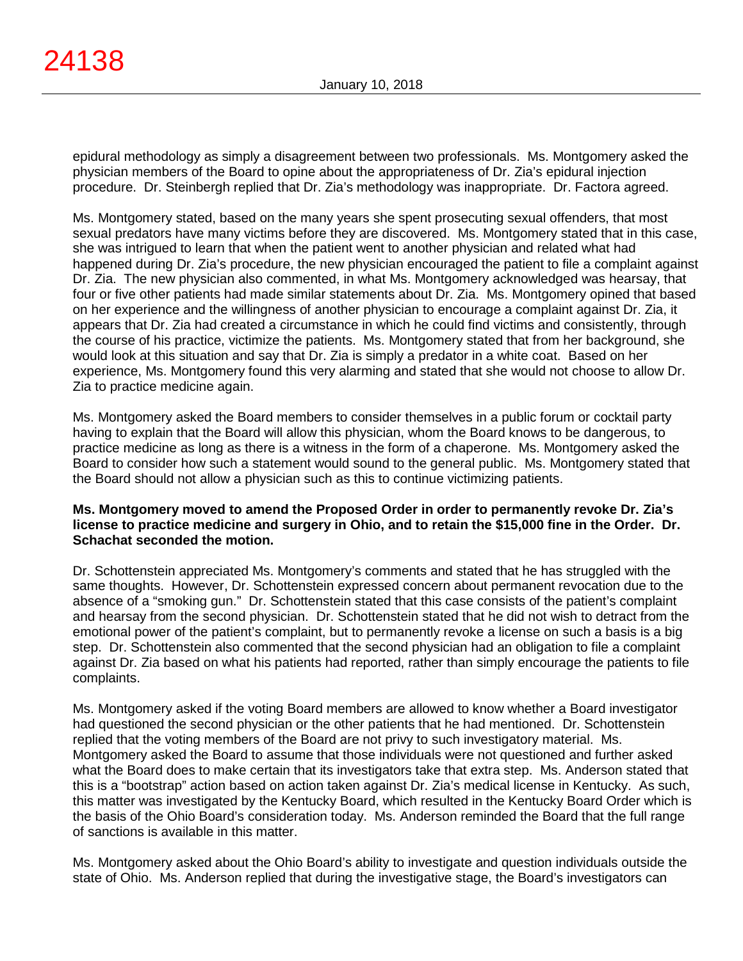epidural methodology as simply a disagreement between two professionals. Ms. Montgomery asked the physician members of the Board to opine about the appropriateness of Dr. Zia's epidural injection procedure. Dr. Steinbergh replied that Dr. Zia's methodology was inappropriate. Dr. Factora agreed.

Ms. Montgomery stated, based on the many years she spent prosecuting sexual offenders, that most sexual predators have many victims before they are discovered. Ms. Montgomery stated that in this case, she was intrigued to learn that when the patient went to another physician and related what had happened during Dr. Zia's procedure, the new physician encouraged the patient to file a complaint against Dr. Zia. The new physician also commented, in what Ms. Montgomery acknowledged was hearsay, that four or five other patients had made similar statements about Dr. Zia. Ms. Montgomery opined that based on her experience and the willingness of another physician to encourage a complaint against Dr. Zia, it appears that Dr. Zia had created a circumstance in which he could find victims and consistently, through the course of his practice, victimize the patients. Ms. Montgomery stated that from her background, she would look at this situation and say that Dr. Zia is simply a predator in a white coat. Based on her experience, Ms. Montgomery found this very alarming and stated that she would not choose to allow Dr. Zia to practice medicine again.

Ms. Montgomery asked the Board members to consider themselves in a public forum or cocktail party having to explain that the Board will allow this physician, whom the Board knows to be dangerous, to practice medicine as long as there is a witness in the form of a chaperone. Ms. Montgomery asked the Board to consider how such a statement would sound to the general public. Ms. Montgomery stated that the Board should not allow a physician such as this to continue victimizing patients.

## **Ms. Montgomery moved to amend the Proposed Order in order to permanently revoke Dr. Zia's license to practice medicine and surgery in Ohio, and to retain the \$15,000 fine in the Order. Dr. Schachat seconded the motion.**

Dr. Schottenstein appreciated Ms. Montgomery's comments and stated that he has struggled with the same thoughts. However, Dr. Schottenstein expressed concern about permanent revocation due to the absence of a "smoking gun." Dr. Schottenstein stated that this case consists of the patient's complaint and hearsay from the second physician. Dr. Schottenstein stated that he did not wish to detract from the emotional power of the patient's complaint, but to permanently revoke a license on such a basis is a big step. Dr. Schottenstein also commented that the second physician had an obligation to file a complaint against Dr. Zia based on what his patients had reported, rather than simply encourage the patients to file complaints.

Ms. Montgomery asked if the voting Board members are allowed to know whether a Board investigator had questioned the second physician or the other patients that he had mentioned. Dr. Schottenstein replied that the voting members of the Board are not privy to such investigatory material. Ms. Montgomery asked the Board to assume that those individuals were not questioned and further asked what the Board does to make certain that its investigators take that extra step. Ms. Anderson stated that this is a "bootstrap" action based on action taken against Dr. Zia's medical license in Kentucky. As such, this matter was investigated by the Kentucky Board, which resulted in the Kentucky Board Order which is the basis of the Ohio Board's consideration today. Ms. Anderson reminded the Board that the full range of sanctions is available in this matter.

Ms. Montgomery asked about the Ohio Board's ability to investigate and question individuals outside the state of Ohio. Ms. Anderson replied that during the investigative stage, the Board's investigators can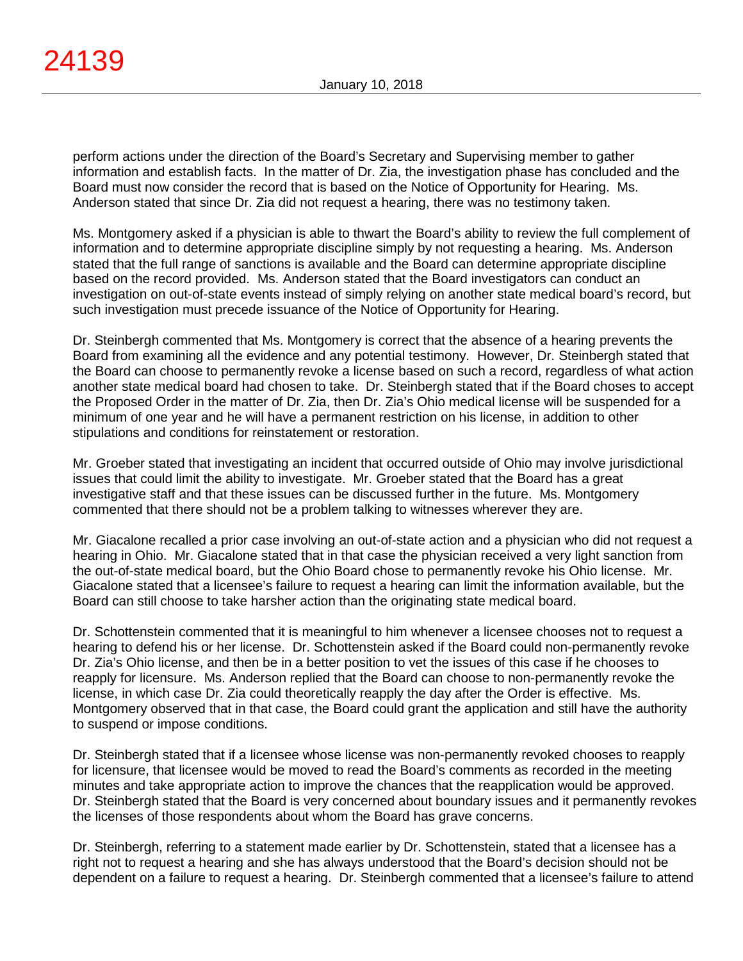perform actions under the direction of the Board's Secretary and Supervising member to gather information and establish facts. In the matter of Dr. Zia, the investigation phase has concluded and the Board must now consider the record that is based on the Notice of Opportunity for Hearing. Ms. Anderson stated that since Dr. Zia did not request a hearing, there was no testimony taken.

Ms. Montgomery asked if a physician is able to thwart the Board's ability to review the full complement of information and to determine appropriate discipline simply by not requesting a hearing. Ms. Anderson stated that the full range of sanctions is available and the Board can determine appropriate discipline based on the record provided. Ms. Anderson stated that the Board investigators can conduct an investigation on out-of-state events instead of simply relying on another state medical board's record, but such investigation must precede issuance of the Notice of Opportunity for Hearing.

Dr. Steinbergh commented that Ms. Montgomery is correct that the absence of a hearing prevents the Board from examining all the evidence and any potential testimony. However, Dr. Steinbergh stated that the Board can choose to permanently revoke a license based on such a record, regardless of what action another state medical board had chosen to take. Dr. Steinbergh stated that if the Board choses to accept the Proposed Order in the matter of Dr. Zia, then Dr. Zia's Ohio medical license will be suspended for a minimum of one year and he will have a permanent restriction on his license, in addition to other stipulations and conditions for reinstatement or restoration.

Mr. Groeber stated that investigating an incident that occurred outside of Ohio may involve jurisdictional issues that could limit the ability to investigate. Mr. Groeber stated that the Board has a great investigative staff and that these issues can be discussed further in the future. Ms. Montgomery commented that there should not be a problem talking to witnesses wherever they are.

Mr. Giacalone recalled a prior case involving an out-of-state action and a physician who did not request a hearing in Ohio. Mr. Giacalone stated that in that case the physician received a very light sanction from the out-of-state medical board, but the Ohio Board chose to permanently revoke his Ohio license. Mr. Giacalone stated that a licensee's failure to request a hearing can limit the information available, but the Board can still choose to take harsher action than the originating state medical board.

Dr. Schottenstein commented that it is meaningful to him whenever a licensee chooses not to request a hearing to defend his or her license. Dr. Schottenstein asked if the Board could non-permanently revoke Dr. Zia's Ohio license, and then be in a better position to vet the issues of this case if he chooses to reapply for licensure. Ms. Anderson replied that the Board can choose to non-permanently revoke the license, in which case Dr. Zia could theoretically reapply the day after the Order is effective. Ms. Montgomery observed that in that case, the Board could grant the application and still have the authority to suspend or impose conditions.

Dr. Steinbergh stated that if a licensee whose license was non-permanently revoked chooses to reapply for licensure, that licensee would be moved to read the Board's comments as recorded in the meeting minutes and take appropriate action to improve the chances that the reapplication would be approved. Dr. Steinbergh stated that the Board is very concerned about boundary issues and it permanently revokes the licenses of those respondents about whom the Board has grave concerns.

Dr. Steinbergh, referring to a statement made earlier by Dr. Schottenstein, stated that a licensee has a right not to request a hearing and she has always understood that the Board's decision should not be dependent on a failure to request a hearing. Dr. Steinbergh commented that a licensee's failure to attend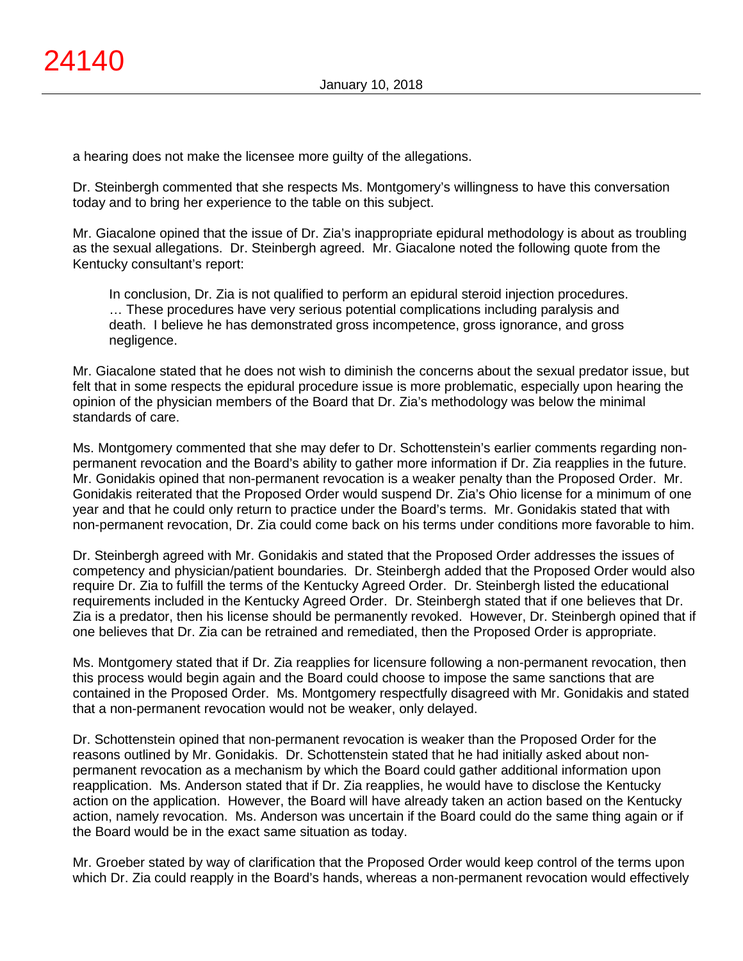a hearing does not make the licensee more guilty of the allegations.

Dr. Steinbergh commented that she respects Ms. Montgomery's willingness to have this conversation today and to bring her experience to the table on this subject.

Mr. Giacalone opined that the issue of Dr. Zia's inappropriate epidural methodology is about as troubling as the sexual allegations. Dr. Steinbergh agreed. Mr. Giacalone noted the following quote from the Kentucky consultant's report:

In conclusion, Dr. Zia is not qualified to perform an epidural steroid injection procedures. … These procedures have very serious potential complications including paralysis and death. I believe he has demonstrated gross incompetence, gross ignorance, and gross negligence.

Mr. Giacalone stated that he does not wish to diminish the concerns about the sexual predator issue, but felt that in some respects the epidural procedure issue is more problematic, especially upon hearing the opinion of the physician members of the Board that Dr. Zia's methodology was below the minimal standards of care.

Ms. Montgomery commented that she may defer to Dr. Schottenstein's earlier comments regarding nonpermanent revocation and the Board's ability to gather more information if Dr. Zia reapplies in the future. Mr. Gonidakis opined that non-permanent revocation is a weaker penalty than the Proposed Order. Mr. Gonidakis reiterated that the Proposed Order would suspend Dr. Zia's Ohio license for a minimum of one year and that he could only return to practice under the Board's terms. Mr. Gonidakis stated that with non-permanent revocation, Dr. Zia could come back on his terms under conditions more favorable to him.

Dr. Steinbergh agreed with Mr. Gonidakis and stated that the Proposed Order addresses the issues of competency and physician/patient boundaries. Dr. Steinbergh added that the Proposed Order would also require Dr. Zia to fulfill the terms of the Kentucky Agreed Order. Dr. Steinbergh listed the educational requirements included in the Kentucky Agreed Order. Dr. Steinbergh stated that if one believes that Dr. Zia is a predator, then his license should be permanently revoked. However, Dr. Steinbergh opined that if one believes that Dr. Zia can be retrained and remediated, then the Proposed Order is appropriate.

Ms. Montgomery stated that if Dr. Zia reapplies for licensure following a non-permanent revocation, then this process would begin again and the Board could choose to impose the same sanctions that are contained in the Proposed Order. Ms. Montgomery respectfully disagreed with Mr. Gonidakis and stated that a non-permanent revocation would not be weaker, only delayed.

Dr. Schottenstein opined that non-permanent revocation is weaker than the Proposed Order for the reasons outlined by Mr. Gonidakis. Dr. Schottenstein stated that he had initially asked about nonpermanent revocation as a mechanism by which the Board could gather additional information upon reapplication. Ms. Anderson stated that if Dr. Zia reapplies, he would have to disclose the Kentucky action on the application. However, the Board will have already taken an action based on the Kentucky action, namely revocation. Ms. Anderson was uncertain if the Board could do the same thing again or if the Board would be in the exact same situation as today.

Mr. Groeber stated by way of clarification that the Proposed Order would keep control of the terms upon which Dr. Zia could reapply in the Board's hands, whereas a non-permanent revocation would effectively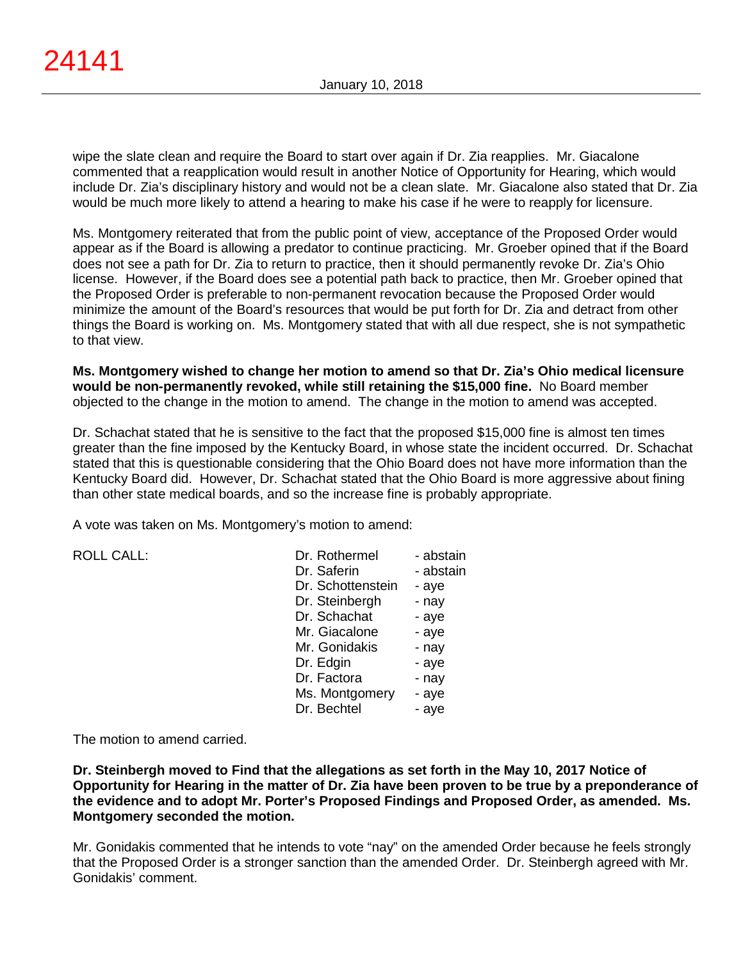wipe the slate clean and require the Board to start over again if Dr. Zia reapplies. Mr. Giacalone commented that a reapplication would result in another Notice of Opportunity for Hearing, which would include Dr. Zia's disciplinary history and would not be a clean slate. Mr. Giacalone also stated that Dr. Zia would be much more likely to attend a hearing to make his case if he were to reapply for licensure.

Ms. Montgomery reiterated that from the public point of view, acceptance of the Proposed Order would appear as if the Board is allowing a predator to continue practicing. Mr. Groeber opined that if the Board does not see a path for Dr. Zia to return to practice, then it should permanently revoke Dr. Zia's Ohio license. However, if the Board does see a potential path back to practice, then Mr. Groeber opined that the Proposed Order is preferable to non-permanent revocation because the Proposed Order would minimize the amount of the Board's resources that would be put forth for Dr. Zia and detract from other things the Board is working on. Ms. Montgomery stated that with all due respect, she is not sympathetic to that view.

**Ms. Montgomery wished to change her motion to amend so that Dr. Zia's Ohio medical licensure would be non-permanently revoked, while still retaining the \$15,000 fine.** No Board member objected to the change in the motion to amend. The change in the motion to amend was accepted.

Dr. Schachat stated that he is sensitive to the fact that the proposed \$15,000 fine is almost ten times greater than the fine imposed by the Kentucky Board, in whose state the incident occurred. Dr. Schachat stated that this is questionable considering that the Ohio Board does not have more information than the Kentucky Board did. However, Dr. Schachat stated that the Ohio Board is more aggressive about fining than other state medical boards, and so the increase fine is probably appropriate.

A vote was taken on Ms. Montgomery's motion to amend:

| <b>ROLL CALL:</b> |  |  |
|-------------------|--|--|
|                   |  |  |

| <b>ROLL CALL:</b> | Dr. Rothermel     | - abstain |
|-------------------|-------------------|-----------|
|                   | Dr. Saferin       | - abstain |
|                   | Dr. Schottenstein | - aye     |
|                   | Dr. Steinbergh    | - nay     |
|                   | Dr. Schachat      | - aye     |
|                   | Mr. Giacalone     | - aye     |
|                   | Mr. Gonidakis     | - nay     |
|                   | Dr. Edgin         | - aye     |
|                   | Dr. Factora       | - nay     |
|                   | Ms. Montgomery    | - aye     |
|                   | Dr. Bechtel       | - ave     |
|                   |                   |           |

The motion to amend carried.

**Dr. Steinbergh moved to Find that the allegations as set forth in the May 10, 2017 Notice of Opportunity for Hearing in the matter of Dr. Zia have been proven to be true by a preponderance of the evidence and to adopt Mr. Porter's Proposed Findings and Proposed Order, as amended. Ms. Montgomery seconded the motion.**

Mr. Gonidakis commented that he intends to vote "nay" on the amended Order because he feels strongly that the Proposed Order is a stronger sanction than the amended Order. Dr. Steinbergh agreed with Mr. Gonidakis' comment.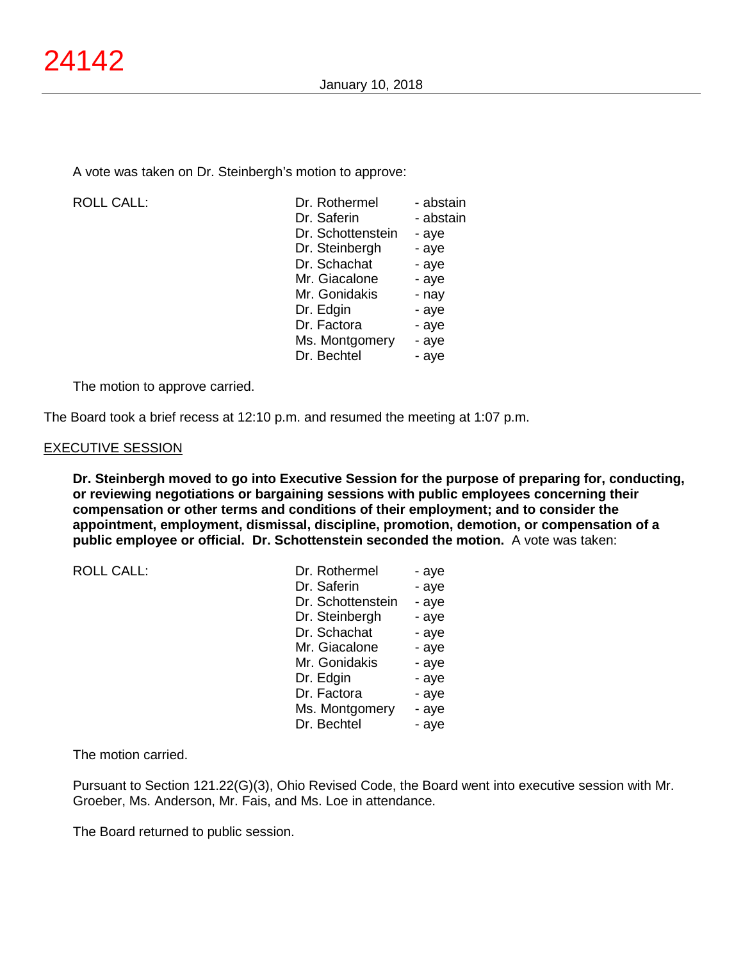A vote was taken on Dr. Steinbergh's motion to approve:

ROLL CALL:

| Dr. Rothermel     | - abstain |
|-------------------|-----------|
| Dr. Saferin       | - abstain |
| Dr. Schottenstein | - aye     |
| Dr. Steinbergh    | - aye     |
| Dr. Schachat      | - aye     |
| Mr. Giacalone     | - aye     |
| Mr. Gonidakis     | - nay     |
| Dr. Edgin         | - aye     |
| Dr. Factora       | - aye     |
| Ms. Montgomery    | - aye     |
| Dr. Bechtel       | - aye     |
|                   |           |

The motion to approve carried.

The Board took a brief recess at 12:10 p.m. and resumed the meeting at 1:07 p.m.

## EXECUTIVE SESSION

**Dr. Steinbergh moved to go into Executive Session for the purpose of preparing for, conducting, or reviewing negotiations or bargaining sessions with public employees concerning their compensation or other terms and conditions of their employment; and to consider the appointment, employment, dismissal, discipline, promotion, demotion, or compensation of a public employee or official. Dr. Schottenstein seconded the motion.** A vote was taken:

| <b>ROLL CALL:</b> |  |
|-------------------|--|

| <b>ROLL CALL:</b> | Dr. Rothermel     | - aye |
|-------------------|-------------------|-------|
|                   | Dr. Saferin       | - aye |
|                   | Dr. Schottenstein | - aye |
|                   | Dr. Steinbergh    | - aye |
|                   | Dr. Schachat      | - aye |
|                   | Mr. Giacalone     | - aye |
|                   | Mr. Gonidakis     | - aye |
|                   | Dr. Edgin         | - aye |
|                   | Dr. Factora       | - aye |
|                   | Ms. Montgomery    | - aye |
|                   | Dr. Bechtel       | - aye |
|                   |                   |       |

The motion carried.

Pursuant to Section 121.22(G)(3), Ohio Revised Code, the Board went into executive session with Mr. Groeber, Ms. Anderson, Mr. Fais, and Ms. Loe in attendance.

The Board returned to public session.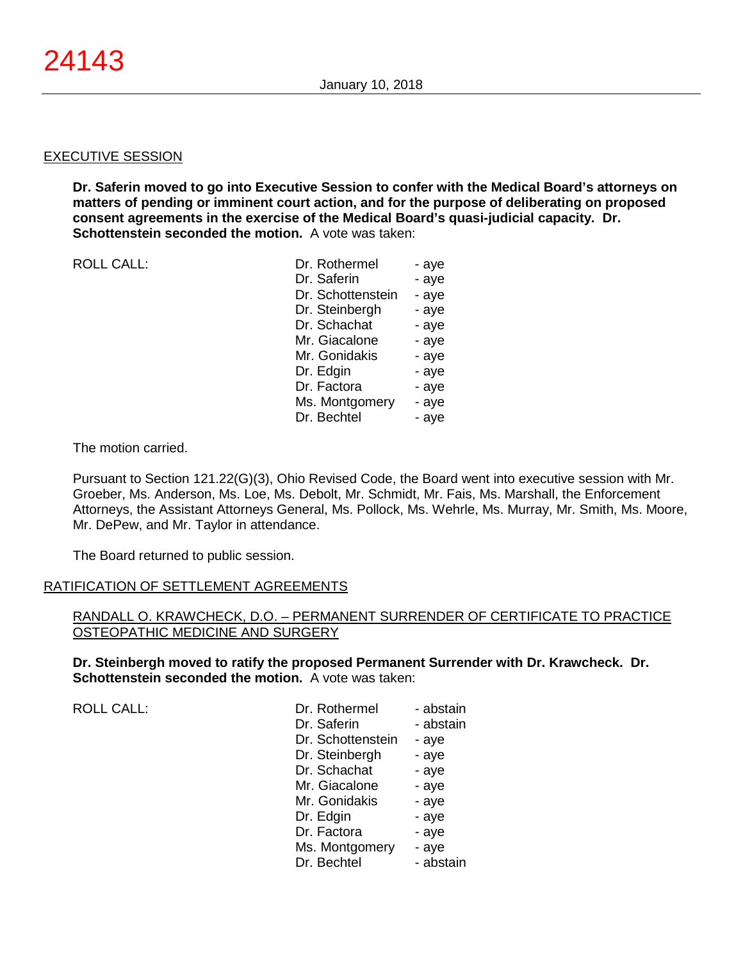### EXECUTIVE SESSION

**Dr. Saferin moved to go into Executive Session to confer with the Medical Board's attorneys on matters of pending or imminent court action, and for the purpose of deliberating on proposed consent agreements in the exercise of the Medical Board's quasi-judicial capacity. Dr. Schottenstein seconded the motion.** A vote was taken:

ROLL CALL:

The motion carried.

Pursuant to Section 121.22(G)(3), Ohio Revised Code, the Board went into executive session with Mr. Groeber, Ms. Anderson, Ms. Loe, Ms. Debolt, Mr. Schmidt, Mr. Fais, Ms. Marshall, the Enforcement Attorneys, the Assistant Attorneys General, Ms. Pollock, Ms. Wehrle, Ms. Murray, Mr. Smith, Ms. Moore, Mr. DePew, and Mr. Taylor in attendance.

The Board returned to public session.

### RATIFICATION OF SETTLEMENT AGREEMENTS

RANDALL O. KRAWCHECK, D.O. – PERMANENT SURRENDER OF CERTIFICATE TO PRACTICE OSTEOPATHIC MEDICINE AND SURGERY

**Dr. Steinbergh moved to ratify the proposed Permanent Surrender with Dr. Krawcheck. Dr. Schottenstein seconded the motion.** A vote was taken:

ROLL CALL:

| Dr. Rothermel     | - abstain |
|-------------------|-----------|
| Dr. Saferin       | - abstain |
| Dr. Schottenstein | - aye     |
| Dr. Steinbergh    | - aye     |
| Dr. Schachat      | - aye     |
| Mr. Giacalone     | - aye     |
| Mr. Gonidakis     | - aye     |
| Dr. Edgin         | - aye     |
| Dr. Factora       | - aye     |
| Ms. Montgomery    | - aye     |
| Dr. Bechtel       | - abstain |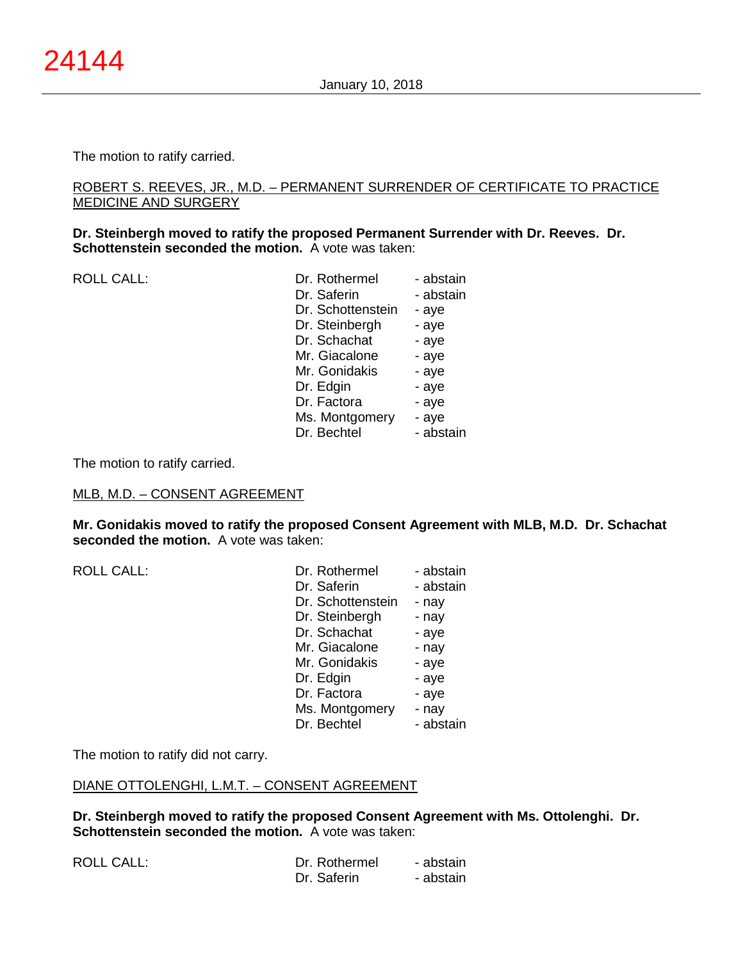The motion to ratify carried.

## ROBERT S. REEVES, JR., M.D. – PERMANENT SURRENDER OF CERTIFICATE TO PRACTICE MEDICINE AND SURGERY

**Dr. Steinbergh moved to ratify the proposed Permanent Surrender with Dr. Reeves. Dr. Schottenstein seconded the motion.** A vote was taken:

ROLL CALL:

| Dr. Rothermel     | - abstain |
|-------------------|-----------|
| Dr. Saferin       | - abstain |
| Dr. Schottenstein | - aye     |
| Dr. Steinbergh    | - aye     |
| Dr. Schachat      | - aye     |
| Mr. Giacalone     | - aye     |
| Mr. Gonidakis     | - aye     |
| Dr. Edgin         | - aye     |
| Dr. Factora       | - aye     |
| Ms. Montgomery    | - aye     |
| Dr. Bechtel       | - abstain |

The motion to ratify carried.

### MLB, M.D. – CONSENT AGREEMENT

**Mr. Gonidakis moved to ratify the proposed Consent Agreement with MLB, M.D. Dr. Schachat seconded the motion.** A vote was taken:

 $ROILCAII$ :

ROLL CALL:

| Dr. Rothermel     | - abstain |
|-------------------|-----------|
| Dr. Saferin       | - abstain |
| Dr. Schottenstein | - nay     |
| Dr. Steinbergh    | - nay     |
| Dr. Schachat      | - aye     |
| Mr. Giacalone     | - nay     |
| Mr. Gonidakis     | - aye     |
| Dr. Edgin         | - aye     |
| Dr. Factora       | - aye     |
| Ms. Montgomery    | - nay     |
| Dr. Bechtel       | - abstain |

The motion to ratify did not carry.

# DIANE OTTOLENGHI, L.M.T. – CONSENT AGREEMENT

**Dr. Steinbergh moved to ratify the proposed Consent Agreement with Ms. Ottolenghi. Dr. Schottenstein seconded the motion.** A vote was taken:

| Dr. Rothermel | - abstain |
|---------------|-----------|
| Dr. Saferin   | - abstain |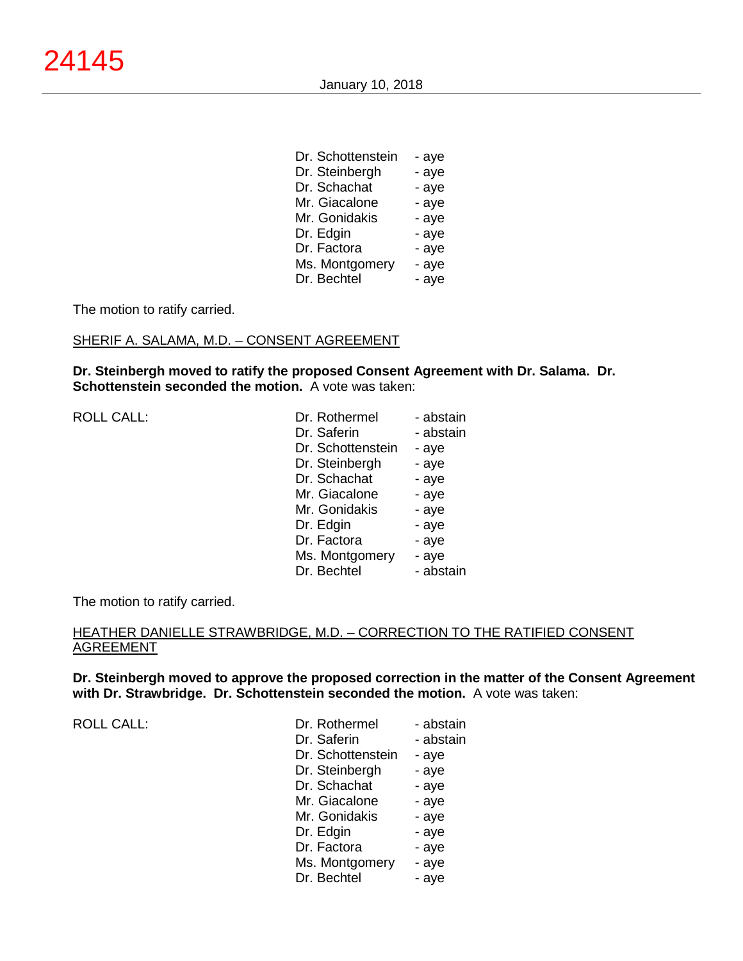| Dr. Schottenstein | - aye |
|-------------------|-------|
| Dr. Steinbergh    | - aye |
| Dr. Schachat      | - aye |
| Mr. Giacalone     | - aye |
| Mr. Gonidakis     | - aye |
| Dr. Edgin         | - aye |
| Dr. Factora       | - aye |
| Ms. Montgomery    | - aye |
| Dr. Bechtel       | - aye |

The motion to ratify carried.

#### SHERIF A. SALAMA, M.D. – CONSENT AGREEMENT

**Dr. Steinbergh moved to ratify the proposed Consent Agreement with Dr. Salama. Dr. Schottenstein seconded the motion.** A vote was taken:

ROLL CALL:

| Dr. Rothermel     | - abstain |
|-------------------|-----------|
| Dr. Saferin       | - abstain |
| Dr. Schottenstein | - aye     |
| Dr. Steinbergh    | - aye     |
| Dr. Schachat      | - aye     |
| Mr. Giacalone     | - aye     |
| Mr. Gonidakis     | - aye     |
| Dr. Edgin         | - aye     |
| Dr. Factora       | - aye     |
| Ms. Montgomery    | - aye     |
| Dr. Bechtel       | - abstain |

The motion to ratify carried.

### HEATHER DANIELLE STRAWBRIDGE, M.D. – CORRECTION TO THE RATIFIED CONSENT AGREEMENT

**Dr. Steinbergh moved to approve the proposed correction in the matter of the Consent Agreement with Dr. Strawbridge. Dr. Schottenstein seconded the motion.** A vote was taken:

ROLL CALL:

| Dr. Rothermel     | - abstain |
|-------------------|-----------|
| Dr. Saferin       | - abstain |
| Dr. Schottenstein | - aye     |
| Dr. Steinbergh    | - aye     |
| Dr. Schachat      | - aye     |
| Mr. Giacalone     | - aye     |
| Mr. Gonidakis     | - aye     |
| Dr. Edgin         | - aye     |
| Dr. Factora       | - aye     |
| Ms. Montgomery    | - aye     |
| Dr. Bechtel       | - aye     |
|                   |           |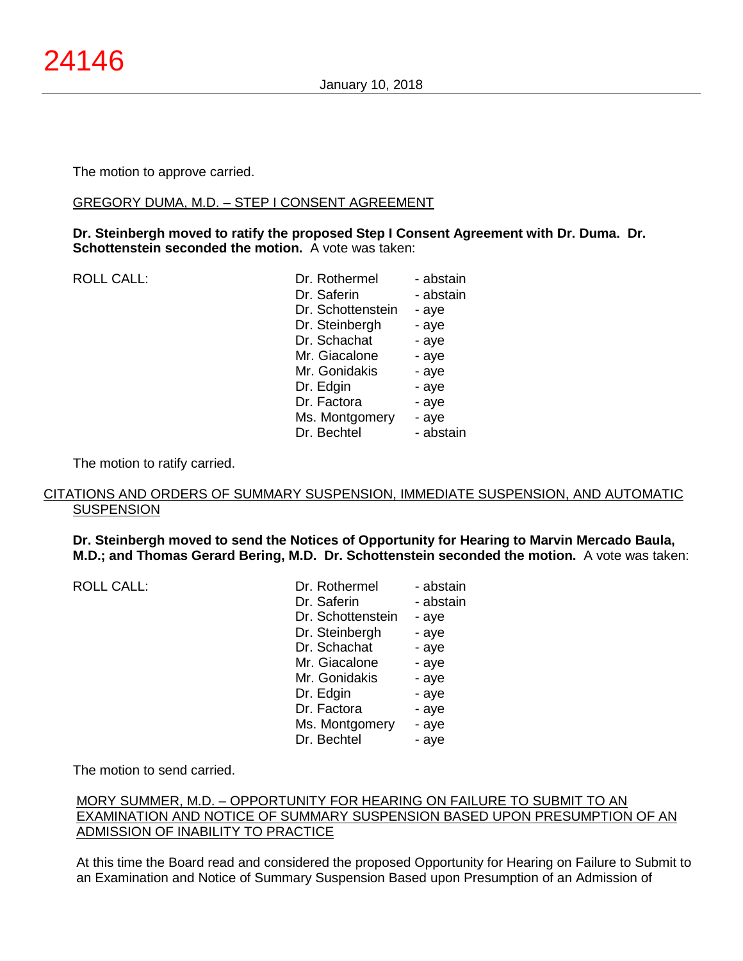The motion to approve carried.

### GREGORY DUMA, M.D. – STEP I CONSENT AGREEMENT

**Dr. Steinbergh moved to ratify the proposed Step I Consent Agreement with Dr. Duma. Dr. Schottenstein seconded the motion.** A vote was taken:

ROLL CALL:

| Dr. Rothermel     | - abstain |
|-------------------|-----------|
| Dr. Saferin       | - abstain |
| Dr. Schottenstein | - aye     |
| Dr. Steinbergh    | - aye     |
| Dr. Schachat      | - aye     |
| Mr. Giacalone     | - aye     |
| Mr. Gonidakis     | - aye     |
| Dr. Edgin         | - aye     |
| Dr. Factora       | - aye     |
| Ms. Montgomery    | - aye     |
| Dr. Bechtel       | - abstain |

The motion to ratify carried.

### CITATIONS AND ORDERS OF SUMMARY SUSPENSION, IMMEDIATE SUSPENSION, AND AUTOMATIC **SUSPENSION**

**Dr. Steinbergh moved to send the Notices of Opportunity for Hearing to Marvin Mercado Baula, M.D.; and Thomas Gerard Bering, M.D. Dr. Schottenstein seconded the motion.** A vote was taken:

| <b>ROLL CALL:</b> | Dr. Rothermel     | - abstain |
|-------------------|-------------------|-----------|
|                   | Dr. Saferin       | - abstain |
|                   | Dr. Schottenstein | - aye     |
|                   | Dr. Steinbergh    | - aye     |
|                   | Dr. Schachat      | - aye     |
|                   | Mr. Giacalone     | - aye     |
|                   | Mr. Gonidakis     | - aye     |
|                   | Dr. Edgin         | - aye     |
|                   | Dr. Factora       | - aye     |
|                   | Ms. Montgomery    | - aye     |
|                   | Dr. Bechtel       | - aye     |
|                   |                   |           |

The motion to send carried.

# MORY SUMMER, M.D. – OPPORTUNITY FOR HEARING ON FAILURE TO SUBMIT TO AN EXAMINATION AND NOTICE OF SUMMARY SUSPENSION BASED UPON PRESUMPTION OF AN ADMISSION OF INABILITY TO PRACTICE

At this time the Board read and considered the proposed Opportunity for Hearing on Failure to Submit to an Examination and Notice of Summary Suspension Based upon Presumption of an Admission of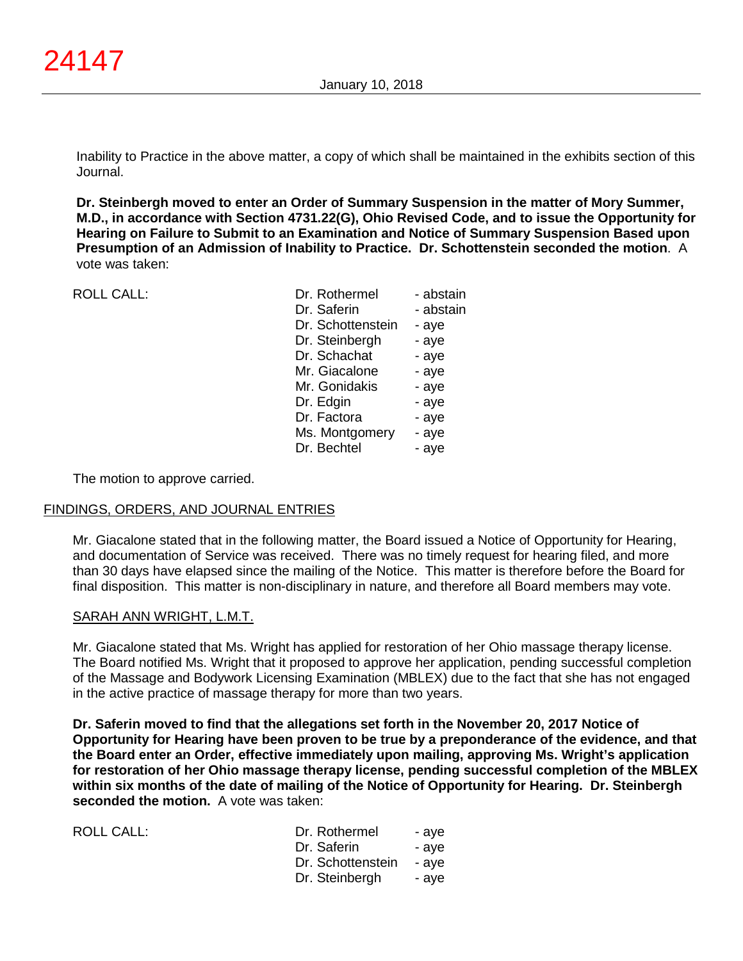Inability to Practice in the above matter, a copy of which shall be maintained in the exhibits section of this Journal.

**Dr. Steinbergh moved to enter an Order of Summary Suspension in the matter of Mory Summer, M.D., in accordance with Section 4731.22(G), Ohio Revised Code, and to issue the Opportunity for Hearing on Failure to Submit to an Examination and Notice of Summary Suspension Based upon Presumption of an Admission of Inability to Practice. Dr. Schottenstein seconded the motion**. A vote was taken:

ROLL CALL:

| Dr. Rothermel     | - abstain |
|-------------------|-----------|
| Dr. Saferin       | - abstain |
| Dr. Schottenstein | - aye     |
| Dr. Steinbergh    | - aye     |
| Dr. Schachat      | - aye     |
| Mr. Giacalone     | - aye     |
| Mr. Gonidakis     | - aye     |
| Dr. Edgin         | - aye     |
| Dr. Factora       | - aye     |
| Ms. Montgomery    | - aye     |
| Dr. Bechtel       | - aye     |
|                   |           |

The motion to approve carried.

### FINDINGS, ORDERS, AND JOURNAL ENTRIES

Mr. Giacalone stated that in the following matter, the Board issued a Notice of Opportunity for Hearing, and documentation of Service was received. There was no timely request for hearing filed, and more than 30 days have elapsed since the mailing of the Notice. This matter is therefore before the Board for final disposition. This matter is non-disciplinary in nature, and therefore all Board members may vote.

### SARAH ANN WRIGHT, L.M.T.

Mr. Giacalone stated that Ms. Wright has applied for restoration of her Ohio massage therapy license. The Board notified Ms. Wright that it proposed to approve her application, pending successful completion of the Massage and Bodywork Licensing Examination (MBLEX) due to the fact that she has not engaged in the active practice of massage therapy for more than two years.

**Dr. Saferin moved to find that the allegations set forth in the November 20, 2017 Notice of Opportunity for Hearing have been proven to be true by a preponderance of the evidence, and that the Board enter an Order, effective immediately upon mailing, approving Ms. Wright's application for restoration of her Ohio massage therapy license, pending successful completion of the MBLEX within six months of the date of mailing of the Notice of Opportunity for Hearing. Dr. Steinbergh seconded the motion.** A vote was taken:

| ROLL CALL: | Dr. Rothermel     | - ave |
|------------|-------------------|-------|
|            | Dr. Saferin       | - ave |
|            | Dr. Schottenstein | - ave |
|            | Dr. Steinbergh    | - ave |
|            |                   |       |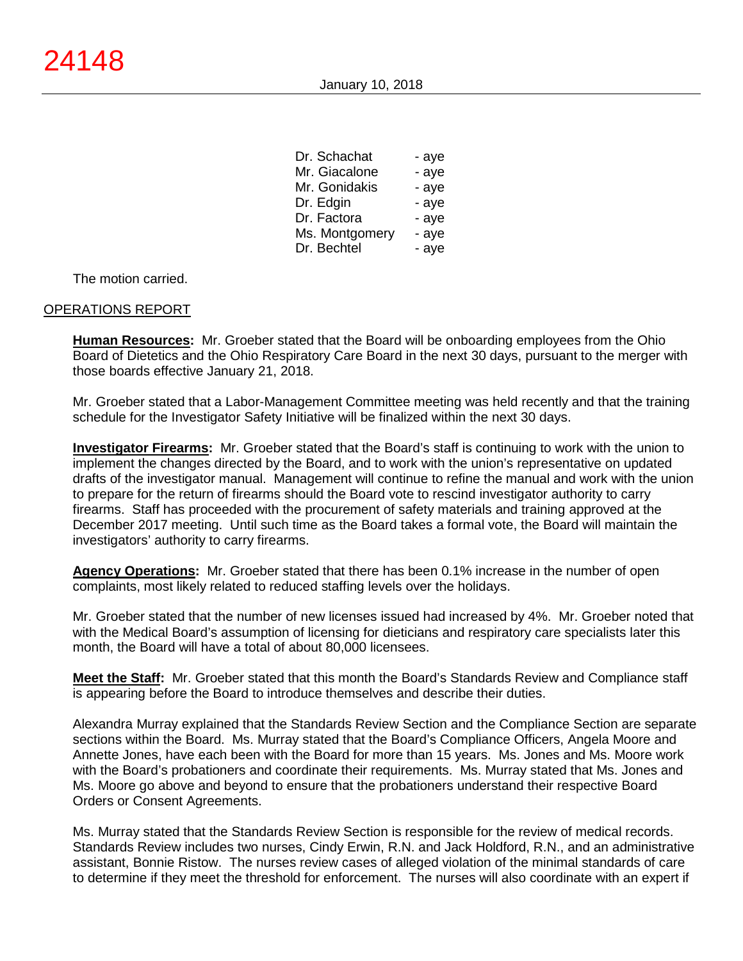| Mr. Giacalone<br>- aye  |  |
|-------------------------|--|
|                         |  |
| Mr. Gonidakis<br>- aye  |  |
| Dr. Edgin<br>- aye      |  |
| Dr. Factora<br>- aye    |  |
| Ms. Montgomery<br>- aye |  |
| Dr. Bechtel<br>- aye    |  |

 $D_n$   $C_n$  is a signal.

The motion carried.

#### OPERATIONS REPORT

**Human Resources:** Mr. Groeber stated that the Board will be onboarding employees from the Ohio Board of Dietetics and the Ohio Respiratory Care Board in the next 30 days, pursuant to the merger with those boards effective January 21, 2018.

Mr. Groeber stated that a Labor-Management Committee meeting was held recently and that the training schedule for the Investigator Safety Initiative will be finalized within the next 30 days.

**Investigator Firearms:** Mr. Groeber stated that the Board's staff is continuing to work with the union to implement the changes directed by the Board, and to work with the union's representative on updated drafts of the investigator manual. Management will continue to refine the manual and work with the union to prepare for the return of firearms should the Board vote to rescind investigator authority to carry firearms. Staff has proceeded with the procurement of safety materials and training approved at the December 2017 meeting. Until such time as the Board takes a formal vote, the Board will maintain the investigators' authority to carry firearms.

**Agency Operations:** Mr. Groeber stated that there has been 0.1% increase in the number of open complaints, most likely related to reduced staffing levels over the holidays.

Mr. Groeber stated that the number of new licenses issued had increased by 4%. Mr. Groeber noted that with the Medical Board's assumption of licensing for dieticians and respiratory care specialists later this month, the Board will have a total of about 80,000 licensees.

**Meet the Staff:** Mr. Groeber stated that this month the Board's Standards Review and Compliance staff is appearing before the Board to introduce themselves and describe their duties.

Alexandra Murray explained that the Standards Review Section and the Compliance Section are separate sections within the Board. Ms. Murray stated that the Board's Compliance Officers, Angela Moore and Annette Jones, have each been with the Board for more than 15 years. Ms. Jones and Ms. Moore work with the Board's probationers and coordinate their requirements. Ms. Murray stated that Ms. Jones and Ms. Moore go above and beyond to ensure that the probationers understand their respective Board Orders or Consent Agreements.

Ms. Murray stated that the Standards Review Section is responsible for the review of medical records. Standards Review includes two nurses, Cindy Erwin, R.N. and Jack Holdford, R.N., and an administrative assistant, Bonnie Ristow. The nurses review cases of alleged violation of the minimal standards of care to determine if they meet the threshold for enforcement. The nurses will also coordinate with an expert if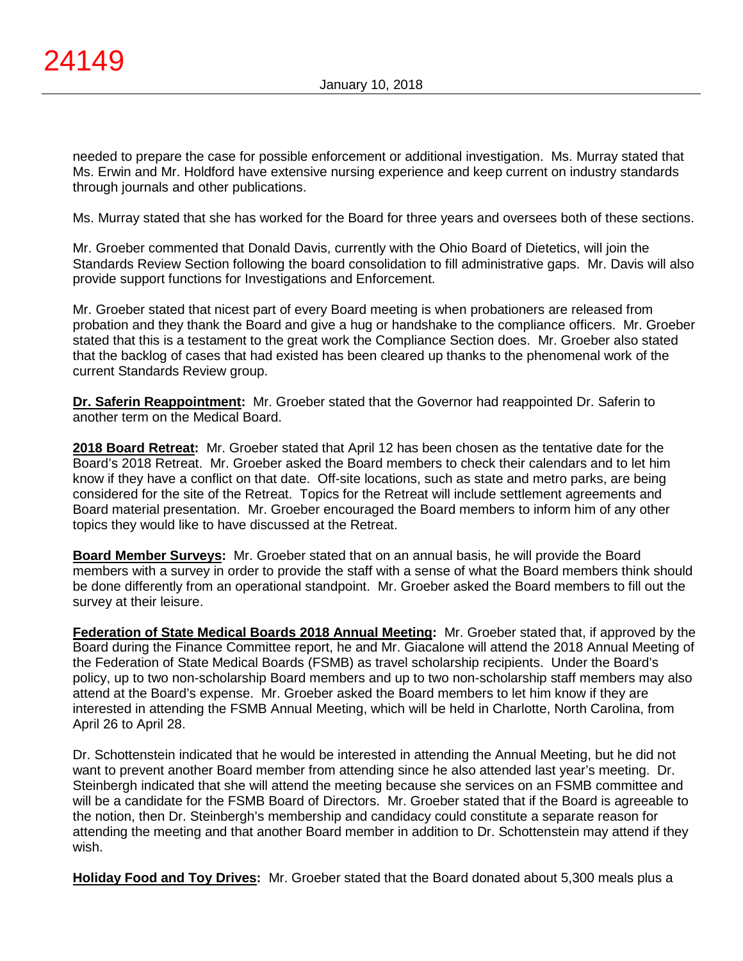needed to prepare the case for possible enforcement or additional investigation. Ms. Murray stated that Ms. Erwin and Mr. Holdford have extensive nursing experience and keep current on industry standards through journals and other publications.

Ms. Murray stated that she has worked for the Board for three years and oversees both of these sections.

Mr. Groeber commented that Donald Davis, currently with the Ohio Board of Dietetics, will join the Standards Review Section following the board consolidation to fill administrative gaps. Mr. Davis will also provide support functions for Investigations and Enforcement.

Mr. Groeber stated that nicest part of every Board meeting is when probationers are released from probation and they thank the Board and give a hug or handshake to the compliance officers. Mr. Groeber stated that this is a testament to the great work the Compliance Section does. Mr. Groeber also stated that the backlog of cases that had existed has been cleared up thanks to the phenomenal work of the current Standards Review group.

**Dr. Saferin Reappointment:** Mr. Groeber stated that the Governor had reappointed Dr. Saferin to another term on the Medical Board.

**2018 Board Retreat:** Mr. Groeber stated that April 12 has been chosen as the tentative date for the Board's 2018 Retreat. Mr. Groeber asked the Board members to check their calendars and to let him know if they have a conflict on that date. Off-site locations, such as state and metro parks, are being considered for the site of the Retreat. Topics for the Retreat will include settlement agreements and Board material presentation. Mr. Groeber encouraged the Board members to inform him of any other topics they would like to have discussed at the Retreat.

**Board Member Surveys:** Mr. Groeber stated that on an annual basis, he will provide the Board members with a survey in order to provide the staff with a sense of what the Board members think should be done differently from an operational standpoint. Mr. Groeber asked the Board members to fill out the survey at their leisure.

**Federation of State Medical Boards 2018 Annual Meeting:** Mr. Groeber stated that, if approved by the Board during the Finance Committee report, he and Mr. Giacalone will attend the 2018 Annual Meeting of the Federation of State Medical Boards (FSMB) as travel scholarship recipients. Under the Board's policy, up to two non-scholarship Board members and up to two non-scholarship staff members may also attend at the Board's expense. Mr. Groeber asked the Board members to let him know if they are interested in attending the FSMB Annual Meeting, which will be held in Charlotte, North Carolina, from April 26 to April 28.

Dr. Schottenstein indicated that he would be interested in attending the Annual Meeting, but he did not want to prevent another Board member from attending since he also attended last year's meeting. Dr. Steinbergh indicated that she will attend the meeting because she services on an FSMB committee and will be a candidate for the FSMB Board of Directors. Mr. Groeber stated that if the Board is agreeable to the notion, then Dr. Steinbergh's membership and candidacy could constitute a separate reason for attending the meeting and that another Board member in addition to Dr. Schottenstein may attend if they wish.

**Holiday Food and Toy Drives:** Mr. Groeber stated that the Board donated about 5,300 meals plus a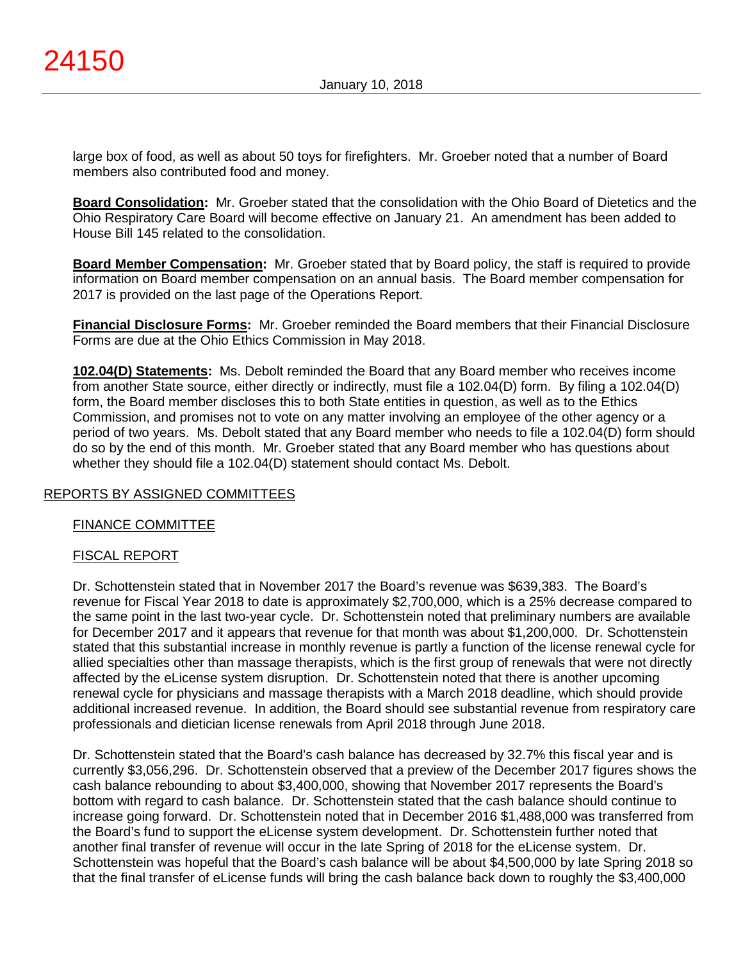large box of food, as well as about 50 toys for firefighters. Mr. Groeber noted that a number of Board members also contributed food and money.

**Board Consolidation:** Mr. Groeber stated that the consolidation with the Ohio Board of Dietetics and the Ohio Respiratory Care Board will become effective on January 21. An amendment has been added to House Bill 145 related to the consolidation.

**Board Member Compensation:** Mr. Groeber stated that by Board policy, the staff is required to provide information on Board member compensation on an annual basis. The Board member compensation for 2017 is provided on the last page of the Operations Report.

**Financial Disclosure Forms:** Mr. Groeber reminded the Board members that their Financial Disclosure Forms are due at the Ohio Ethics Commission in May 2018.

**102.04(D) Statements:** Ms. Debolt reminded the Board that any Board member who receives income from another State source, either directly or indirectly, must file a 102.04(D) form. By filing a 102.04(D) form, the Board member discloses this to both State entities in question, as well as to the Ethics Commission, and promises not to vote on any matter involving an employee of the other agency or a period of two years. Ms. Debolt stated that any Board member who needs to file a 102.04(D) form should do so by the end of this month. Mr. Groeber stated that any Board member who has questions about whether they should file a 102.04(D) statement should contact Ms. Debolt.

# REPORTS BY ASSIGNED COMMITTEES

### FINANCE COMMITTEE

# FISCAL REPORT

Dr. Schottenstein stated that in November 2017 the Board's revenue was \$639,383. The Board's revenue for Fiscal Year 2018 to date is approximately \$2,700,000, which is a 25% decrease compared to the same point in the last two-year cycle. Dr. Schottenstein noted that preliminary numbers are available for December 2017 and it appears that revenue for that month was about \$1,200,000. Dr. Schottenstein stated that this substantial increase in monthly revenue is partly a function of the license renewal cycle for allied specialties other than massage therapists, which is the first group of renewals that were not directly affected by the eLicense system disruption. Dr. Schottenstein noted that there is another upcoming renewal cycle for physicians and massage therapists with a March 2018 deadline, which should provide additional increased revenue. In addition, the Board should see substantial revenue from respiratory care professionals and dietician license renewals from April 2018 through June 2018.

Dr. Schottenstein stated that the Board's cash balance has decreased by 32.7% this fiscal year and is currently \$3,056,296. Dr. Schottenstein observed that a preview of the December 2017 figures shows the cash balance rebounding to about \$3,400,000, showing that November 2017 represents the Board's bottom with regard to cash balance. Dr. Schottenstein stated that the cash balance should continue to increase going forward. Dr. Schottenstein noted that in December 2016 \$1,488,000 was transferred from the Board's fund to support the eLicense system development. Dr. Schottenstein further noted that another final transfer of revenue will occur in the late Spring of 2018 for the eLicense system. Dr. Schottenstein was hopeful that the Board's cash balance will be about \$4,500,000 by late Spring 2018 so that the final transfer of eLicense funds will bring the cash balance back down to roughly the \$3,400,000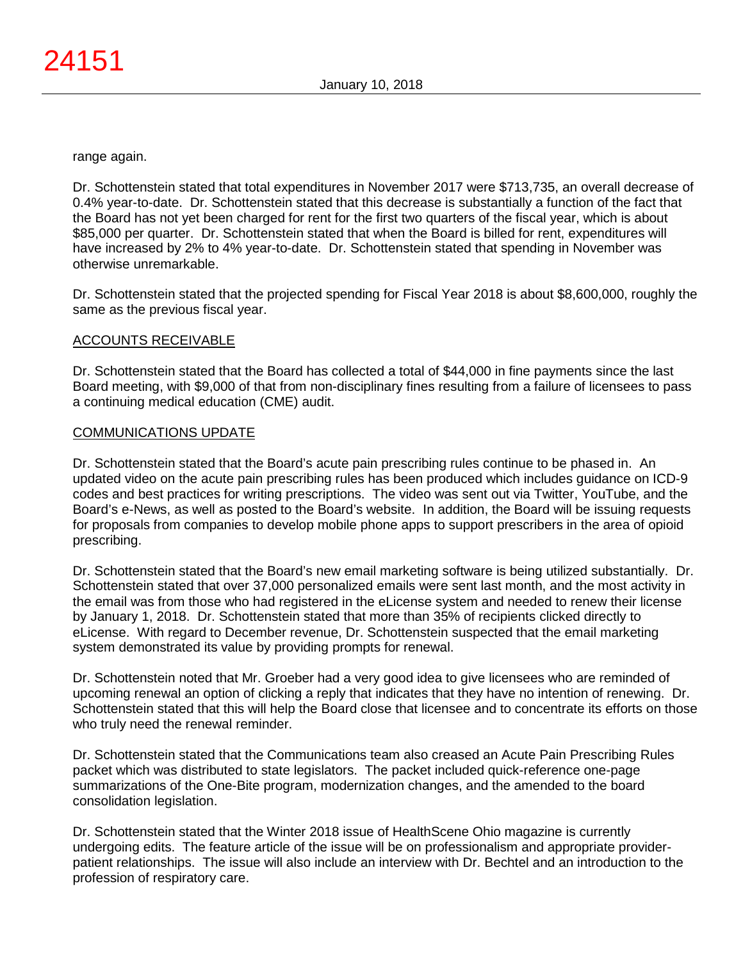range again.

Dr. Schottenstein stated that total expenditures in November 2017 were \$713,735, an overall decrease of 0.4% year-to-date. Dr. Schottenstein stated that this decrease is substantially a function of the fact that the Board has not yet been charged for rent for the first two quarters of the fiscal year, which is about \$85,000 per quarter. Dr. Schottenstein stated that when the Board is billed for rent, expenditures will have increased by 2% to 4% year-to-date. Dr. Schottenstein stated that spending in November was otherwise unremarkable.

Dr. Schottenstein stated that the projected spending for Fiscal Year 2018 is about \$8,600,000, roughly the same as the previous fiscal year.

# ACCOUNTS RECEIVABLE

Dr. Schottenstein stated that the Board has collected a total of \$44,000 in fine payments since the last Board meeting, with \$9,000 of that from non-disciplinary fines resulting from a failure of licensees to pass a continuing medical education (CME) audit.

# COMMUNICATIONS UPDATE

Dr. Schottenstein stated that the Board's acute pain prescribing rules continue to be phased in. An updated video on the acute pain prescribing rules has been produced which includes guidance on ICD-9 codes and best practices for writing prescriptions. The video was sent out via Twitter, YouTube, and the Board's e-News, as well as posted to the Board's website. In addition, the Board will be issuing requests for proposals from companies to develop mobile phone apps to support prescribers in the area of opioid prescribing.

Dr. Schottenstein stated that the Board's new email marketing software is being utilized substantially. Dr. Schottenstein stated that over 37,000 personalized emails were sent last month, and the most activity in the email was from those who had registered in the eLicense system and needed to renew their license by January 1, 2018. Dr. Schottenstein stated that more than 35% of recipients clicked directly to eLicense. With regard to December revenue, Dr. Schottenstein suspected that the email marketing system demonstrated its value by providing prompts for renewal.

Dr. Schottenstein noted that Mr. Groeber had a very good idea to give licensees who are reminded of upcoming renewal an option of clicking a reply that indicates that they have no intention of renewing. Dr. Schottenstein stated that this will help the Board close that licensee and to concentrate its efforts on those who truly need the renewal reminder.

Dr. Schottenstein stated that the Communications team also creased an Acute Pain Prescribing Rules packet which was distributed to state legislators. The packet included quick-reference one-page summarizations of the One-Bite program, modernization changes, and the amended to the board consolidation legislation.

Dr. Schottenstein stated that the Winter 2018 issue of HealthScene Ohio magazine is currently undergoing edits. The feature article of the issue will be on professionalism and appropriate providerpatient relationships. The issue will also include an interview with Dr. Bechtel and an introduction to the profession of respiratory care.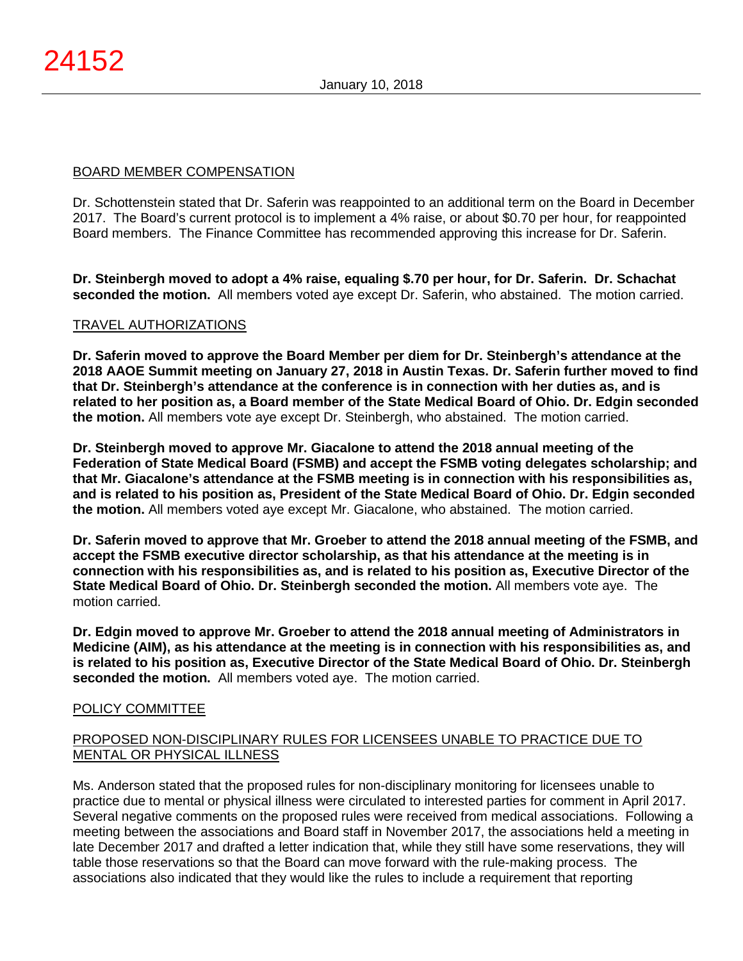### BOARD MEMBER COMPENSATION

Dr. Schottenstein stated that Dr. Saferin was reappointed to an additional term on the Board in December 2017. The Board's current protocol is to implement a 4% raise, or about \$0.70 per hour, for reappointed Board members. The Finance Committee has recommended approving this increase for Dr. Saferin.

**Dr. Steinbergh moved to adopt a 4% raise, equaling \$.70 per hour, for Dr. Saferin. Dr. Schachat seconded the motion.** All members voted aye except Dr. Saferin, who abstained. The motion carried.

# TRAVEL AUTHORIZATIONS

**Dr. Saferin moved to approve the Board Member per diem for Dr. Steinbergh's attendance at the 2018 AAOE Summit meeting on January 27, 2018 in Austin Texas. Dr. Saferin further moved to find that Dr. Steinbergh's attendance at the conference is in connection with her duties as, and is related to her position as, a Board member of the State Medical Board of Ohio. Dr. Edgin seconded the motion.** All members vote aye except Dr. Steinbergh, who abstained. The motion carried.

**Dr. Steinbergh moved to approve Mr. Giacalone to attend the 2018 annual meeting of the Federation of State Medical Board (FSMB) and accept the FSMB voting delegates scholarship; and that Mr. Giacalone's attendance at the FSMB meeting is in connection with his responsibilities as, and is related to his position as, President of the State Medical Board of Ohio. Dr. Edgin seconded the motion.** All members voted aye except Mr. Giacalone, who abstained. The motion carried.

**Dr. Saferin moved to approve that Mr. Groeber to attend the 2018 annual meeting of the FSMB, and accept the FSMB executive director scholarship, as that his attendance at the meeting is in connection with his responsibilities as, and is related to his position as, Executive Director of the State Medical Board of Ohio. Dr. Steinbergh seconded the motion.** All members vote aye. The motion carried.

**Dr. Edgin moved to approve Mr. Groeber to attend the 2018 annual meeting of Administrators in Medicine (AIM), as his attendance at the meeting is in connection with his responsibilities as, and is related to his position as, Executive Director of the State Medical Board of Ohio. Dr. Steinbergh seconded the motion.** All members voted aye. The motion carried.

### POLICY COMMITTEE

# PROPOSED NON-DISCIPLINARY RULES FOR LICENSEES UNABLE TO PRACTICE DUE TO MENTAL OR PHYSICAL ILLNESS

Ms. Anderson stated that the proposed rules for non-disciplinary monitoring for licensees unable to practice due to mental or physical illness were circulated to interested parties for comment in April 2017. Several negative comments on the proposed rules were received from medical associations. Following a meeting between the associations and Board staff in November 2017, the associations held a meeting in late December 2017 and drafted a letter indication that, while they still have some reservations, they will table those reservations so that the Board can move forward with the rule-making process. The associations also indicated that they would like the rules to include a requirement that reporting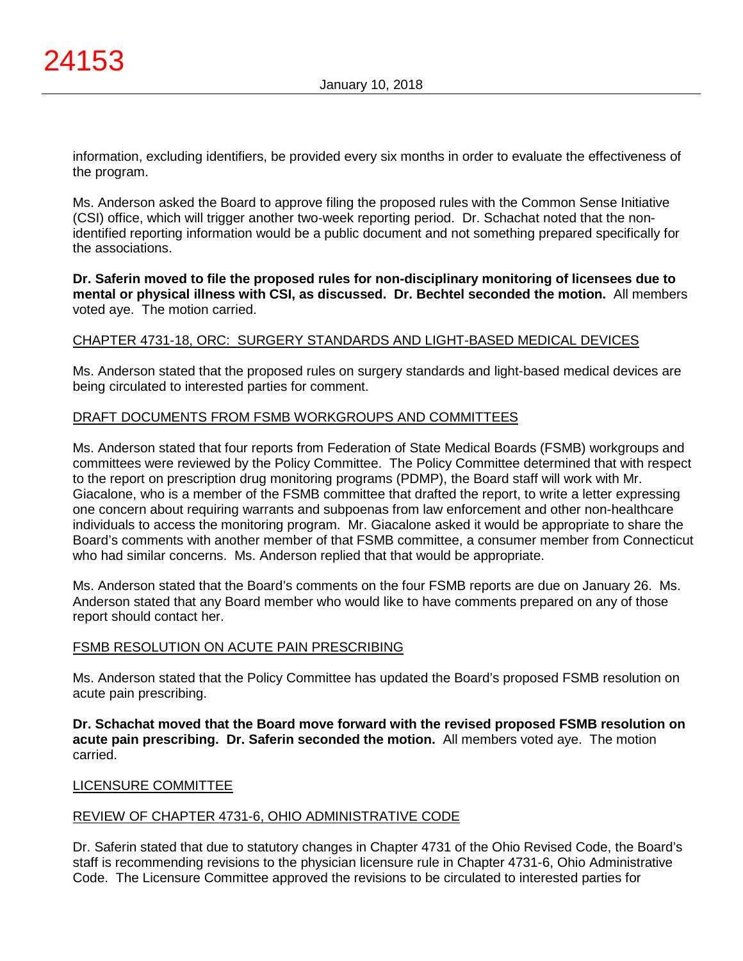information, excluding identifiers, be provided every six months in order to evaluate the effectiveness of the program.

Ms. Anderson asked the Board to approve filing the proposed rules with the Common Sense Initiative (CSI) office, which will trigger another two-week reporting period. Dr. Schachat noted that the nonidentified reporting information would be a public document and not something prepared specifically for the associations.

**Dr. Saferin moved to file the proposed rules for non-disciplinary monitoring of licensees due to mental or physical illness with CSI, as discussed. Dr. Bechtel seconded the motion.** All members voted aye. The motion carried.

### CHAPTER 4731-18, ORC: SURGERY STANDARDS AND LIGHT-BASED MEDICAL DEVICES

Ms. Anderson stated that the proposed rules on surgery standards and light-based medical devices are being circulated to interested parties for comment.

### DRAFT DOCUMENTS FROM FSMB WORKGROUPS AND COMMITTEES

Ms. Anderson stated that four reports from Federation of State Medical Boards (FSMB) workgroups and committees were reviewed by the Policy Committee. The Policy Committee determined that with respect to the report on prescription drug monitoring programs (PDMP), the Board staff will work with Mr. Giacalone, who is a member of the FSMB committee that drafted the report, to write a letter expressing one concern about requiring warrants and subpoenas from law enforcement and other non-healthcare individuals to access the monitoring program. Mr. Giacalone asked it would be appropriate to share the Board's comments with another member of that FSMB committee, a consumer member from Connecticut who had similar concerns. Ms. Anderson replied that that would be appropriate.

Ms. Anderson stated that the Board's comments on the four FSMB reports are due on January 26. Ms. Anderson stated that any Board member who would like to have comments prepared on any of those report should contact her.

### FSMB RESOLUTION ON ACUTE PAIN PRESCRIBING

Ms. Anderson stated that the Policy Committee has updated the Board's proposed FSMB resolution on acute pain prescribing.

**Dr. Schachat moved that the Board move forward with the revised proposed FSMB resolution on acute pain prescribing. Dr. Saferin seconded the motion.** All members voted aye. The motion carried.

### LICENSURE COMMITTEE

### REVIEW OF CHAPTER 4731-6, OHIO ADMINISTRATIVE CODE

Dr. Saferin stated that due to statutory changes in Chapter 4731 of the Ohio Revised Code, the Board's staff is recommending revisions to the physician licensure rule in Chapter 4731-6, Ohio Administrative Code. The Licensure Committee approved the revisions to be circulated to interested parties for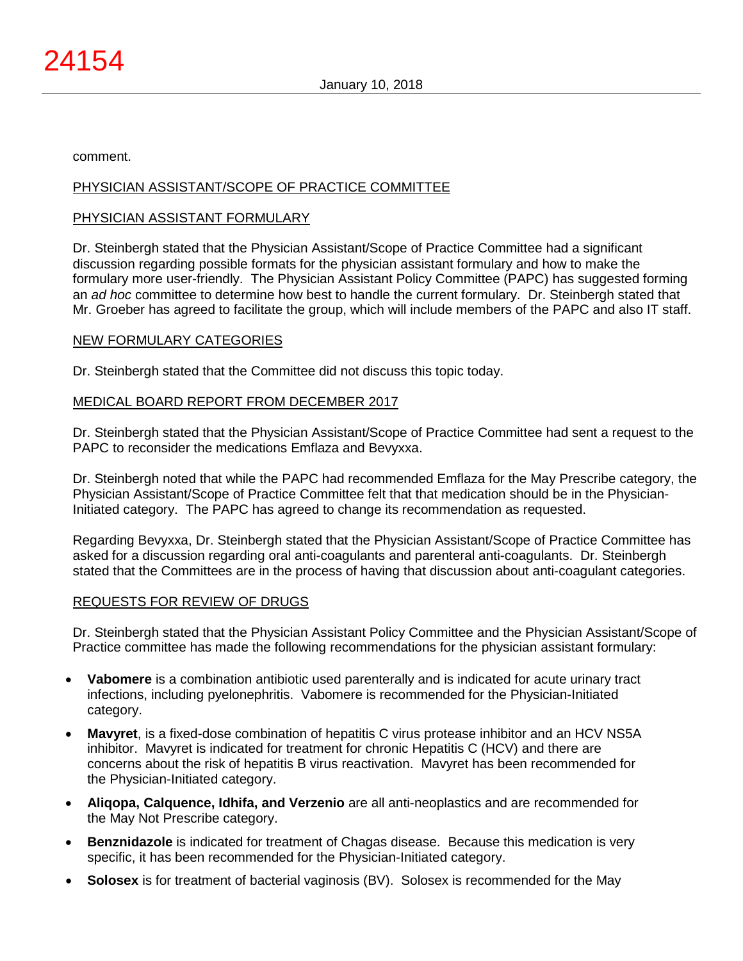comment.

### PHYSICIAN ASSISTANT/SCOPE OF PRACTICE COMMITTEE

### PHYSICIAN ASSISTANT FORMULARY

Dr. Steinbergh stated that the Physician Assistant/Scope of Practice Committee had a significant discussion regarding possible formats for the physician assistant formulary and how to make the formulary more user-friendly. The Physician Assistant Policy Committee (PAPC) has suggested forming an *ad hoc* committee to determine how best to handle the current formulary. Dr. Steinbergh stated that Mr. Groeber has agreed to facilitate the group, which will include members of the PAPC and also IT staff.

### NEW FORMULARY CATEGORIES

Dr. Steinbergh stated that the Committee did not discuss this topic today.

### MEDICAL BOARD REPORT FROM DECEMBER 2017

Dr. Steinbergh stated that the Physician Assistant/Scope of Practice Committee had sent a request to the PAPC to reconsider the medications Emflaza and Bevyxxa.

Dr. Steinbergh noted that while the PAPC had recommended Emflaza for the May Prescribe category, the Physician Assistant/Scope of Practice Committee felt that that medication should be in the Physician-Initiated category. The PAPC has agreed to change its recommendation as requested.

Regarding Bevyxxa, Dr. Steinbergh stated that the Physician Assistant/Scope of Practice Committee has asked for a discussion regarding oral anti-coagulants and parenteral anti-coagulants. Dr. Steinbergh stated that the Committees are in the process of having that discussion about anti-coagulant categories.

### REQUESTS FOR REVIEW OF DRUGS

Dr. Steinbergh stated that the Physician Assistant Policy Committee and the Physician Assistant/Scope of Practice committee has made the following recommendations for the physician assistant formulary:

- **Vabomere** is a combination antibiotic used parenterally and is indicated for acute urinary tract infections, including pyelonephritis. Vabomere is recommended for the Physician-Initiated category.
- **Mavyret**, is a fixed-dose combination of hepatitis C virus protease inhibitor and an HCV NS5A inhibitor. Mavyret is indicated for treatment for chronic Hepatitis C (HCV) and there are concerns about the risk of hepatitis B virus reactivation. Mavyret has been recommended for the Physician-Initiated category.
- **Aliqopa, Calquence, Idhifa, and Verzenio** are all anti-neoplastics and are recommended for the May Not Prescribe category.
- **Benznidazole** is indicated for treatment of Chagas disease. Because this medication is very specific, it has been recommended for the Physician-Initiated category.
- **Solosex** is for treatment of bacterial vaginosis (BV). Solosex is recommended for the May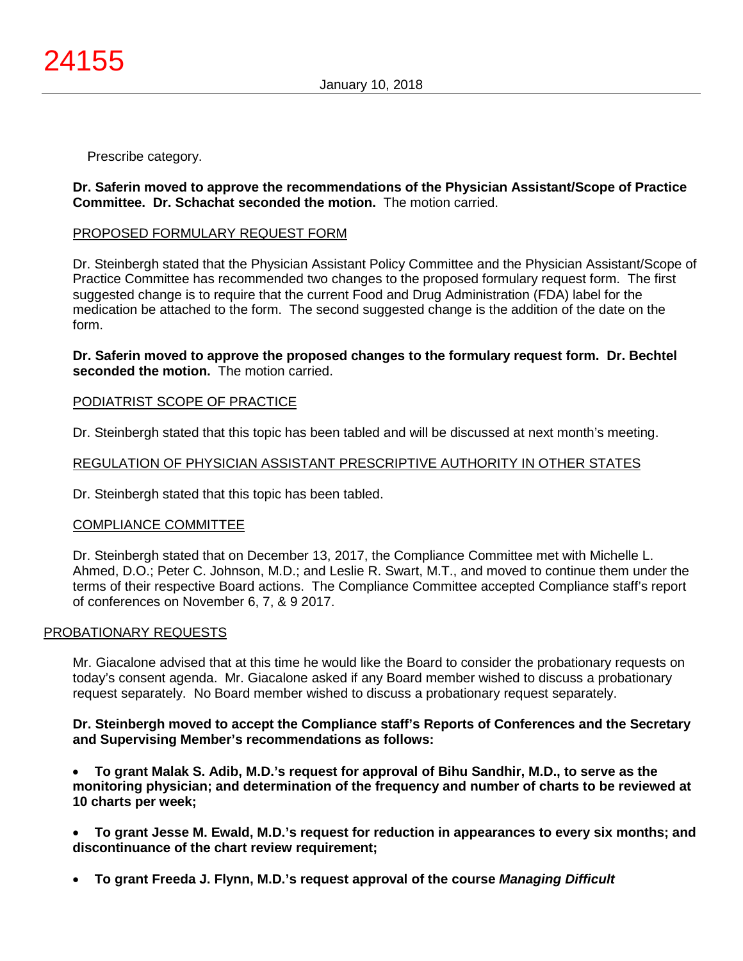Prescribe category.

# **Dr. Saferin moved to approve the recommendations of the Physician Assistant/Scope of Practice Committee. Dr. Schachat seconded the motion.** The motion carried.

# PROPOSED FORMULARY REQUEST FORM

Dr. Steinbergh stated that the Physician Assistant Policy Committee and the Physician Assistant/Scope of Practice Committee has recommended two changes to the proposed formulary request form. The first suggested change is to require that the current Food and Drug Administration (FDA) label for the medication be attached to the form. The second suggested change is the addition of the date on the form.

# **Dr. Saferin moved to approve the proposed changes to the formulary request form. Dr. Bechtel seconded the motion.** The motion carried.

# PODIATRIST SCOPE OF PRACTICE

Dr. Steinbergh stated that this topic has been tabled and will be discussed at next month's meeting.

# REGULATION OF PHYSICIAN ASSISTANT PRESCRIPTIVE AUTHORITY IN OTHER STATES

Dr. Steinbergh stated that this topic has been tabled.

# COMPLIANCE COMMITTEE

Dr. Steinbergh stated that on December 13, 2017, the Compliance Committee met with Michelle L. Ahmed, D.O.; Peter C. Johnson, M.D.; and Leslie R. Swart, M.T., and moved to continue them under the terms of their respective Board actions. The Compliance Committee accepted Compliance staff's report of conferences on November 6, 7, & 9 2017.

### PROBATIONARY REQUESTS

Mr. Giacalone advised that at this time he would like the Board to consider the probationary requests on today's consent agenda. Mr. Giacalone asked if any Board member wished to discuss a probationary request separately. No Board member wished to discuss a probationary request separately.

### **Dr. Steinbergh moved to accept the Compliance staff's Reports of Conferences and the Secretary and Supervising Member's recommendations as follows:**

• **To grant Malak S. Adib, M.D.'s request for approval of Bihu Sandhir, M.D., to serve as the monitoring physician; and determination of the frequency and number of charts to be reviewed at 10 charts per week;**

- **To grant Jesse M. Ewald, M.D.'s request for reduction in appearances to every six months; and discontinuance of the chart review requirement;**
- **To grant Freeda J. Flynn, M.D.'s request approval of the course** *Managing Difficult*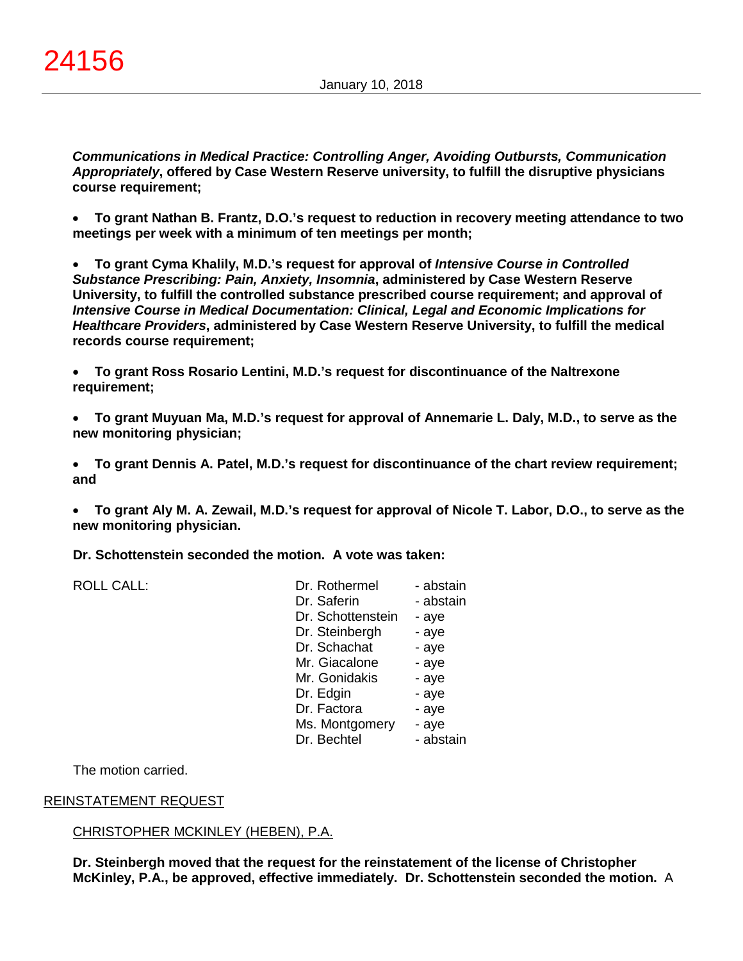*Communications in Medical Practice: Controlling Anger, Avoiding Outbursts, Communication Appropriately***, offered by Case Western Reserve university, to fulfill the disruptive physicians course requirement;**

• **To grant Nathan B. Frantz, D.O.'s request to reduction in recovery meeting attendance to two meetings per week with a minimum of ten meetings per month;**

• **To grant Cyma Khalily, M.D.'s request for approval of** *Intensive Course in Controlled Substance Prescribing: Pain, Anxiety, Insomnia***, administered by Case Western Reserve University, to fulfill the controlled substance prescribed course requirement; and approval of**  *Intensive Course in Medical Documentation: Clinical, Legal and Economic Implications for Healthcare Providers***, administered by Case Western Reserve University, to fulfill the medical records course requirement;**

• **To grant Ross Rosario Lentini, M.D.'s request for discontinuance of the Naltrexone requirement;**

• **To grant Muyuan Ma, M.D.'s request for approval of Annemarie L. Daly, M.D., to serve as the new monitoring physician;**

• **To grant Dennis A. Patel, M.D.'s request for discontinuance of the chart review requirement; and**

• **To grant Aly M. A. Zewail, M.D.'s request for approval of Nicole T. Labor, D.O., to serve as the new monitoring physician.**

**Dr. Schottenstein seconded the motion. A vote was taken:**

ROLL CALL:

| Dr. Rothermel     | - abstain |
|-------------------|-----------|
| Dr. Saferin       | - abstain |
| Dr. Schottenstein | - aye     |
| Dr. Steinbergh    | - aye     |
| Dr. Schachat      | - aye     |
| Mr. Giacalone     | - aye     |
| Mr. Gonidakis     | - aye     |
| Dr. Edgin         | - aye     |
| Dr. Factora       | - aye     |
| Ms. Montgomery    | - aye     |
| Dr. Bechtel       | - abstain |

The motion carried.

### REINSTATEMENT REQUEST

### CHRISTOPHER MCKINLEY (HEBEN), P.A.

**Dr. Steinbergh moved that the request for the reinstatement of the license of Christopher McKinley, P.A., be approved, effective immediately. Dr. Schottenstein seconded the motion.** A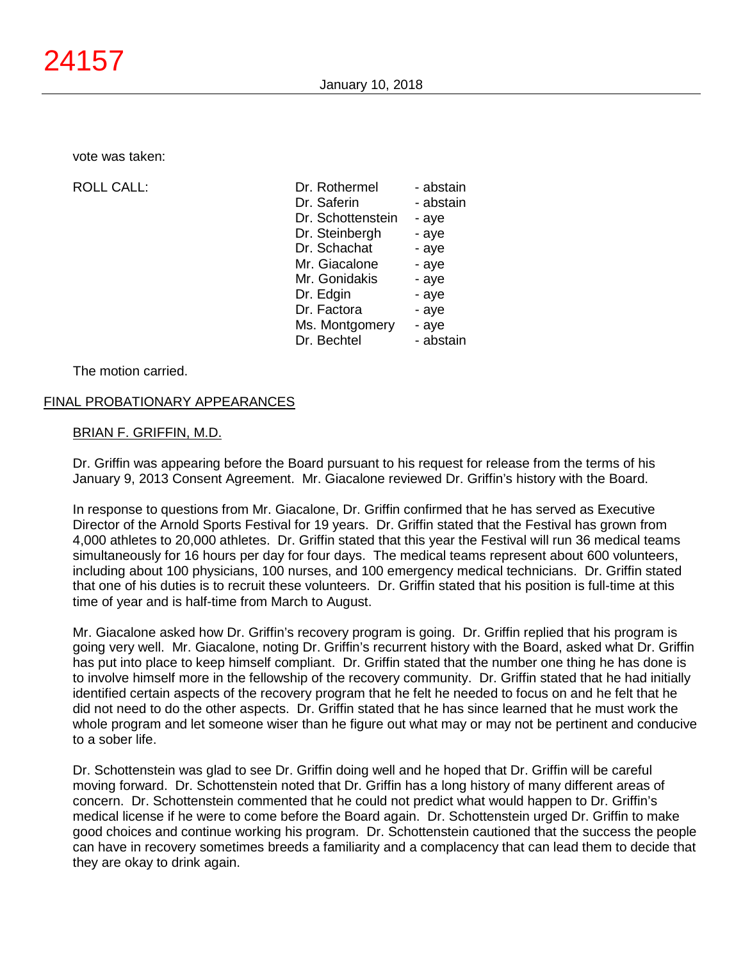vote was taken:

ROLL CALL:

| Dr. Rothermel     | - abstain |
|-------------------|-----------|
| Dr. Saferin       | - abstain |
| Dr. Schottenstein | - aye     |
| Dr. Steinbergh    | - aye     |
| Dr. Schachat      | - aye     |
| Mr. Giacalone     | - aye     |
| Mr. Gonidakis     | - aye     |
| Dr. Edgin         | - aye     |
| Dr. Factora       | - aye     |
| Ms. Montgomery    | - aye     |
| Dr. Bechtel       | - abstain |

The motion carried.

#### FINAL PROBATIONARY APPEARANCES

#### BRIAN F. GRIFFIN, M.D.

Dr. Griffin was appearing before the Board pursuant to his request for release from the terms of his January 9, 2013 Consent Agreement. Mr. Giacalone reviewed Dr. Griffin's history with the Board.

In response to questions from Mr. Giacalone, Dr. Griffin confirmed that he has served as Executive Director of the Arnold Sports Festival for 19 years. Dr. Griffin stated that the Festival has grown from 4,000 athletes to 20,000 athletes. Dr. Griffin stated that this year the Festival will run 36 medical teams simultaneously for 16 hours per day for four days. The medical teams represent about 600 volunteers, including about 100 physicians, 100 nurses, and 100 emergency medical technicians. Dr. Griffin stated that one of his duties is to recruit these volunteers. Dr. Griffin stated that his position is full-time at this time of year and is half-time from March to August.

Mr. Giacalone asked how Dr. Griffin's recovery program is going. Dr. Griffin replied that his program is going very well. Mr. Giacalone, noting Dr. Griffin's recurrent history with the Board, asked what Dr. Griffin has put into place to keep himself compliant. Dr. Griffin stated that the number one thing he has done is to involve himself more in the fellowship of the recovery community. Dr. Griffin stated that he had initially identified certain aspects of the recovery program that he felt he needed to focus on and he felt that he did not need to do the other aspects. Dr. Griffin stated that he has since learned that he must work the whole program and let someone wiser than he figure out what may or may not be pertinent and conducive to a sober life.

Dr. Schottenstein was glad to see Dr. Griffin doing well and he hoped that Dr. Griffin will be careful moving forward. Dr. Schottenstein noted that Dr. Griffin has a long history of many different areas of concern. Dr. Schottenstein commented that he could not predict what would happen to Dr. Griffin's medical license if he were to come before the Board again. Dr. Schottenstein urged Dr. Griffin to make good choices and continue working his program. Dr. Schottenstein cautioned that the success the people can have in recovery sometimes breeds a familiarity and a complacency that can lead them to decide that they are okay to drink again.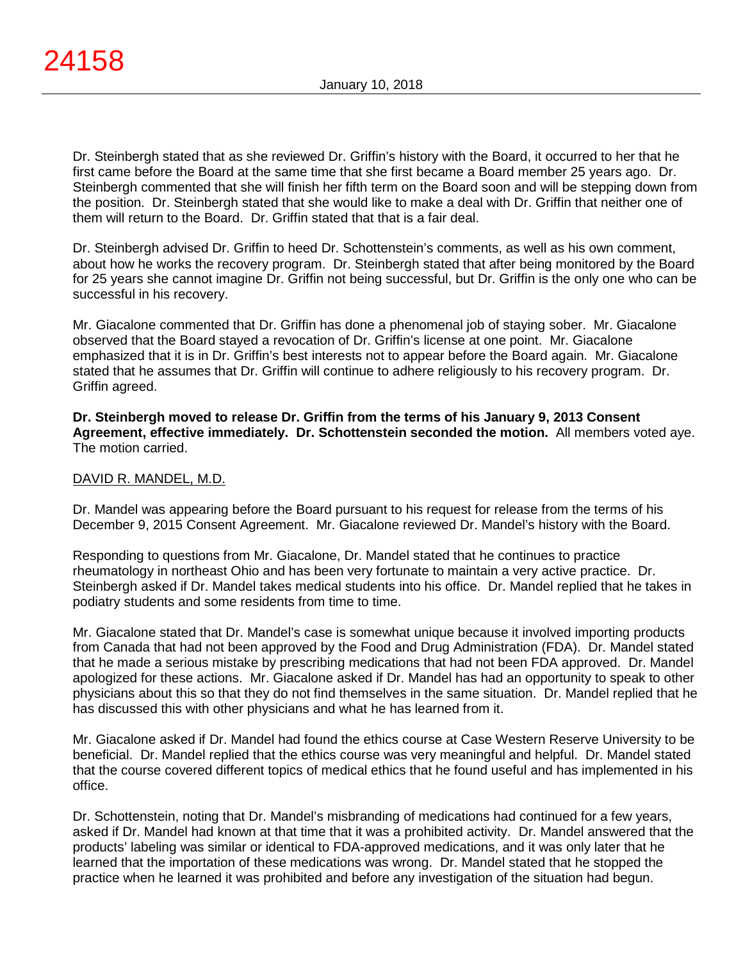Dr. Steinbergh stated that as she reviewed Dr. Griffin's history with the Board, it occurred to her that he first came before the Board at the same time that she first became a Board member 25 years ago. Dr. Steinbergh commented that she will finish her fifth term on the Board soon and will be stepping down from the position. Dr. Steinbergh stated that she would like to make a deal with Dr. Griffin that neither one of them will return to the Board. Dr. Griffin stated that that is a fair deal.

Dr. Steinbergh advised Dr. Griffin to heed Dr. Schottenstein's comments, as well as his own comment, about how he works the recovery program. Dr. Steinbergh stated that after being monitored by the Board for 25 years she cannot imagine Dr. Griffin not being successful, but Dr. Griffin is the only one who can be successful in his recovery.

Mr. Giacalone commented that Dr. Griffin has done a phenomenal job of staying sober. Mr. Giacalone observed that the Board stayed a revocation of Dr. Griffin's license at one point. Mr. Giacalone emphasized that it is in Dr. Griffin's best interests not to appear before the Board again. Mr. Giacalone stated that he assumes that Dr. Griffin will continue to adhere religiously to his recovery program. Dr. Griffin agreed.

**Dr. Steinbergh moved to release Dr. Griffin from the terms of his January 9, 2013 Consent Agreement, effective immediately. Dr. Schottenstein seconded the motion.** All members voted aye. The motion carried.

### DAVID R. MANDEL, M.D.

Dr. Mandel was appearing before the Board pursuant to his request for release from the terms of his December 9, 2015 Consent Agreement. Mr. Giacalone reviewed Dr. Mandel's history with the Board.

Responding to questions from Mr. Giacalone, Dr. Mandel stated that he continues to practice rheumatology in northeast Ohio and has been very fortunate to maintain a very active practice. Dr. Steinbergh asked if Dr. Mandel takes medical students into his office. Dr. Mandel replied that he takes in podiatry students and some residents from time to time.

Mr. Giacalone stated that Dr. Mandel's case is somewhat unique because it involved importing products from Canada that had not been approved by the Food and Drug Administration (FDA). Dr. Mandel stated that he made a serious mistake by prescribing medications that had not been FDA approved. Dr. Mandel apologized for these actions. Mr. Giacalone asked if Dr. Mandel has had an opportunity to speak to other physicians about this so that they do not find themselves in the same situation. Dr. Mandel replied that he has discussed this with other physicians and what he has learned from it.

Mr. Giacalone asked if Dr. Mandel had found the ethics course at Case Western Reserve University to be beneficial. Dr. Mandel replied that the ethics course was very meaningful and helpful. Dr. Mandel stated that the course covered different topics of medical ethics that he found useful and has implemented in his office.

Dr. Schottenstein, noting that Dr. Mandel's misbranding of medications had continued for a few years, asked if Dr. Mandel had known at that time that it was a prohibited activity. Dr. Mandel answered that the products' labeling was similar or identical to FDA-approved medications, and it was only later that he learned that the importation of these medications was wrong. Dr. Mandel stated that he stopped the practice when he learned it was prohibited and before any investigation of the situation had begun.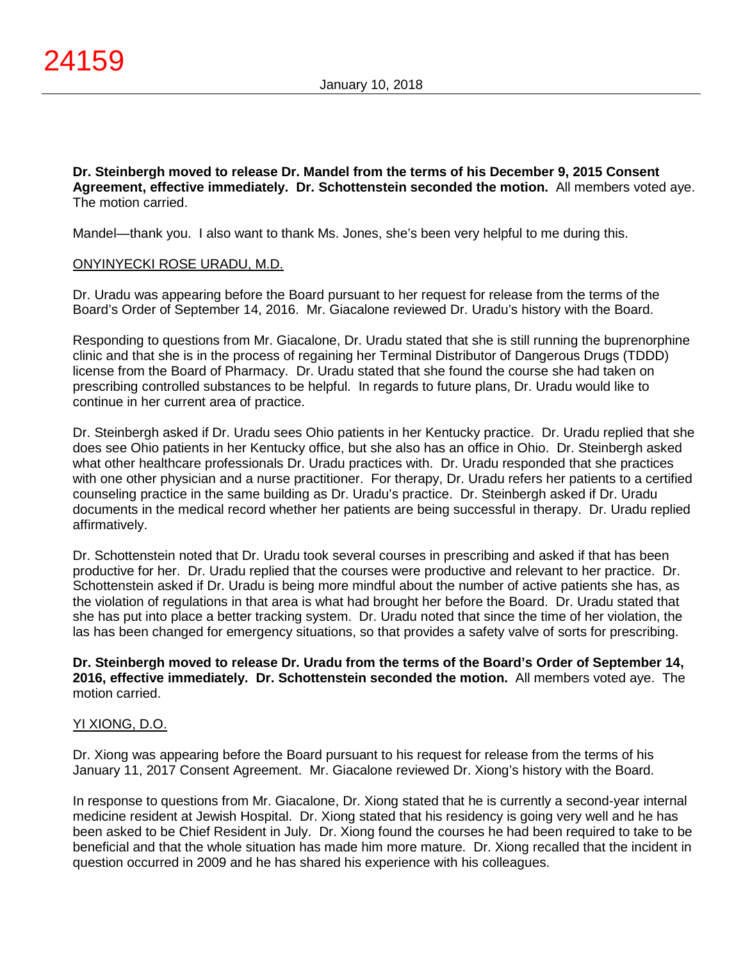**Dr. Steinbergh moved to release Dr. Mandel from the terms of his December 9, 2015 Consent Agreement, effective immediately. Dr. Schottenstein seconded the motion.** All members voted aye. The motion carried.

Mandel—thank you. I also want to thank Ms. Jones, she's been very helpful to me during this.

### ONYINYECKI ROSE URADU, M.D.

Dr. Uradu was appearing before the Board pursuant to her request for release from the terms of the Board's Order of September 14, 2016. Mr. Giacalone reviewed Dr. Uradu's history with the Board.

Responding to questions from Mr. Giacalone, Dr. Uradu stated that she is still running the buprenorphine clinic and that she is in the process of regaining her Terminal Distributor of Dangerous Drugs (TDDD) license from the Board of Pharmacy. Dr. Uradu stated that she found the course she had taken on prescribing controlled substances to be helpful. In regards to future plans, Dr. Uradu would like to continue in her current area of practice.

Dr. Steinbergh asked if Dr. Uradu sees Ohio patients in her Kentucky practice. Dr. Uradu replied that she does see Ohio patients in her Kentucky office, but she also has an office in Ohio. Dr. Steinbergh asked what other healthcare professionals Dr. Uradu practices with. Dr. Uradu responded that she practices with one other physician and a nurse practitioner. For therapy, Dr. Uradu refers her patients to a certified counseling practice in the same building as Dr. Uradu's practice. Dr. Steinbergh asked if Dr. Uradu documents in the medical record whether her patients are being successful in therapy. Dr. Uradu replied affirmatively.

Dr. Schottenstein noted that Dr. Uradu took several courses in prescribing and asked if that has been productive for her. Dr. Uradu replied that the courses were productive and relevant to her practice. Dr. Schottenstein asked if Dr. Uradu is being more mindful about the number of active patients she has, as the violation of regulations in that area is what had brought her before the Board. Dr. Uradu stated that she has put into place a better tracking system. Dr. Uradu noted that since the time of her violation, the las has been changed for emergency situations, so that provides a safety valve of sorts for prescribing.

### **Dr. Steinbergh moved to release Dr. Uradu from the terms of the Board's Order of September 14, 2016, effective immediately. Dr. Schottenstein seconded the motion.** All members voted aye. The motion carried.

### YI XIONG, D.O.

Dr. Xiong was appearing before the Board pursuant to his request for release from the terms of his January 11, 2017 Consent Agreement. Mr. Giacalone reviewed Dr. Xiong's history with the Board.

In response to questions from Mr. Giacalone, Dr. Xiong stated that he is currently a second-year internal medicine resident at Jewish Hospital. Dr. Xiong stated that his residency is going very well and he has been asked to be Chief Resident in July. Dr. Xiong found the courses he had been required to take to be beneficial and that the whole situation has made him more mature. Dr. Xiong recalled that the incident in question occurred in 2009 and he has shared his experience with his colleagues.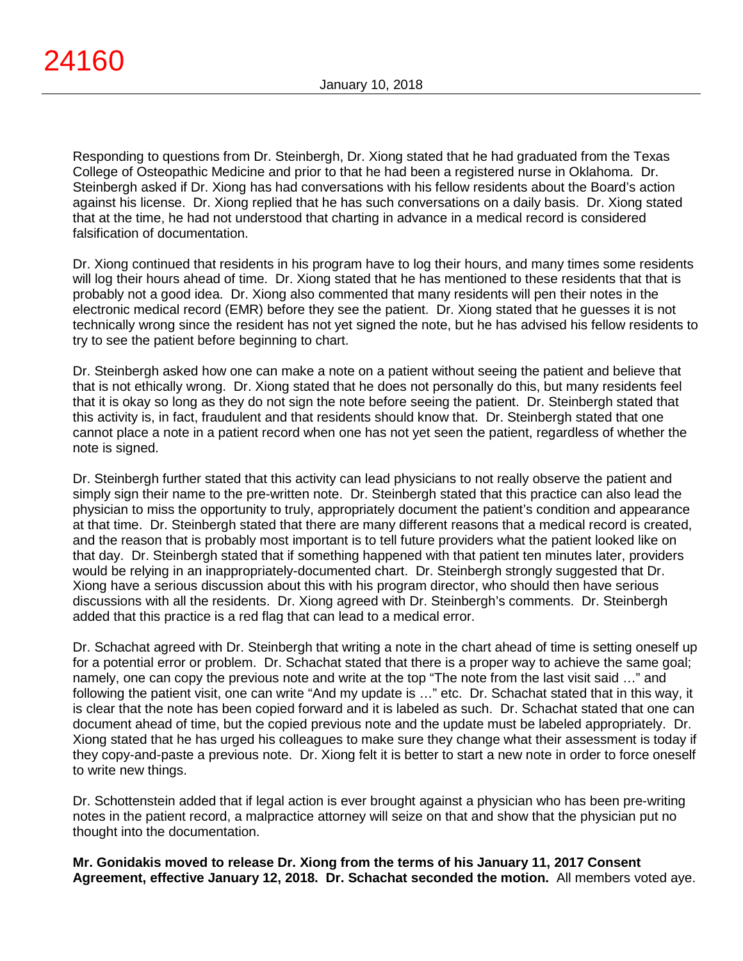Responding to questions from Dr. Steinbergh, Dr. Xiong stated that he had graduated from the Texas College of Osteopathic Medicine and prior to that he had been a registered nurse in Oklahoma. Dr. Steinbergh asked if Dr. Xiong has had conversations with his fellow residents about the Board's action against his license. Dr. Xiong replied that he has such conversations on a daily basis. Dr. Xiong stated that at the time, he had not understood that charting in advance in a medical record is considered falsification of documentation.

Dr. Xiong continued that residents in his program have to log their hours, and many times some residents will log their hours ahead of time. Dr. Xiong stated that he has mentioned to these residents that that is probably not a good idea. Dr. Xiong also commented that many residents will pen their notes in the electronic medical record (EMR) before they see the patient. Dr. Xiong stated that he guesses it is not technically wrong since the resident has not yet signed the note, but he has advised his fellow residents to try to see the patient before beginning to chart.

Dr. Steinbergh asked how one can make a note on a patient without seeing the patient and believe that that is not ethically wrong. Dr. Xiong stated that he does not personally do this, but many residents feel that it is okay so long as they do not sign the note before seeing the patient. Dr. Steinbergh stated that this activity is, in fact, fraudulent and that residents should know that. Dr. Steinbergh stated that one cannot place a note in a patient record when one has not yet seen the patient, regardless of whether the note is signed.

Dr. Steinbergh further stated that this activity can lead physicians to not really observe the patient and simply sign their name to the pre-written note. Dr. Steinbergh stated that this practice can also lead the physician to miss the opportunity to truly, appropriately document the patient's condition and appearance at that time. Dr. Steinbergh stated that there are many different reasons that a medical record is created, and the reason that is probably most important is to tell future providers what the patient looked like on that day. Dr. Steinbergh stated that if something happened with that patient ten minutes later, providers would be relying in an inappropriately-documented chart. Dr. Steinbergh strongly suggested that Dr. Xiong have a serious discussion about this with his program director, who should then have serious discussions with all the residents. Dr. Xiong agreed with Dr. Steinbergh's comments. Dr. Steinbergh added that this practice is a red flag that can lead to a medical error.

Dr. Schachat agreed with Dr. Steinbergh that writing a note in the chart ahead of time is setting oneself up for a potential error or problem. Dr. Schachat stated that there is a proper way to achieve the same goal; namely, one can copy the previous note and write at the top "The note from the last visit said …" and following the patient visit, one can write "And my update is …" etc. Dr. Schachat stated that in this way, it is clear that the note has been copied forward and it is labeled as such. Dr. Schachat stated that one can document ahead of time, but the copied previous note and the update must be labeled appropriately. Dr. Xiong stated that he has urged his colleagues to make sure they change what their assessment is today if they copy-and-paste a previous note. Dr. Xiong felt it is better to start a new note in order to force oneself to write new things.

Dr. Schottenstein added that if legal action is ever brought against a physician who has been pre-writing notes in the patient record, a malpractice attorney will seize on that and show that the physician put no thought into the documentation.

**Mr. Gonidakis moved to release Dr. Xiong from the terms of his January 11, 2017 Consent Agreement, effective January 12, 2018. Dr. Schachat seconded the motion.** All members voted aye.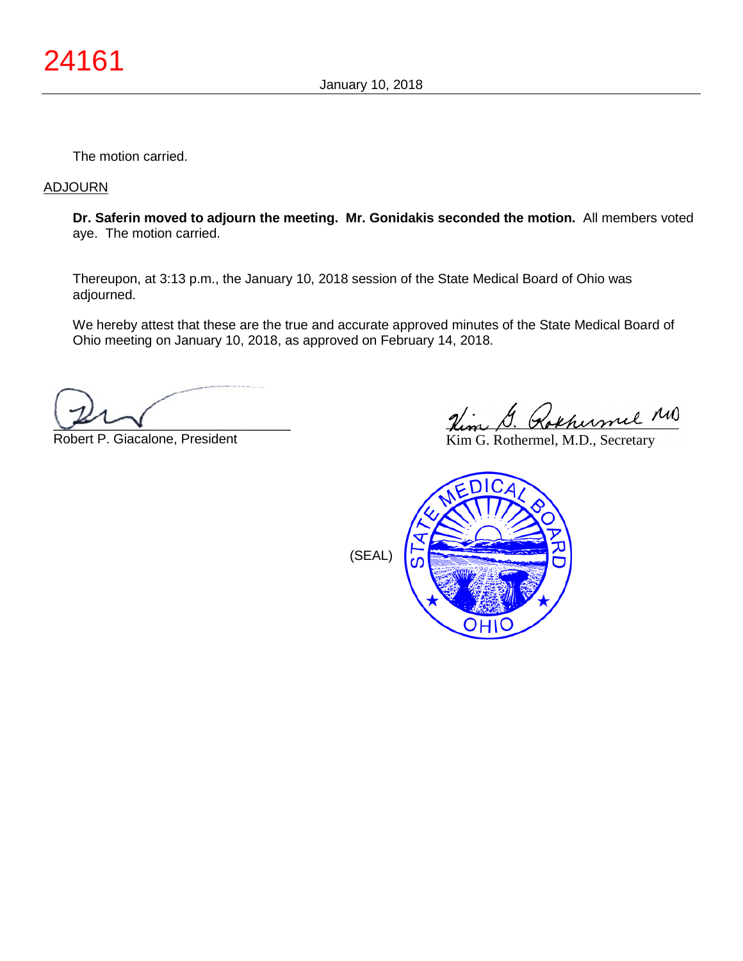The motion carried.

### ADJOURN

**Dr. Saferin moved to adjourn the meeting. Mr. Gonidakis seconded the motion.** All members voted aye. The motion carried.

Thereupon, at 3:13 p.m., the January 10, 2018 session of the State Medical Board of Ohio was adjourned.

We hereby attest that these are the true and accurate approved minutes of the State Medical Board of Ohio meeting on January 10, 2018, as approved on February 14, 2018.

 $\sqrt{2}$ 

Robert P. Giacalone, President

Him G. Rokhumel MD

Kim G. Rothermel, M.D., Secretary

(SEAL)

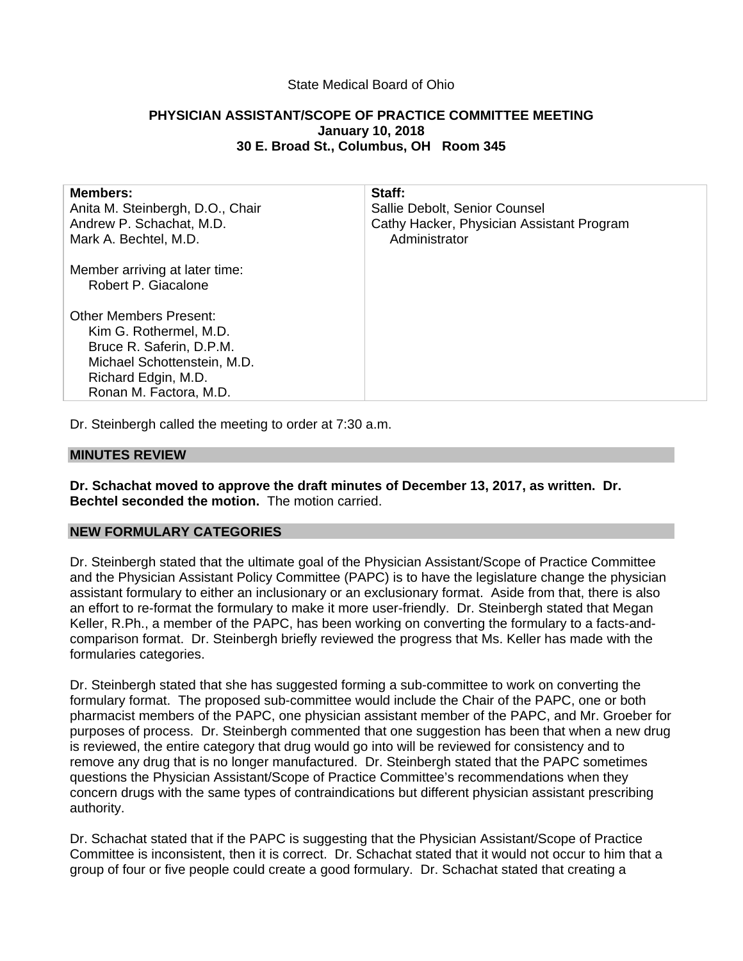### State Medical Board of Ohio

# **PHYSICIAN ASSISTANT/SCOPE OF PRACTICE COMMITTEE MEETING January 10, 2018 30 E. Broad St., Columbus, OH Room 345**

| <b>Members:</b><br>Anita M. Steinbergh, D.O., Chair<br>Andrew P. Schachat, M.D.<br>Mark A. Bechtel, M.D.                                                     | Staff:<br>Sallie Debolt, Senior Counsel<br>Cathy Hacker, Physician Assistant Program<br>Administrator |
|--------------------------------------------------------------------------------------------------------------------------------------------------------------|-------------------------------------------------------------------------------------------------------|
| Member arriving at later time:<br>Robert P. Giacalone                                                                                                        |                                                                                                       |
| Other Members Present:<br>Kim G. Rothermel, M.D.<br>Bruce R. Saferin, D.P.M.<br>Michael Schottenstein, M.D.<br>Richard Edgin, M.D.<br>Ronan M. Factora, M.D. |                                                                                                       |
|                                                                                                                                                              |                                                                                                       |

Dr. Steinbergh called the meeting to order at 7:30 a.m.

#### **MINUTES REVIEW**

**Dr. Schachat moved to approve the draft minutes of December 13, 2017, as written. Dr. Bechtel seconded the motion.** The motion carried.

### **NEW FORMULARY CATEGORIES**

Dr. Steinbergh stated that the ultimate goal of the Physician Assistant/Scope of Practice Committee and the Physician Assistant Policy Committee (PAPC) is to have the legislature change the physician assistant formulary to either an inclusionary or an exclusionary format. Aside from that, there is also an effort to re-format the formulary to make it more user-friendly. Dr. Steinbergh stated that Megan Keller, R.Ph., a member of the PAPC, has been working on converting the formulary to a facts-andcomparison format. Dr. Steinbergh briefly reviewed the progress that Ms. Keller has made with the formularies categories.

Dr. Steinbergh stated that she has suggested forming a sub-committee to work on converting the formulary format. The proposed sub-committee would include the Chair of the PAPC, one or both pharmacist members of the PAPC, one physician assistant member of the PAPC, and Mr. Groeber for purposes of process. Dr. Steinbergh commented that one suggestion has been that when a new drug is reviewed, the entire category that drug would go into will be reviewed for consistency and to remove any drug that is no longer manufactured. Dr. Steinbergh stated that the PAPC sometimes questions the Physician Assistant/Scope of Practice Committee's recommendations when they concern drugs with the same types of contraindications but different physician assistant prescribing authority.

Dr. Schachat stated that if the PAPC is suggesting that the Physician Assistant/Scope of Practice Committee is inconsistent, then it is correct. Dr. Schachat stated that it would not occur to him that a group of four or five people could create a good formulary. Dr. Schachat stated that creating a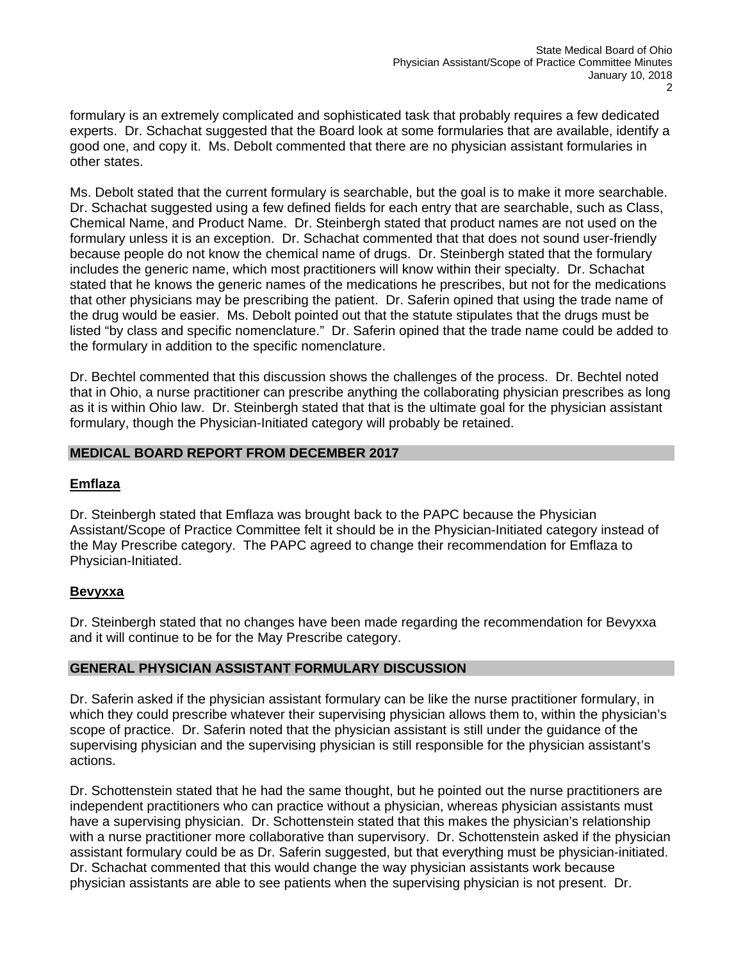formulary is an extremely complicated and sophisticated task that probably requires a few dedicated experts. Dr. Schachat suggested that the Board look at some formularies that are available, identify a good one, and copy it. Ms. Debolt commented that there are no physician assistant formularies in other states.

Ms. Debolt stated that the current formulary is searchable, but the goal is to make it more searchable. Dr. Schachat suggested using a few defined fields for each entry that are searchable, such as Class, Chemical Name, and Product Name. Dr. Steinbergh stated that product names are not used on the formulary unless it is an exception. Dr. Schachat commented that that does not sound user-friendly because people do not know the chemical name of drugs. Dr. Steinbergh stated that the formulary includes the generic name, which most practitioners will know within their specialty. Dr. Schachat stated that he knows the generic names of the medications he prescribes, but not for the medications that other physicians may be prescribing the patient. Dr. Saferin opined that using the trade name of the drug would be easier. Ms. Debolt pointed out that the statute stipulates that the drugs must be listed "by class and specific nomenclature." Dr. Saferin opined that the trade name could be added to the formulary in addition to the specific nomenclature.

Dr. Bechtel commented that this discussion shows the challenges of the process. Dr. Bechtel noted that in Ohio, a nurse practitioner can prescribe anything the collaborating physician prescribes as long as it is within Ohio law. Dr. Steinbergh stated that that is the ultimate goal for the physician assistant formulary, though the Physician-Initiated category will probably be retained.

# **MEDICAL BOARD REPORT FROM DECEMBER 2017**

# **Emflaza**

Dr. Steinbergh stated that Emflaza was brought back to the PAPC because the Physician Assistant/Scope of Practice Committee felt it should be in the Physician-Initiated category instead of the May Prescribe category. The PAPC agreed to change their recommendation for Emflaza to Physician-Initiated.

# **Bevyxxa**

Dr. Steinbergh stated that no changes have been made regarding the recommendation for Bevyxxa and it will continue to be for the May Prescribe category.

# **GENERAL PHYSICIAN ASSISTANT FORMULARY DISCUSSION**

Dr. Saferin asked if the physician assistant formulary can be like the nurse practitioner formulary, in which they could prescribe whatever their supervising physician allows them to, within the physician's scope of practice. Dr. Saferin noted that the physician assistant is still under the guidance of the supervising physician and the supervising physician is still responsible for the physician assistant's actions.

Dr. Schottenstein stated that he had the same thought, but he pointed out the nurse practitioners are independent practitioners who can practice without a physician, whereas physician assistants must have a supervising physician. Dr. Schottenstein stated that this makes the physician's relationship with a nurse practitioner more collaborative than supervisory. Dr. Schottenstein asked if the physician assistant formulary could be as Dr. Saferin suggested, but that everything must be physician-initiated. Dr. Schachat commented that this would change the way physician assistants work because physician assistants are able to see patients when the supervising physician is not present. Dr.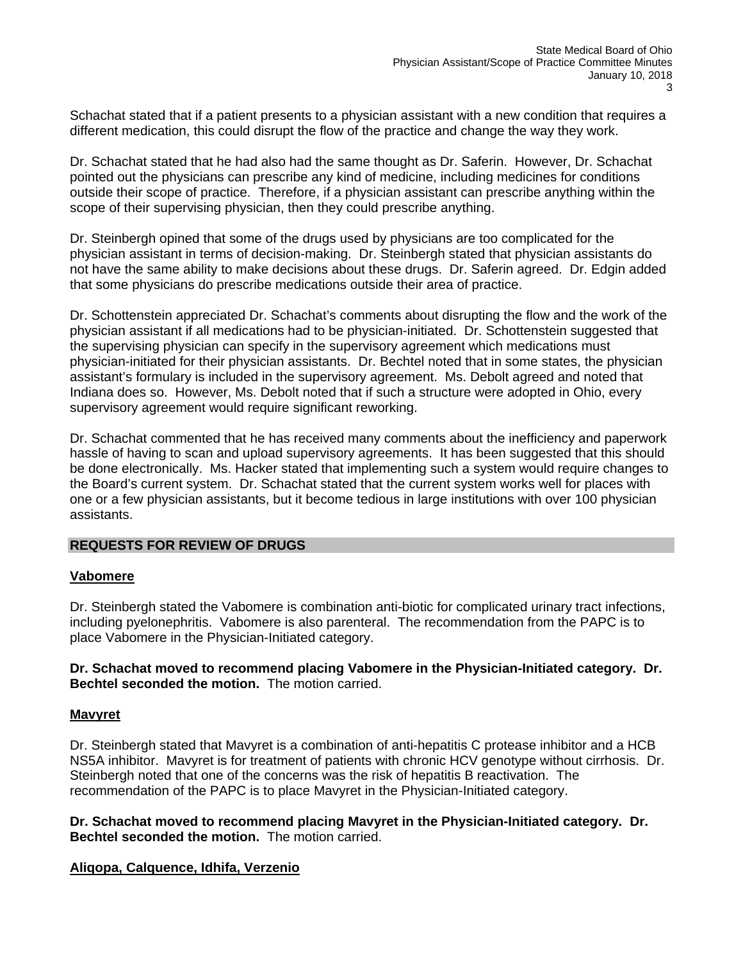Schachat stated that if a patient presents to a physician assistant with a new condition that requires a different medication, this could disrupt the flow of the practice and change the way they work.

Dr. Schachat stated that he had also had the same thought as Dr. Saferin. However, Dr. Schachat pointed out the physicians can prescribe any kind of medicine, including medicines for conditions outside their scope of practice. Therefore, if a physician assistant can prescribe anything within the scope of their supervising physician, then they could prescribe anything.

Dr. Steinbergh opined that some of the drugs used by physicians are too complicated for the physician assistant in terms of decision-making. Dr. Steinbergh stated that physician assistants do not have the same ability to make decisions about these drugs. Dr. Saferin agreed. Dr. Edgin added that some physicians do prescribe medications outside their area of practice.

Dr. Schottenstein appreciated Dr. Schachat's comments about disrupting the flow and the work of the physician assistant if all medications had to be physician-initiated. Dr. Schottenstein suggested that the supervising physician can specify in the supervisory agreement which medications must physician-initiated for their physician assistants. Dr. Bechtel noted that in some states, the physician assistant's formulary is included in the supervisory agreement. Ms. Debolt agreed and noted that Indiana does so. However, Ms. Debolt noted that if such a structure were adopted in Ohio, every supervisory agreement would require significant reworking.

Dr. Schachat commented that he has received many comments about the inefficiency and paperwork hassle of having to scan and upload supervisory agreements. It has been suggested that this should be done electronically. Ms. Hacker stated that implementing such a system would require changes to the Board's current system. Dr. Schachat stated that the current system works well for places with one or a few physician assistants, but it become tedious in large institutions with over 100 physician assistants.

# **REQUESTS FOR REVIEW OF DRUGS**

### **Vabomere**

Dr. Steinbergh stated the Vabomere is combination anti-biotic for complicated urinary tract infections, including pyelonephritis. Vabomere is also parenteral. The recommendation from the PAPC is to place Vabomere in the Physician-Initiated category.

**Dr. Schachat moved to recommend placing Vabomere in the Physician-Initiated category. Dr. Bechtel seconded the motion.** The motion carried.

### **Mavyret**

Dr. Steinbergh stated that Mavyret is a combination of anti-hepatitis C protease inhibitor and a HCB NS5A inhibitor. Mavyret is for treatment of patients with chronic HCV genotype without cirrhosis. Dr. Steinbergh noted that one of the concerns was the risk of hepatitis B reactivation. The recommendation of the PAPC is to place Mavyret in the Physician-Initiated category.

**Dr. Schachat moved to recommend placing Mavyret in the Physician-Initiated category. Dr. Bechtel seconded the motion.** The motion carried.

# **Aliqopa, Calquence, Idhifa, Verzenio**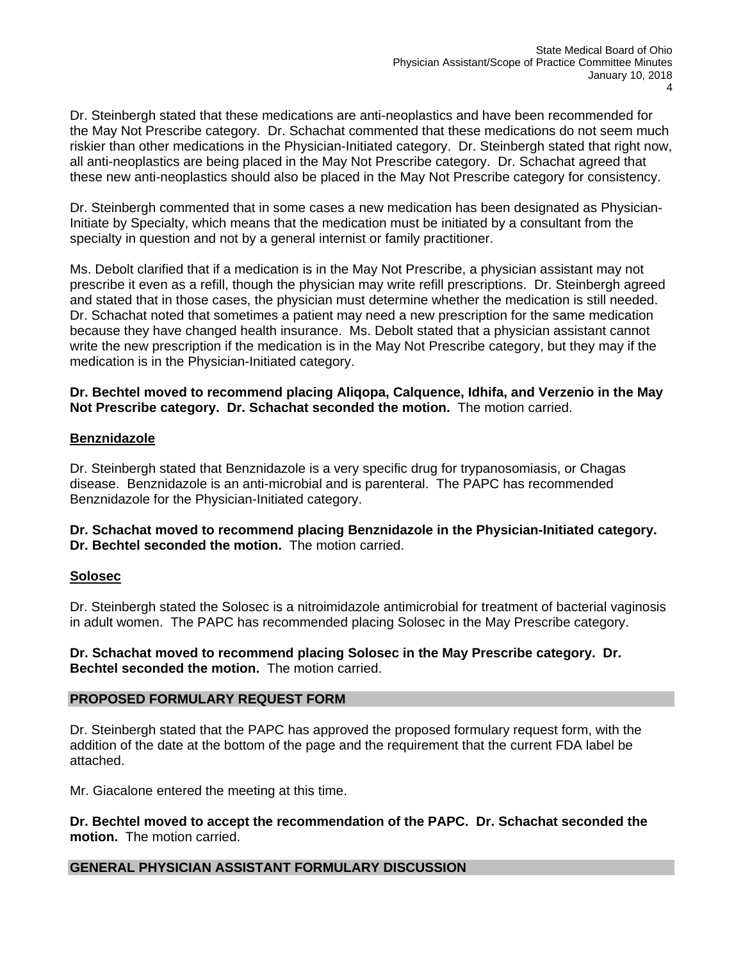Dr. Steinbergh stated that these medications are anti-neoplastics and have been recommended for the May Not Prescribe category. Dr. Schachat commented that these medications do not seem much riskier than other medications in the Physician-Initiated category. Dr. Steinbergh stated that right now, all anti-neoplastics are being placed in the May Not Prescribe category. Dr. Schachat agreed that these new anti-neoplastics should also be placed in the May Not Prescribe category for consistency.

Dr. Steinbergh commented that in some cases a new medication has been designated as Physician-Initiate by Specialty, which means that the medication must be initiated by a consultant from the specialty in question and not by a general internist or family practitioner.

Ms. Debolt clarified that if a medication is in the May Not Prescribe, a physician assistant may not prescribe it even as a refill, though the physician may write refill prescriptions. Dr. Steinbergh agreed and stated that in those cases, the physician must determine whether the medication is still needed. Dr. Schachat noted that sometimes a patient may need a new prescription for the same medication because they have changed health insurance. Ms. Debolt stated that a physician assistant cannot write the new prescription if the medication is in the May Not Prescribe category, but they may if the medication is in the Physician-Initiated category.

**Dr. Bechtel moved to recommend placing Aliqopa, Calquence, Idhifa, and Verzenio in the May Not Prescribe category. Dr. Schachat seconded the motion.** The motion carried.

# **Benznidazole**

Dr. Steinbergh stated that Benznidazole is a very specific drug for trypanosomiasis, or Chagas disease. Benznidazole is an anti-microbial and is parenteral. The PAPC has recommended Benznidazole for the Physician-Initiated category.

**Dr. Schachat moved to recommend placing Benznidazole in the Physician-Initiated category. Dr. Bechtel seconded the motion.** The motion carried.

### **Solosec**

Dr. Steinbergh stated the Solosec is a nitroimidazole antimicrobial for treatment of bacterial vaginosis in adult women. The PAPC has recommended placing Solosec in the May Prescribe category.

**Dr. Schachat moved to recommend placing Solosec in the May Prescribe category. Dr. Bechtel seconded the motion.** The motion carried.

### **PROPOSED FORMULARY REQUEST FORM**

Dr. Steinbergh stated that the PAPC has approved the proposed formulary request form, with the addition of the date at the bottom of the page and the requirement that the current FDA label be attached.

Mr. Giacalone entered the meeting at this time.

**Dr. Bechtel moved to accept the recommendation of the PAPC. Dr. Schachat seconded the motion.** The motion carried.

# **GENERAL PHYSICIAN ASSISTANT FORMULARY DISCUSSION**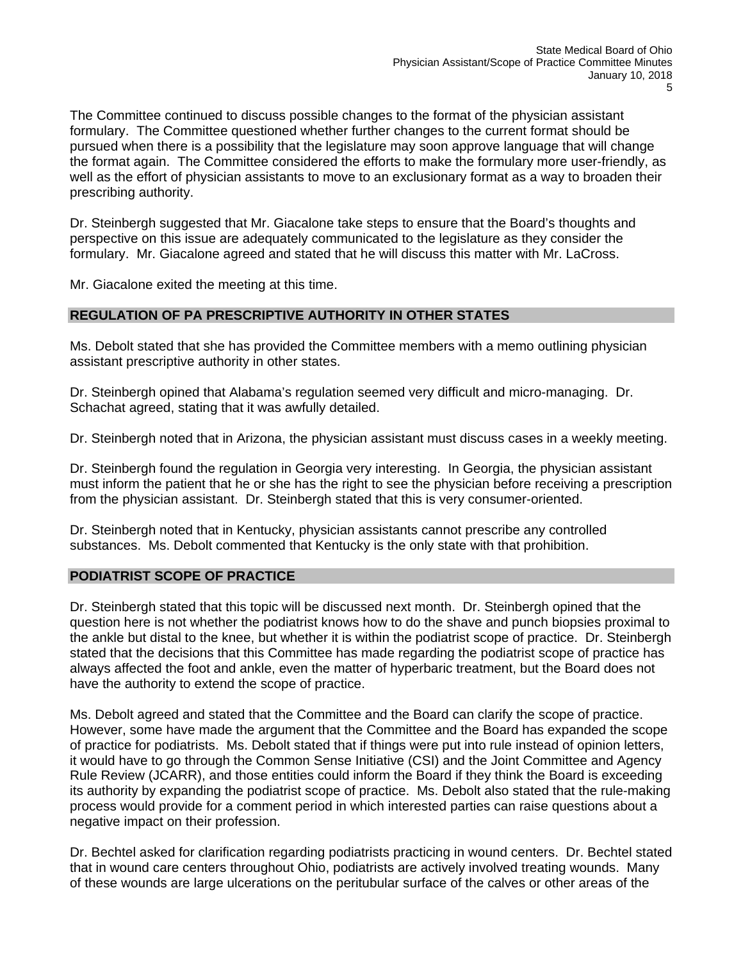The Committee continued to discuss possible changes to the format of the physician assistant formulary. The Committee questioned whether further changes to the current format should be pursued when there is a possibility that the legislature may soon approve language that will change the format again. The Committee considered the efforts to make the formulary more user-friendly, as well as the effort of physician assistants to move to an exclusionary format as a way to broaden their prescribing authority.

Dr. Steinbergh suggested that Mr. Giacalone take steps to ensure that the Board's thoughts and perspective on this issue are adequately communicated to the legislature as they consider the formulary. Mr. Giacalone agreed and stated that he will discuss this matter with Mr. LaCross.

Mr. Giacalone exited the meeting at this time.

# **REGULATION OF PA PRESCRIPTIVE AUTHORITY IN OTHER STATES**

Ms. Debolt stated that she has provided the Committee members with a memo outlining physician assistant prescriptive authority in other states.

Dr. Steinbergh opined that Alabama's regulation seemed very difficult and micro-managing. Dr. Schachat agreed, stating that it was awfully detailed.

Dr. Steinbergh noted that in Arizona, the physician assistant must discuss cases in a weekly meeting.

Dr. Steinbergh found the regulation in Georgia very interesting. In Georgia, the physician assistant must inform the patient that he or she has the right to see the physician before receiving a prescription from the physician assistant. Dr. Steinbergh stated that this is very consumer-oriented.

Dr. Steinbergh noted that in Kentucky, physician assistants cannot prescribe any controlled substances. Ms. Debolt commented that Kentucky is the only state with that prohibition.

# **PODIATRIST SCOPE OF PRACTICE**

Dr. Steinbergh stated that this topic will be discussed next month. Dr. Steinbergh opined that the question here is not whether the podiatrist knows how to do the shave and punch biopsies proximal to the ankle but distal to the knee, but whether it is within the podiatrist scope of practice. Dr. Steinbergh stated that the decisions that this Committee has made regarding the podiatrist scope of practice has always affected the foot and ankle, even the matter of hyperbaric treatment, but the Board does not have the authority to extend the scope of practice.

Ms. Debolt agreed and stated that the Committee and the Board can clarify the scope of practice. However, some have made the argument that the Committee and the Board has expanded the scope of practice for podiatrists. Ms. Debolt stated that if things were put into rule instead of opinion letters, it would have to go through the Common Sense Initiative (CSI) and the Joint Committee and Agency Rule Review (JCARR), and those entities could inform the Board if they think the Board is exceeding its authority by expanding the podiatrist scope of practice. Ms. Debolt also stated that the rule-making process would provide for a comment period in which interested parties can raise questions about a negative impact on their profession.

Dr. Bechtel asked for clarification regarding podiatrists practicing in wound centers. Dr. Bechtel stated that in wound care centers throughout Ohio, podiatrists are actively involved treating wounds. Many of these wounds are large ulcerations on the peritubular surface of the calves or other areas of the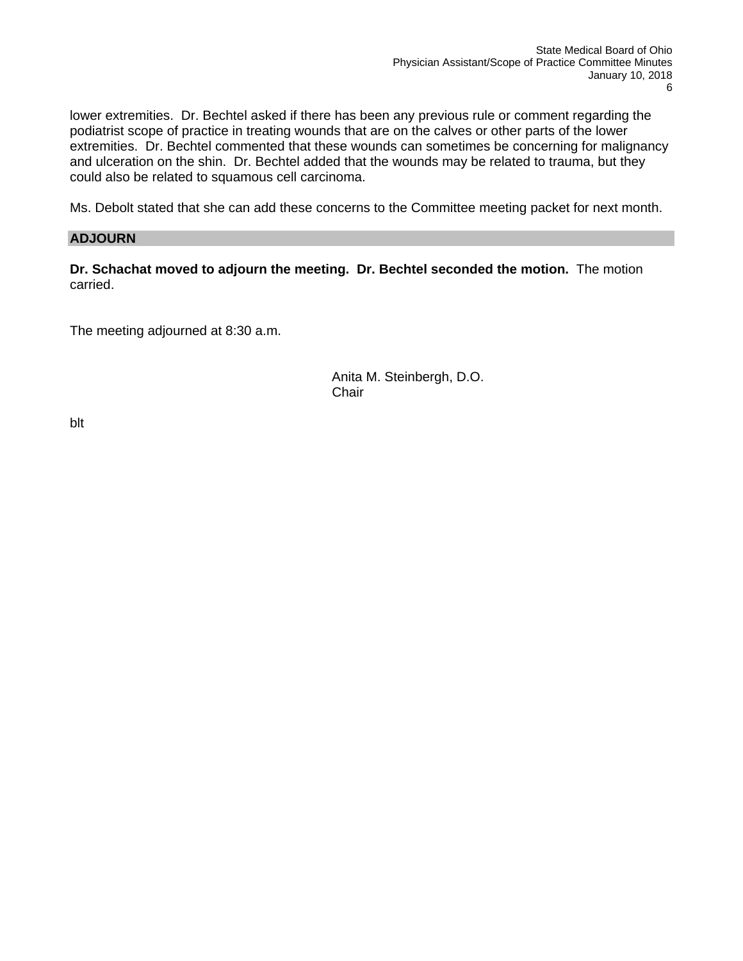lower extremities. Dr. Bechtel asked if there has been any previous rule or comment regarding the podiatrist scope of practice in treating wounds that are on the calves or other parts of the lower extremities. Dr. Bechtel commented that these wounds can sometimes be concerning for malignancy and ulceration on the shin. Dr. Bechtel added that the wounds may be related to trauma, but they could also be related to squamous cell carcinoma.

Ms. Debolt stated that she can add these concerns to the Committee meeting packet for next month.

### **ADJOURN**

**Dr. Schachat moved to adjourn the meeting. Dr. Bechtel seconded the motion.** The motion carried.

The meeting adjourned at 8:30 a.m.

Anita M. Steinbergh, D.O. **Chair** 

blt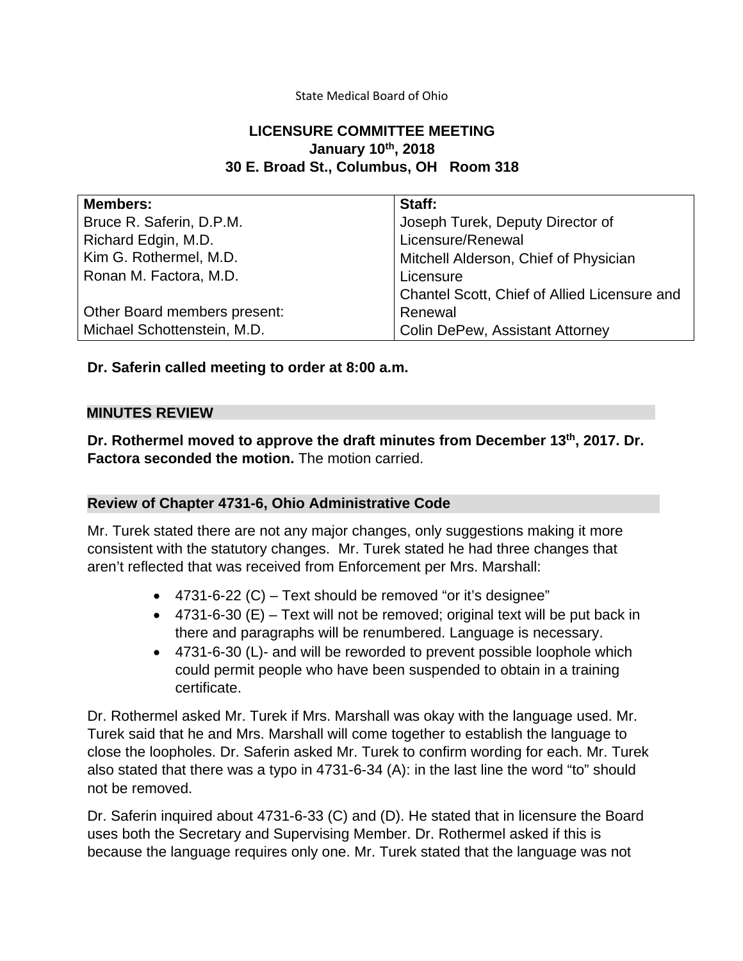### State Medical Board of Ohio

# **LICENSURE COMMITTEE MEETING January 10th, 2018 30 E. Broad St., Columbus, OH Room 318**

| <b>Members:</b>              | Staff:                                       |
|------------------------------|----------------------------------------------|
| Bruce R. Saferin, D.P.M.     | Joseph Turek, Deputy Director of             |
| Richard Edgin, M.D.          | Licensure/Renewal                            |
| Kim G. Rothermel, M.D.       | Mitchell Alderson, Chief of Physician        |
| Ronan M. Factora, M.D.       | Licensure                                    |
|                              | Chantel Scott, Chief of Allied Licensure and |
| Other Board members present: | Renewal                                      |
| Michael Schottenstein, M.D.  | <b>Colin DePew, Assistant Attorney</b>       |

**Dr. Saferin called meeting to order at 8:00 a.m.**

# **MINUTES REVIEW**

**Dr. Rothermel moved to approve the draft minutes from December 13th, 2017. Dr. Factora seconded the motion.** The motion carried.

# **Review of Chapter 4731-6, Ohio Administrative Code**

Mr. Turek stated there are not any major changes, only suggestions making it more consistent with the statutory changes. Mr. Turek stated he had three changes that aren't reflected that was received from Enforcement per Mrs. Marshall:

- 4731-6-22 (C) Text should be removed "or it's designee"
- $\bullet$  4731-6-30 (E) Text will not be removed; original text will be put back in there and paragraphs will be renumbered. Language is necessary.
- 4731-6-30 (L)- and will be reworded to prevent possible loophole which could permit people who have been suspended to obtain in a training certificate.

Dr. Rothermel asked Mr. Turek if Mrs. Marshall was okay with the language used. Mr. Turek said that he and Mrs. Marshall will come together to establish the language to close the loopholes. Dr. Saferin asked Mr. Turek to confirm wording for each. Mr. Turek also stated that there was a typo in 4731-6-34 (A): in the last line the word "to" should not be removed.

Dr. Saferin inquired about 4731-6-33 (C) and (D). He stated that in licensure the Board uses both the Secretary and Supervising Member. Dr. Rothermel asked if this is because the language requires only one. Mr. Turek stated that the language was not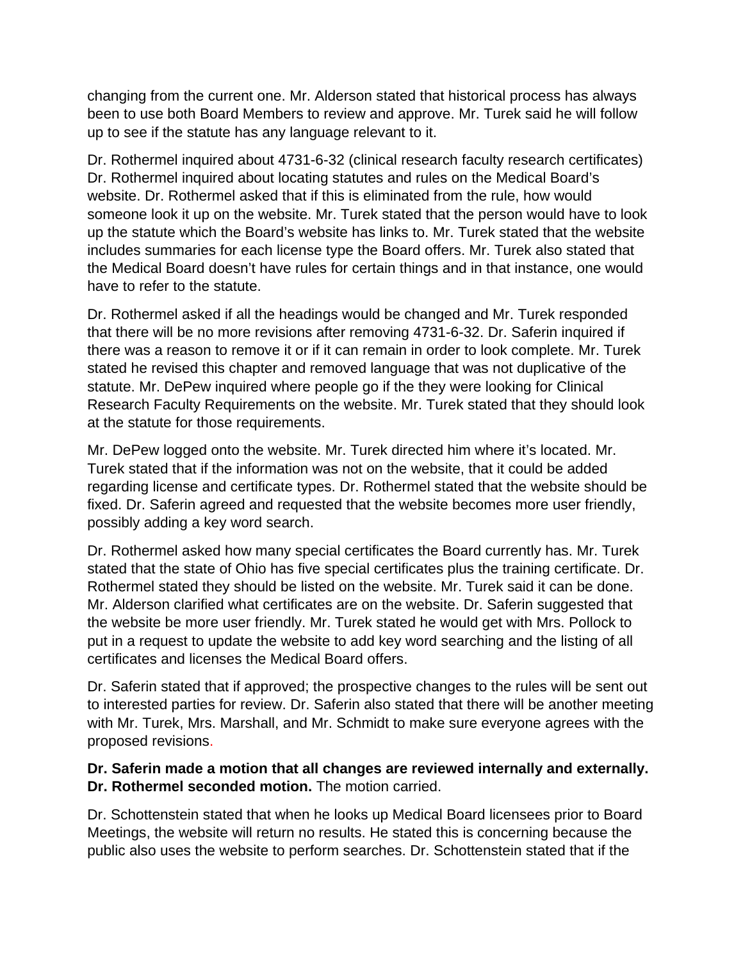changing from the current one. Mr. Alderson stated that historical process has always been to use both Board Members to review and approve. Mr. Turek said he will follow up to see if the statute has any language relevant to it.

Dr. Rothermel inquired about 4731-6-32 (clinical research faculty research certificates) Dr. Rothermel inquired about locating statutes and rules on the Medical Board's website. Dr. Rothermel asked that if this is eliminated from the rule, how would someone look it up on the website. Mr. Turek stated that the person would have to look up the statute which the Board's website has links to. Mr. Turek stated that the website includes summaries for each license type the Board offers. Mr. Turek also stated that the Medical Board doesn't have rules for certain things and in that instance, one would have to refer to the statute.

Dr. Rothermel asked if all the headings would be changed and Mr. Turek responded that there will be no more revisions after removing 4731-6-32. Dr. Saferin inquired if there was a reason to remove it or if it can remain in order to look complete. Mr. Turek stated he revised this chapter and removed language that was not duplicative of the statute. Mr. DePew inquired where people go if the they were looking for Clinical Research Faculty Requirements on the website. Mr. Turek stated that they should look at the statute for those requirements.

Mr. DePew logged onto the website. Mr. Turek directed him where it's located. Mr. Turek stated that if the information was not on the website, that it could be added regarding license and certificate types. Dr. Rothermel stated that the website should be fixed. Dr. Saferin agreed and requested that the website becomes more user friendly, possibly adding a key word search.

Dr. Rothermel asked how many special certificates the Board currently has. Mr. Turek stated that the state of Ohio has five special certificates plus the training certificate. Dr. Rothermel stated they should be listed on the website. Mr. Turek said it can be done. Mr. Alderson clarified what certificates are on the website. Dr. Saferin suggested that the website be more user friendly. Mr. Turek stated he would get with Mrs. Pollock to put in a request to update the website to add key word searching and the listing of all certificates and licenses the Medical Board offers.

Dr. Saferin stated that if approved; the prospective changes to the rules will be sent out to interested parties for review. Dr. Saferin also stated that there will be another meeting with Mr. Turek, Mrs. Marshall, and Mr. Schmidt to make sure everyone agrees with the proposed revisions.

# **Dr. Saferin made a motion that all changes are reviewed internally and externally. Dr. Rothermel seconded motion.** The motion carried.

Dr. Schottenstein stated that when he looks up Medical Board licensees prior to Board Meetings, the website will return no results. He stated this is concerning because the public also uses the website to perform searches. Dr. Schottenstein stated that if the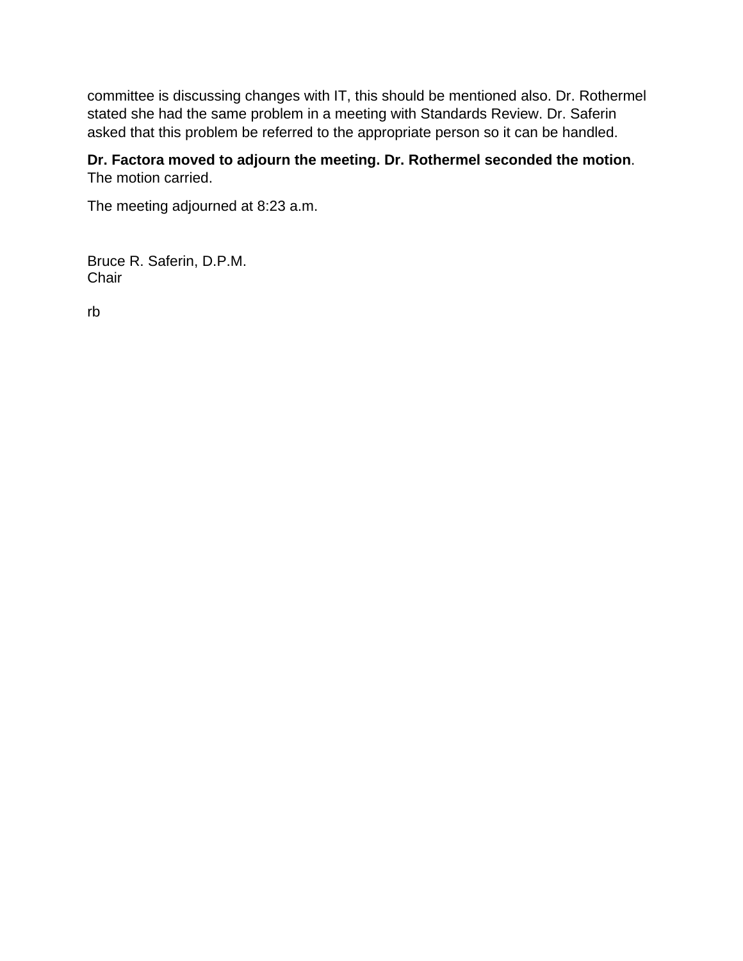committee is discussing changes with IT, this should be mentioned also. Dr. Rothermel stated she had the same problem in a meeting with Standards Review. Dr. Saferin asked that this problem be referred to the appropriate person so it can be handled.

# **Dr. Factora moved to adjourn the meeting. Dr. Rothermel seconded the motion**. The motion carried.

The meeting adjourned at 8:23 a.m.

Bruce R. Saferin, D.P.M. **Chair** 

rb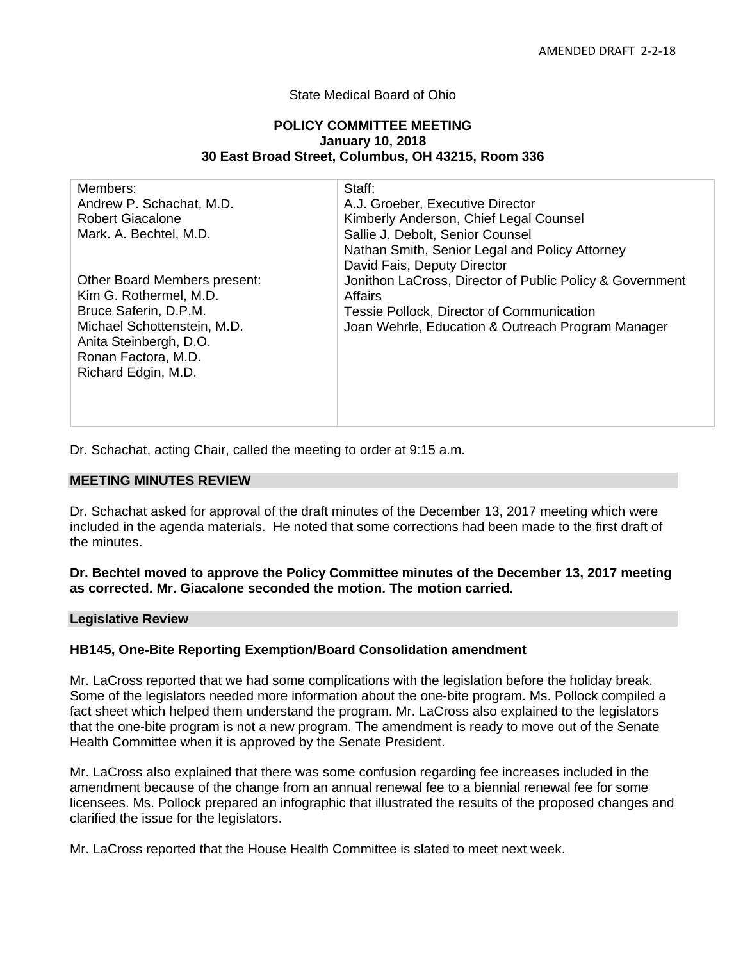### State Medical Board of Ohio

#### **POLICY COMMITTEE MEETING January 10, 2018 30 East Broad Street, Columbus, OH 43215, Room 336**

| Members:                     | Staff:                                                   |
|------------------------------|----------------------------------------------------------|
| Andrew P. Schachat, M.D.     | A.J. Groeber, Executive Director                         |
| <b>Robert Giacalone</b>      | Kimberly Anderson, Chief Legal Counsel                   |
| Mark. A. Bechtel, M.D.       | Sallie J. Debolt, Senior Counsel                         |
|                              | Nathan Smith, Senior Legal and Policy Attorney           |
|                              | David Fais, Deputy Director                              |
| Other Board Members present: | Jonithon LaCross, Director of Public Policy & Government |
| Kim G. Rothermel, M.D.       | Affairs                                                  |
| Bruce Saferin, D.P.M.        | Tessie Pollock, Director of Communication                |
| Michael Schottenstein, M.D.  | Joan Wehrle, Education & Outreach Program Manager        |
| Anita Steinbergh, D.O.       |                                                          |
| Ronan Factora, M.D.          |                                                          |
| Richard Edgin, M.D.          |                                                          |
|                              |                                                          |
|                              |                                                          |
|                              |                                                          |

Dr. Schachat, acting Chair, called the meeting to order at 9:15 a.m.

#### **MEETING MINUTES REVIEW**

Dr. Schachat asked for approval of the draft minutes of the December 13, 2017 meeting which were included in the agenda materials. He noted that some corrections had been made to the first draft of the minutes.

### **Dr. Bechtel moved to approve the Policy Committee minutes of the December 13, 2017 meeting as corrected. Mr. Giacalone seconded the motion. The motion carried.**

**Legislative Review**

### **HB145, One-Bite Reporting Exemption/Board Consolidation amendment**

Mr. LaCross reported that we had some complications with the legislation before the holiday break. Some of the legislators needed more information about the one-bite program. Ms. Pollock compiled a fact sheet which helped them understand the program. Mr. LaCross also explained to the legislators that the one-bite program is not a new program. The amendment is ready to move out of the Senate Health Committee when it is approved by the Senate President.

Mr. LaCross also explained that there was some confusion regarding fee increases included in the amendment because of the change from an annual renewal fee to a biennial renewal fee for some licensees. Ms. Pollock prepared an infographic that illustrated the results of the proposed changes and clarified the issue for the legislators.

Mr. LaCross reported that the House Health Committee is slated to meet next week.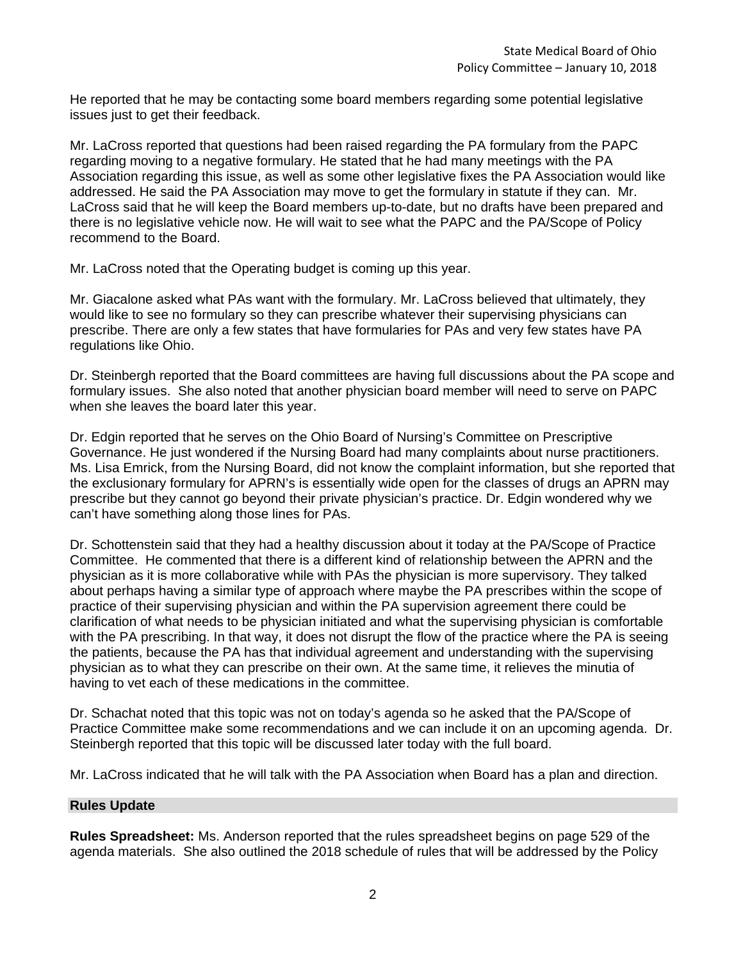He reported that he may be contacting some board members regarding some potential legislative issues just to get their feedback.

Mr. LaCross reported that questions had been raised regarding the PA formulary from the PAPC regarding moving to a negative formulary. He stated that he had many meetings with the PA Association regarding this issue, as well as some other legislative fixes the PA Association would like addressed. He said the PA Association may move to get the formulary in statute if they can. Mr. LaCross said that he will keep the Board members up-to-date, but no drafts have been prepared and there is no legislative vehicle now. He will wait to see what the PAPC and the PA/Scope of Policy recommend to the Board.

Mr. LaCross noted that the Operating budget is coming up this year.

Mr. Giacalone asked what PAs want with the formulary. Mr. LaCross believed that ultimately, they would like to see no formulary so they can prescribe whatever their supervising physicians can prescribe. There are only a few states that have formularies for PAs and very few states have PA regulations like Ohio.

Dr. Steinbergh reported that the Board committees are having full discussions about the PA scope and formulary issues. She also noted that another physician board member will need to serve on PAPC when she leaves the board later this year.

Dr. Edgin reported that he serves on the Ohio Board of Nursing's Committee on Prescriptive Governance. He just wondered if the Nursing Board had many complaints about nurse practitioners. Ms. Lisa Emrick, from the Nursing Board, did not know the complaint information, but she reported that the exclusionary formulary for APRN's is essentially wide open for the classes of drugs an APRN may prescribe but they cannot go beyond their private physician's practice. Dr. Edgin wondered why we can't have something along those lines for PAs.

Dr. Schottenstein said that they had a healthy discussion about it today at the PA/Scope of Practice Committee. He commented that there is a different kind of relationship between the APRN and the physician as it is more collaborative while with PAs the physician is more supervisory. They talked about perhaps having a similar type of approach where maybe the PA prescribes within the scope of practice of their supervising physician and within the PA supervision agreement there could be clarification of what needs to be physician initiated and what the supervising physician is comfortable with the PA prescribing. In that way, it does not disrupt the flow of the practice where the PA is seeing the patients, because the PA has that individual agreement and understanding with the supervising physician as to what they can prescribe on their own. At the same time, it relieves the minutia of having to vet each of these medications in the committee.

Dr. Schachat noted that this topic was not on today's agenda so he asked that the PA/Scope of Practice Committee make some recommendations and we can include it on an upcoming agenda. Dr. Steinbergh reported that this topic will be discussed later today with the full board.

Mr. LaCross indicated that he will talk with the PA Association when Board has a plan and direction.

# **Rules Update**

**Rules Spreadsheet:** Ms. Anderson reported that the rules spreadsheet begins on page 529 of the agenda materials. She also outlined the 2018 schedule of rules that will be addressed by the Policy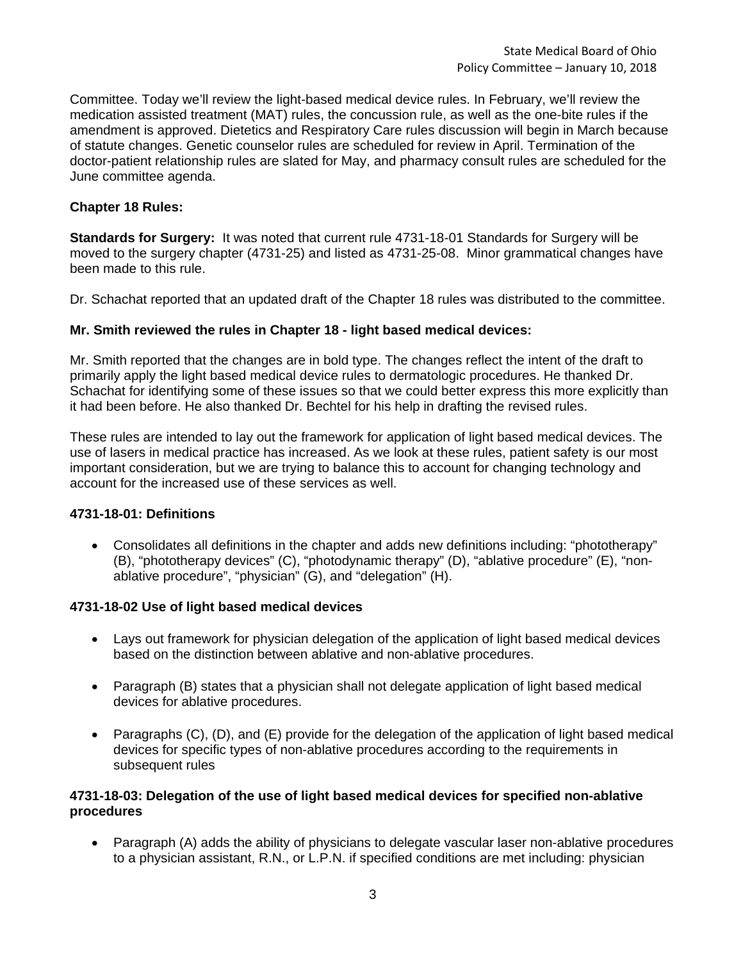Committee. Today we'll review the light-based medical device rules. In February, we'll review the medication assisted treatment (MAT) rules, the concussion rule, as well as the one-bite rules if the amendment is approved. Dietetics and Respiratory Care rules discussion will begin in March because of statute changes. Genetic counselor rules are scheduled for review in April. Termination of the doctor-patient relationship rules are slated for May, and pharmacy consult rules are scheduled for the June committee agenda.

### **Chapter 18 Rules:**

**Standards for Surgery:** It was noted that current rule 4731-18-01 Standards for Surgery will be moved to the surgery chapter (4731-25) and listed as 4731-25-08. Minor grammatical changes have been made to this rule.

Dr. Schachat reported that an updated draft of the Chapter 18 rules was distributed to the committee.

### **Mr. Smith reviewed the rules in Chapter 18 - light based medical devices:**

Mr. Smith reported that the changes are in bold type. The changes reflect the intent of the draft to primarily apply the light based medical device rules to dermatologic procedures. He thanked Dr. Schachat for identifying some of these issues so that we could better express this more explicitly than it had been before. He also thanked Dr. Bechtel for his help in drafting the revised rules.

These rules are intended to lay out the framework for application of light based medical devices. The use of lasers in medical practice has increased. As we look at these rules, patient safety is our most important consideration, but we are trying to balance this to account for changing technology and account for the increased use of these services as well.

### **4731-18-01: Definitions**

• Consolidates all definitions in the chapter and adds new definitions including: "phototherapy" (B), "phototherapy devices" (C), "photodynamic therapy" (D), "ablative procedure" (E), "nonablative procedure", "physician" (G), and "delegation" (H).

### **4731-18-02 Use of light based medical devices**

- Lays out framework for physician delegation of the application of light based medical devices based on the distinction between ablative and non-ablative procedures.
- Paragraph (B) states that a physician shall not delegate application of light based medical devices for ablative procedures.
- Paragraphs (C), (D), and (E) provide for the delegation of the application of light based medical devices for specific types of non-ablative procedures according to the requirements in subsequent rules

### **4731-18-03: Delegation of the use of light based medical devices for specified non-ablative procedures**

• Paragraph (A) adds the ability of physicians to delegate vascular laser non-ablative procedures to a physician assistant, R.N., or L.P.N. if specified conditions are met including: physician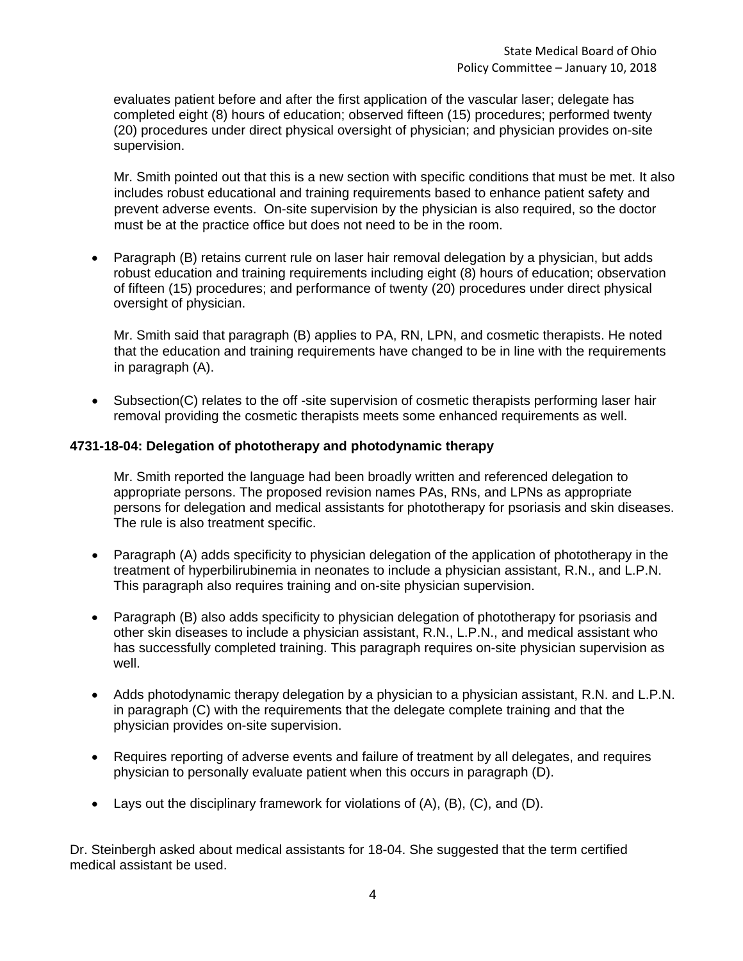evaluates patient before and after the first application of the vascular laser; delegate has completed eight (8) hours of education; observed fifteen (15) procedures; performed twenty (20) procedures under direct physical oversight of physician; and physician provides on-site supervision.

Mr. Smith pointed out that this is a new section with specific conditions that must be met. It also includes robust educational and training requirements based to enhance patient safety and prevent adverse events. On-site supervision by the physician is also required, so the doctor must be at the practice office but does not need to be in the room.

• Paragraph (B) retains current rule on laser hair removal delegation by a physician, but adds robust education and training requirements including eight (8) hours of education; observation of fifteen (15) procedures; and performance of twenty (20) procedures under direct physical oversight of physician.

Mr. Smith said that paragraph (B) applies to PA, RN, LPN, and cosmetic therapists. He noted that the education and training requirements have changed to be in line with the requirements in paragraph (A).

• Subsection(C) relates to the off-site supervision of cosmetic therapists performing laser hair removal providing the cosmetic therapists meets some enhanced requirements as well.

### **4731-18-04: Delegation of phototherapy and photodynamic therapy**

Mr. Smith reported the language had been broadly written and referenced delegation to appropriate persons. The proposed revision names PAs, RNs, and LPNs as appropriate persons for delegation and medical assistants for phototherapy for psoriasis and skin diseases. The rule is also treatment specific.

- Paragraph (A) adds specificity to physician delegation of the application of phototherapy in the treatment of hyperbilirubinemia in neonates to include a physician assistant, R.N., and L.P.N. This paragraph also requires training and on-site physician supervision.
- Paragraph (B) also adds specificity to physician delegation of phototherapy for psoriasis and other skin diseases to include a physician assistant, R.N., L.P.N., and medical assistant who has successfully completed training. This paragraph requires on-site physician supervision as well.
- Adds photodynamic therapy delegation by a physician to a physician assistant, R.N. and L.P.N. in paragraph (C) with the requirements that the delegate complete training and that the physician provides on-site supervision.
- Requires reporting of adverse events and failure of treatment by all delegates, and requires physician to personally evaluate patient when this occurs in paragraph (D).
- Lays out the disciplinary framework for violations of (A), (B), (C), and (D).

Dr. Steinbergh asked about medical assistants for 18-04. She suggested that the term certified medical assistant be used.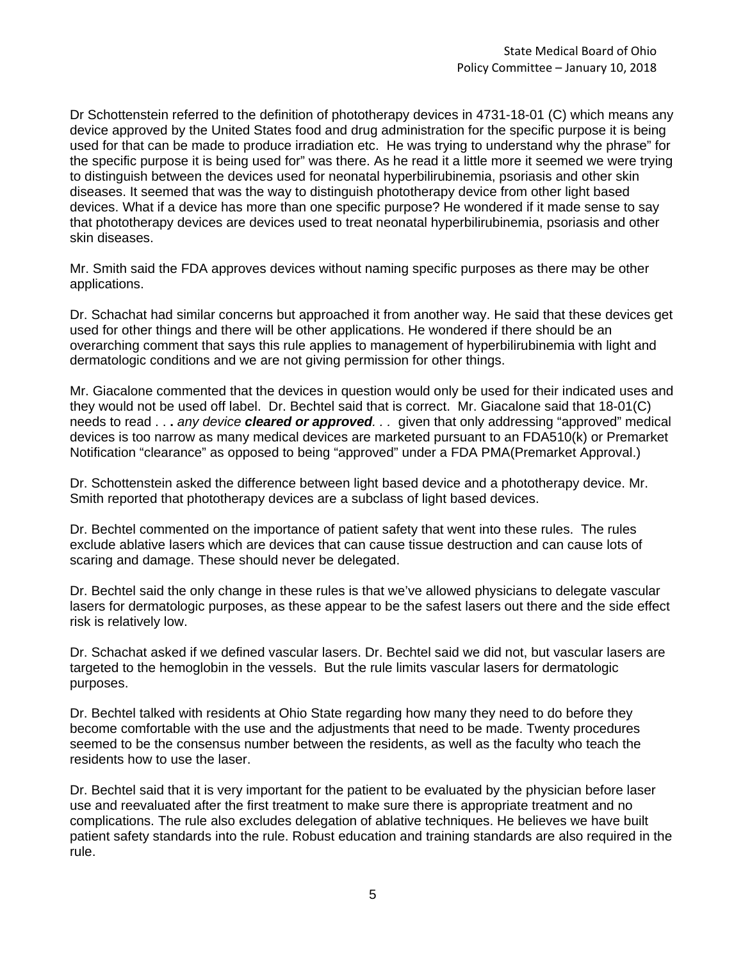Dr Schottenstein referred to the definition of phototherapy devices in 4731-18-01 (C) which means any device approved by the United States food and drug administration for the specific purpose it is being used for that can be made to produce irradiation etc. He was trying to understand why the phrase" for the specific purpose it is being used for" was there. As he read it a little more it seemed we were trying to distinguish between the devices used for neonatal hyperbilirubinemia, psoriasis and other skin diseases. It seemed that was the way to distinguish phototherapy device from other light based devices. What if a device has more than one specific purpose? He wondered if it made sense to say that phototherapy devices are devices used to treat neonatal hyperbilirubinemia, psoriasis and other skin diseases.

Mr. Smith said the FDA approves devices without naming specific purposes as there may be other applications.

Dr. Schachat had similar concerns but approached it from another way. He said that these devices get used for other things and there will be other applications. He wondered if there should be an overarching comment that says this rule applies to management of hyperbilirubinemia with light and dermatologic conditions and we are not giving permission for other things.

Mr. Giacalone commented that the devices in question would only be used for their indicated uses and they would not be used off label. Dr. Bechtel said that is correct. Mr. Giacalone said that 18-01(C) needs to read . . **.** *any device cleared or approved. . .* given that only addressing "approved" medical devices is too narrow as many medical devices are marketed pursuant to an FDA510(k) or Premarket Notification "clearance" as opposed to being "approved" under a FDA PMA(Premarket Approval.)

Dr. Schottenstein asked the difference between light based device and a phototherapy device. Mr. Smith reported that phototherapy devices are a subclass of light based devices.

Dr. Bechtel commented on the importance of patient safety that went into these rules. The rules exclude ablative lasers which are devices that can cause tissue destruction and can cause lots of scaring and damage. These should never be delegated.

Dr. Bechtel said the only change in these rules is that we've allowed physicians to delegate vascular lasers for dermatologic purposes, as these appear to be the safest lasers out there and the side effect risk is relatively low.

Dr. Schachat asked if we defined vascular lasers. Dr. Bechtel said we did not, but vascular lasers are targeted to the hemoglobin in the vessels. But the rule limits vascular lasers for dermatologic purposes.

Dr. Bechtel talked with residents at Ohio State regarding how many they need to do before they become comfortable with the use and the adjustments that need to be made. Twenty procedures seemed to be the consensus number between the residents, as well as the faculty who teach the residents how to use the laser.

Dr. Bechtel said that it is very important for the patient to be evaluated by the physician before laser use and reevaluated after the first treatment to make sure there is appropriate treatment and no complications. The rule also excludes delegation of ablative techniques. He believes we have built patient safety standards into the rule. Robust education and training standards are also required in the rule.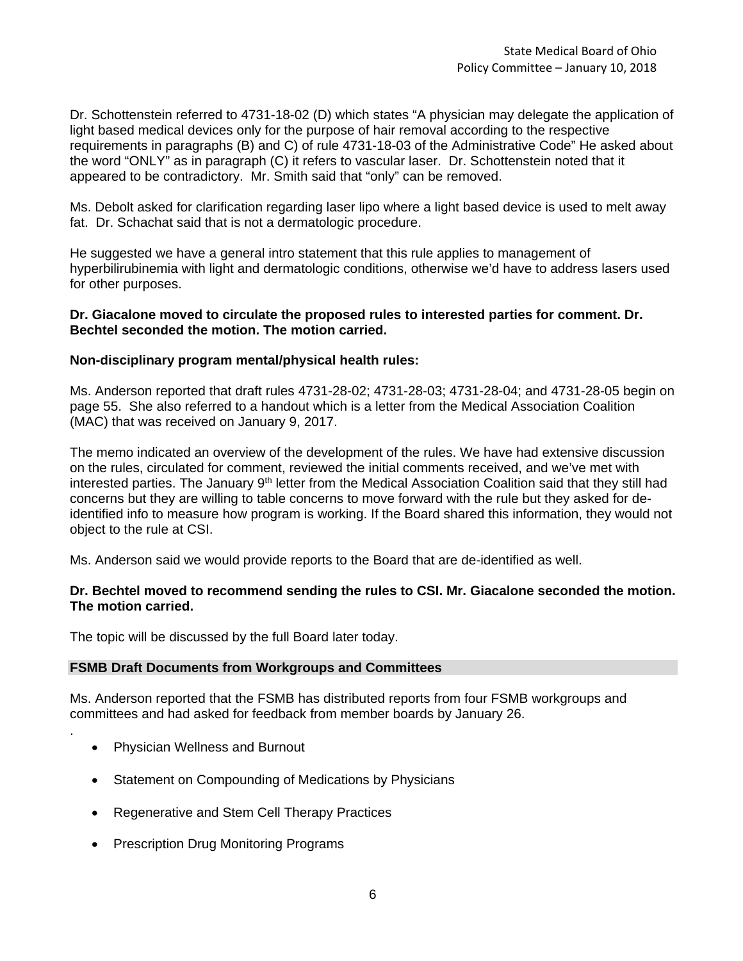Dr. Schottenstein referred to 4731-18-02 (D) which states "A physician may delegate the application of light based medical devices only for the purpose of hair removal according to the respective requirements in paragraphs (B) and C) of rule 4731-18-03 of the Administrative Code" He asked about the word "ONLY" as in paragraph (C) it refers to vascular laser. Dr. Schottenstein noted that it appeared to be contradictory. Mr. Smith said that "only" can be removed.

Ms. Debolt asked for clarification regarding laser lipo where a light based device is used to melt away fat. Dr. Schachat said that is not a dermatologic procedure.

He suggested we have a general intro statement that this rule applies to management of hyperbilirubinemia with light and dermatologic conditions, otherwise we'd have to address lasers used for other purposes.

### **Dr. Giacalone moved to circulate the proposed rules to interested parties for comment. Dr. Bechtel seconded the motion. The motion carried.**

### **Non-disciplinary program mental/physical health rules:**

Ms. Anderson reported that draft rules 4731-28-02; 4731-28-03; 4731-28-04; and 4731-28-05 begin on page 55. She also referred to a handout which is a letter from the Medical Association Coalition (MAC) that was received on January 9, 2017.

The memo indicated an overview of the development of the rules. We have had extensive discussion on the rules, circulated for comment, reviewed the initial comments received, and we've met with interested parties. The January 9<sup>th</sup> letter from the Medical Association Coalition said that they still had concerns but they are willing to table concerns to move forward with the rule but they asked for deidentified info to measure how program is working. If the Board shared this information, they would not object to the rule at CSI.

Ms. Anderson said we would provide reports to the Board that are de-identified as well.

### **Dr. Bechtel moved to recommend sending the rules to CSI. Mr. Giacalone seconded the motion. The motion carried.**

The topic will be discussed by the full Board later today.

# **FSMB Draft Documents from Workgroups and Committees**

Ms. Anderson reported that the FSMB has distributed reports from four FSMB workgroups and committees and had asked for feedback from member boards by January 26.

• Physician Wellness and Burnout

.

- Statement on Compounding of Medications by Physicians
- Regenerative and Stem Cell Therapy Practices
- Prescription Drug Monitoring Programs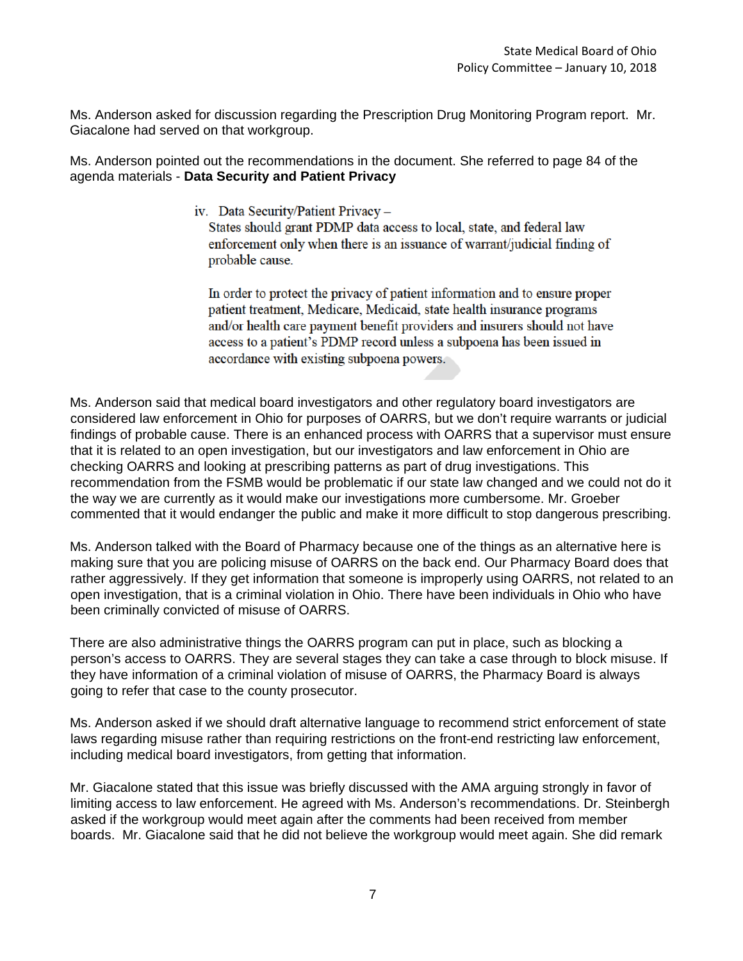Ms. Anderson asked for discussion regarding the Prescription Drug Monitoring Program report. Mr. Giacalone had served on that workgroup.

Ms. Anderson pointed out the recommendations in the document. She referred to page 84 of the agenda materials - **Data Security and Patient Privacy**

iv. Data Security/Patient Privacy -

States should grant PDMP data access to local, state, and federal law enforcement only when there is an issuance of warrant/judicial finding of probable cause.

In order to protect the privacy of patient information and to ensure proper patient treatment, Medicare, Medicaid, state health insurance programs and/or health care payment benefit providers and insurers should not have access to a patient's PDMP record unless a subpoena has been issued in accordance with existing subpoena powers.

Ms. Anderson said that medical board investigators and other regulatory board investigators are considered law enforcement in Ohio for purposes of OARRS, but we don't require warrants or judicial findings of probable cause. There is an enhanced process with OARRS that a supervisor must ensure that it is related to an open investigation, but our investigators and law enforcement in Ohio are checking OARRS and looking at prescribing patterns as part of drug investigations. This recommendation from the FSMB would be problematic if our state law changed and we could not do it the way we are currently as it would make our investigations more cumbersome. Mr. Groeber commented that it would endanger the public and make it more difficult to stop dangerous prescribing.

Ms. Anderson talked with the Board of Pharmacy because one of the things as an alternative here is making sure that you are policing misuse of OARRS on the back end. Our Pharmacy Board does that rather aggressively. If they get information that someone is improperly using OARRS, not related to an open investigation, that is a criminal violation in Ohio. There have been individuals in Ohio who have been criminally convicted of misuse of OARRS.

There are also administrative things the OARRS program can put in place, such as blocking a person's access to OARRS. They are several stages they can take a case through to block misuse. If they have information of a criminal violation of misuse of OARRS, the Pharmacy Board is always going to refer that case to the county prosecutor.

Ms. Anderson asked if we should draft alternative language to recommend strict enforcement of state laws regarding misuse rather than requiring restrictions on the front-end restricting law enforcement, including medical board investigators, from getting that information.

Mr. Giacalone stated that this issue was briefly discussed with the AMA arguing strongly in favor of limiting access to law enforcement. He agreed with Ms. Anderson's recommendations. Dr. Steinbergh asked if the workgroup would meet again after the comments had been received from member boards. Mr. Giacalone said that he did not believe the workgroup would meet again. She did remark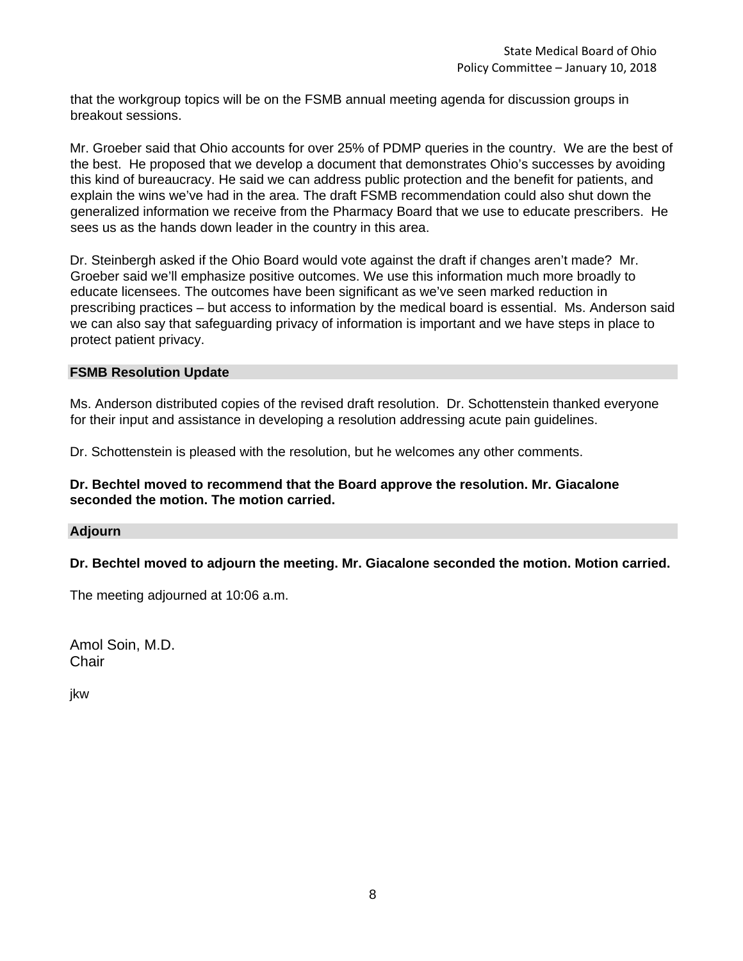that the workgroup topics will be on the FSMB annual meeting agenda for discussion groups in breakout sessions.

Mr. Groeber said that Ohio accounts for over 25% of PDMP queries in the country. We are the best of the best. He proposed that we develop a document that demonstrates Ohio's successes by avoiding this kind of bureaucracy. He said we can address public protection and the benefit for patients, and explain the wins we've had in the area. The draft FSMB recommendation could also shut down the generalized information we receive from the Pharmacy Board that we use to educate prescribers. He sees us as the hands down leader in the country in this area.

Dr. Steinbergh asked if the Ohio Board would vote against the draft if changes aren't made? Mr. Groeber said we'll emphasize positive outcomes. We use this information much more broadly to educate licensees. The outcomes have been significant as we've seen marked reduction in prescribing practices – but access to information by the medical board is essential. Ms. Anderson said we can also say that safeguarding privacy of information is important and we have steps in place to protect patient privacy.

### **FSMB Resolution Update**

Ms. Anderson distributed copies of the revised draft resolution. Dr. Schottenstein thanked everyone for their input and assistance in developing a resolution addressing acute pain guidelines.

Dr. Schottenstein is pleased with the resolution, but he welcomes any other comments.

### **Dr. Bechtel moved to recommend that the Board approve the resolution. Mr. Giacalone seconded the motion. The motion carried.**

### **Adjourn**

**Dr. Bechtel moved to adjourn the meeting. Mr. Giacalone seconded the motion. Motion carried.**

The meeting adjourned at 10:06 a.m.

Amol Soin, M.D. **Chair** 

jkw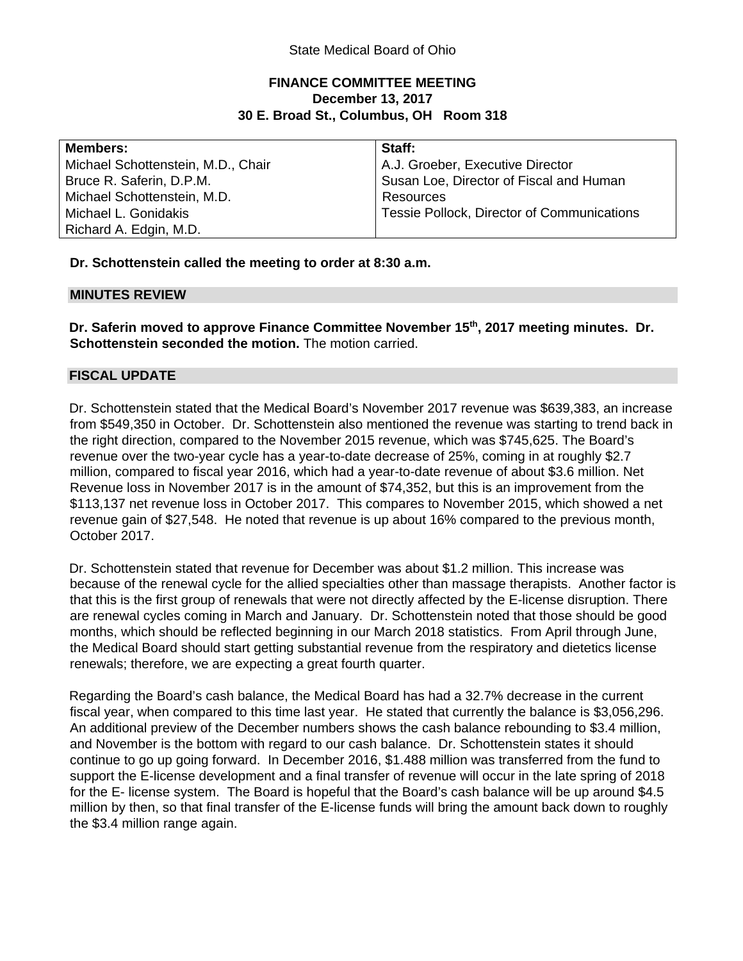# **FINANCE COMMITTEE MEETING December 13, 2017 30 E. Broad St., Columbus, OH Room 318**

| <b>Members:</b>                    | Staff:                                     |
|------------------------------------|--------------------------------------------|
| Michael Schottenstein, M.D., Chair | A.J. Groeber, Executive Director           |
| Bruce R. Saferin, D.P.M.           | Susan Loe, Director of Fiscal and Human    |
| Michael Schottenstein, M.D.        | Resources                                  |
| Michael L. Gonidakis               | Tessie Pollock, Director of Communications |
| Richard A. Edgin, M.D.             |                                            |

**Dr. Schottenstein called the meeting to order at 8:30 a.m.** 

### **MINUTES REVIEW**

**Dr. Saferin moved to approve Finance Committee November 15th, 2017 meeting minutes. Dr. Schottenstein seconded the motion.** The motion carried.

# **FISCAL UPDATE**

Dr. Schottenstein stated that the Medical Board's November 2017 revenue was \$639,383, an increase from \$549,350 in October. Dr. Schottenstein also mentioned the revenue was starting to trend back in the right direction, compared to the November 2015 revenue, which was \$745,625. The Board's revenue over the two-year cycle has a year-to-date decrease of 25%, coming in at roughly \$2.7 million, compared to fiscal year 2016, which had a year-to-date revenue of about \$3.6 million. Net Revenue loss in November 2017 is in the amount of \$74,352, but this is an improvement from the \$113,137 net revenue loss in October 2017. This compares to November 2015, which showed a net revenue gain of \$27,548. He noted that revenue is up about 16% compared to the previous month, October 2017.

Dr. Schottenstein stated that revenue for December was about \$1.2 million. This increase was because of the renewal cycle for the allied specialties other than massage therapists. Another factor is that this is the first group of renewals that were not directly affected by the E-license disruption. There are renewal cycles coming in March and January. Dr. Schottenstein noted that those should be good months, which should be reflected beginning in our March 2018 statistics. From April through June, the Medical Board should start getting substantial revenue from the respiratory and dietetics license renewals; therefore, we are expecting a great fourth quarter.

Regarding the Board's cash balance, the Medical Board has had a 32.7% decrease in the current fiscal year, when compared to this time last year. He stated that currently the balance is \$3,056,296. An additional preview of the December numbers shows the cash balance rebounding to \$3.4 million, and November is the bottom with regard to our cash balance. Dr. Schottenstein states it should continue to go up going forward. In December 2016, \$1.488 million was transferred from the fund to support the E-license development and a final transfer of revenue will occur in the late spring of 2018 for the E- license system. The Board is hopeful that the Board's cash balance will be up around \$4.5 million by then, so that final transfer of the E-license funds will bring the amount back down to roughly the \$3.4 million range again.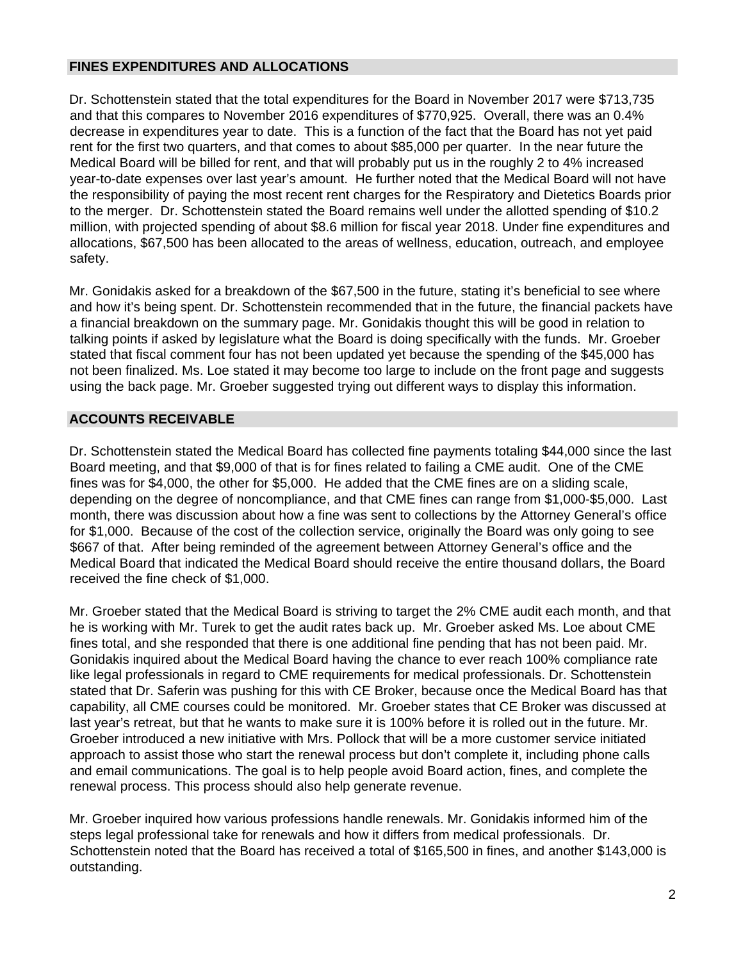# **FINES EXPENDITURES AND ALLOCATIONS**

Dr. Schottenstein stated that the total expenditures for the Board in November 2017 were \$713,735 and that this compares to November 2016 expenditures of \$770,925. Overall, there was an 0.4% decrease in expenditures year to date. This is a function of the fact that the Board has not yet paid rent for the first two quarters, and that comes to about \$85,000 per quarter. In the near future the Medical Board will be billed for rent, and that will probably put us in the roughly 2 to 4% increased year-to-date expenses over last year's amount. He further noted that the Medical Board will not have the responsibility of paying the most recent rent charges for the Respiratory and Dietetics Boards prior to the merger. Dr. Schottenstein stated the Board remains well under the allotted spending of \$10.2 million, with projected spending of about \$8.6 million for fiscal year 2018. Under fine expenditures and allocations, \$67,500 has been allocated to the areas of wellness, education, outreach, and employee safety.

Mr. Gonidakis asked for a breakdown of the \$67,500 in the future, stating it's beneficial to see where and how it's being spent. Dr. Schottenstein recommended that in the future, the financial packets have a financial breakdown on the summary page. Mr. Gonidakis thought this will be good in relation to talking points if asked by legislature what the Board is doing specifically with the funds. Mr. Groeber stated that fiscal comment four has not been updated yet because the spending of the \$45,000 has not been finalized. Ms. Loe stated it may become too large to include on the front page and suggests using the back page. Mr. Groeber suggested trying out different ways to display this information.

# **ACCOUNTS RECEIVABLE**

Dr. Schottenstein stated the Medical Board has collected fine payments totaling \$44,000 since the last Board meeting, and that \$9,000 of that is for fines related to failing a CME audit. One of the CME fines was for \$4,000, the other for \$5,000. He added that the CME fines are on a sliding scale, depending on the degree of noncompliance, and that CME fines can range from \$1,000-\$5,000. Last month, there was discussion about how a fine was sent to collections by the Attorney General's office for \$1,000. Because of the cost of the collection service, originally the Board was only going to see \$667 of that. After being reminded of the agreement between Attorney General's office and the Medical Board that indicated the Medical Board should receive the entire thousand dollars, the Board received the fine check of \$1,000.

Mr. Groeber stated that the Medical Board is striving to target the 2% CME audit each month, and that he is working with Mr. Turek to get the audit rates back up. Mr. Groeber asked Ms. Loe about CME fines total, and she responded that there is one additional fine pending that has not been paid. Mr. Gonidakis inquired about the Medical Board having the chance to ever reach 100% compliance rate like legal professionals in regard to CME requirements for medical professionals. Dr. Schottenstein stated that Dr. Saferin was pushing for this with CE Broker, because once the Medical Board has that capability, all CME courses could be monitored. Mr. Groeber states that CE Broker was discussed at last year's retreat, but that he wants to make sure it is 100% before it is rolled out in the future. Mr. Groeber introduced a new initiative with Mrs. Pollock that will be a more customer service initiated approach to assist those who start the renewal process but don't complete it, including phone calls and email communications. The goal is to help people avoid Board action, fines, and complete the renewal process. This process should also help generate revenue.

Mr. Groeber inquired how various professions handle renewals. Mr. Gonidakis informed him of the steps legal professional take for renewals and how it differs from medical professionals. Dr. Schottenstein noted that the Board has received a total of \$165,500 in fines, and another \$143,000 is outstanding.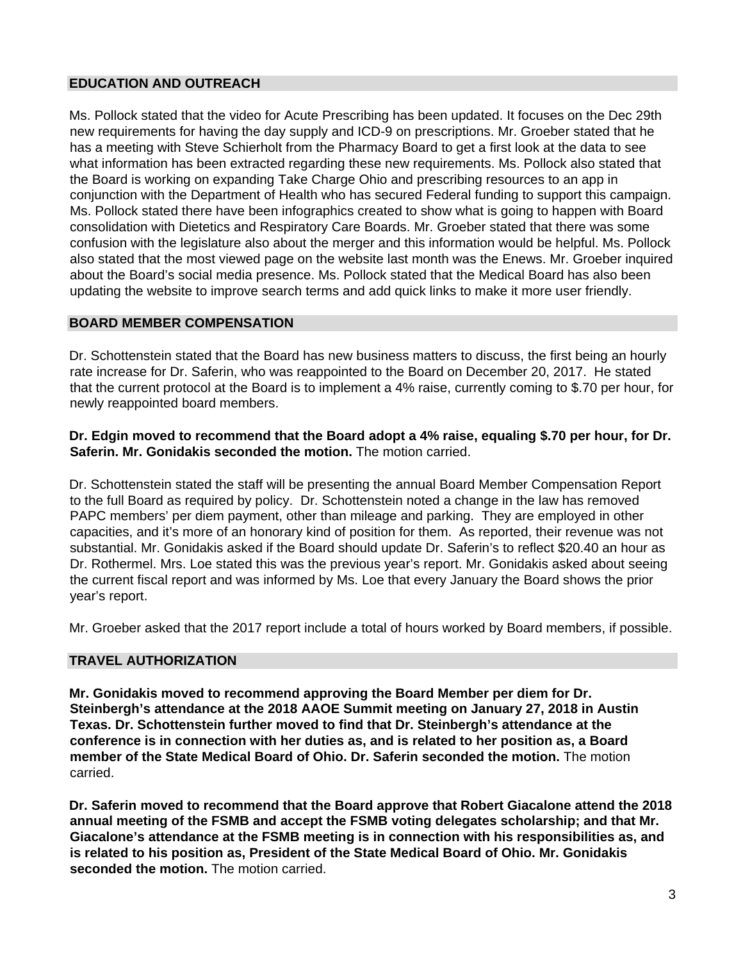# **EDUCATION AND OUTREACH**

Ms. Pollock stated that the video for Acute Prescribing has been updated. It focuses on the Dec 29th new requirements for having the day supply and ICD-9 on prescriptions. Mr. Groeber stated that he has a meeting with Steve Schierholt from the Pharmacy Board to get a first look at the data to see what information has been extracted regarding these new requirements. Ms. Pollock also stated that the Board is working on expanding Take Charge Ohio and prescribing resources to an app in conjunction with the Department of Health who has secured Federal funding to support this campaign. Ms. Pollock stated there have been infographics created to show what is going to happen with Board consolidation with Dietetics and Respiratory Care Boards. Mr. Groeber stated that there was some confusion with the legislature also about the merger and this information would be helpful. Ms. Pollock also stated that the most viewed page on the website last month was the Enews. Mr. Groeber inquired about the Board's social media presence. Ms. Pollock stated that the Medical Board has also been updating the website to improve search terms and add quick links to make it more user friendly.

# **BOARD MEMBER COMPENSATION**

Dr. Schottenstein stated that the Board has new business matters to discuss, the first being an hourly rate increase for Dr. Saferin, who was reappointed to the Board on December 20, 2017. He stated that the current protocol at the Board is to implement a 4% raise, currently coming to \$.70 per hour, for newly reappointed board members.

# **Dr. Edgin moved to recommend that the Board adopt a 4% raise, equaling \$.70 per hour, for Dr. Saferin. Mr. Gonidakis seconded the motion.** The motion carried.

Dr. Schottenstein stated the staff will be presenting the annual Board Member Compensation Report to the full Board as required by policy. Dr. Schottenstein noted a change in the law has removed PAPC members' per diem payment, other than mileage and parking. They are employed in other capacities, and it's more of an honorary kind of position for them. As reported, their revenue was not substantial. Mr. Gonidakis asked if the Board should update Dr. Saferin's to reflect \$20.40 an hour as Dr. Rothermel. Mrs. Loe stated this was the previous year's report. Mr. Gonidakis asked about seeing the current fiscal report and was informed by Ms. Loe that every January the Board shows the prior year's report.

Mr. Groeber asked that the 2017 report include a total of hours worked by Board members, if possible.

# **TRAVEL AUTHORIZATION**

**Mr. Gonidakis moved to recommend approving the Board Member per diem for Dr. Steinbergh's attendance at the 2018 AAOE Summit meeting on January 27, 2018 in Austin Texas. Dr. Schottenstein further moved to find that Dr. Steinbergh's attendance at the conference is in connection with her duties as, and is related to her position as, a Board member of the State Medical Board of Ohio. Dr. Saferin seconded the motion.** The motion carried.

**Dr. Saferin moved to recommend that the Board approve that Robert Giacalone attend the 2018 annual meeting of the FSMB and accept the FSMB voting delegates scholarship; and that Mr. Giacalone's attendance at the FSMB meeting is in connection with his responsibilities as, and is related to his position as, President of the State Medical Board of Ohio. Mr. Gonidakis seconded the motion.** The motion carried.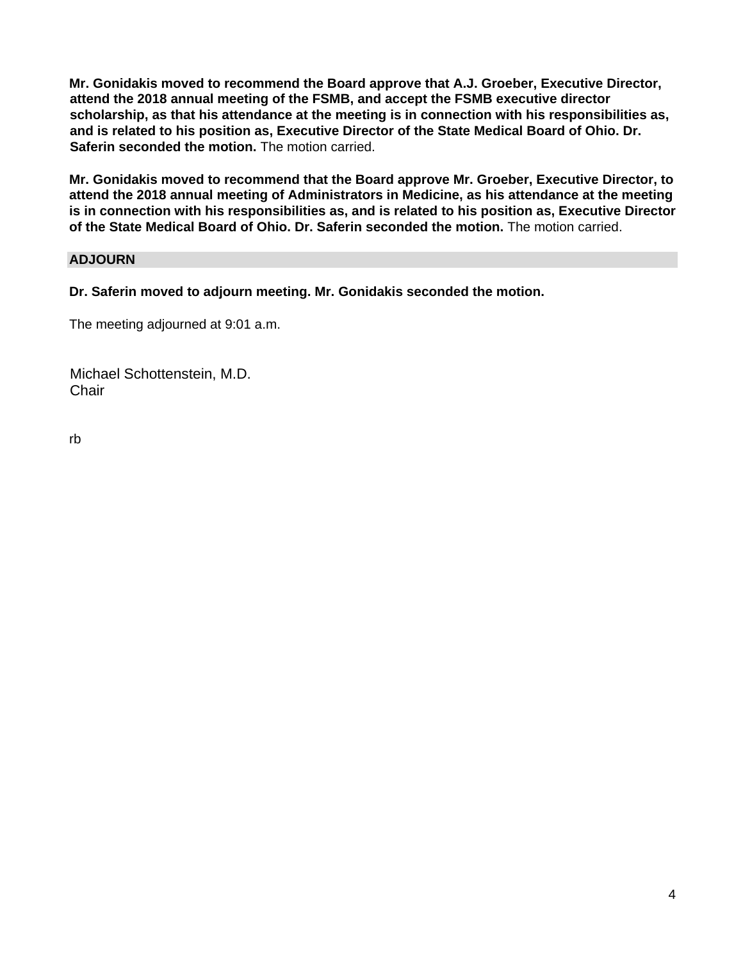**Mr. Gonidakis moved to recommend the Board approve that A.J. Groeber, Executive Director, attend the 2018 annual meeting of the FSMB, and accept the FSMB executive director scholarship, as that his attendance at the meeting is in connection with his responsibilities as, and is related to his position as, Executive Director of the State Medical Board of Ohio. Dr. Saferin seconded the motion.** The motion carried.

**Mr. Gonidakis moved to recommend that the Board approve Mr. Groeber, Executive Director, to attend the 2018 annual meeting of Administrators in Medicine, as his attendance at the meeting is in connection with his responsibilities as, and is related to his position as, Executive Director of the State Medical Board of Ohio. Dr. Saferin seconded the motion.** The motion carried.

# **ADJOURN**

**Dr. Saferin moved to adjourn meeting. Mr. Gonidakis seconded the motion.**

The meeting adjourned at 9:01 a.m.

Michael Schottenstein, M.D. **Chair** 

rb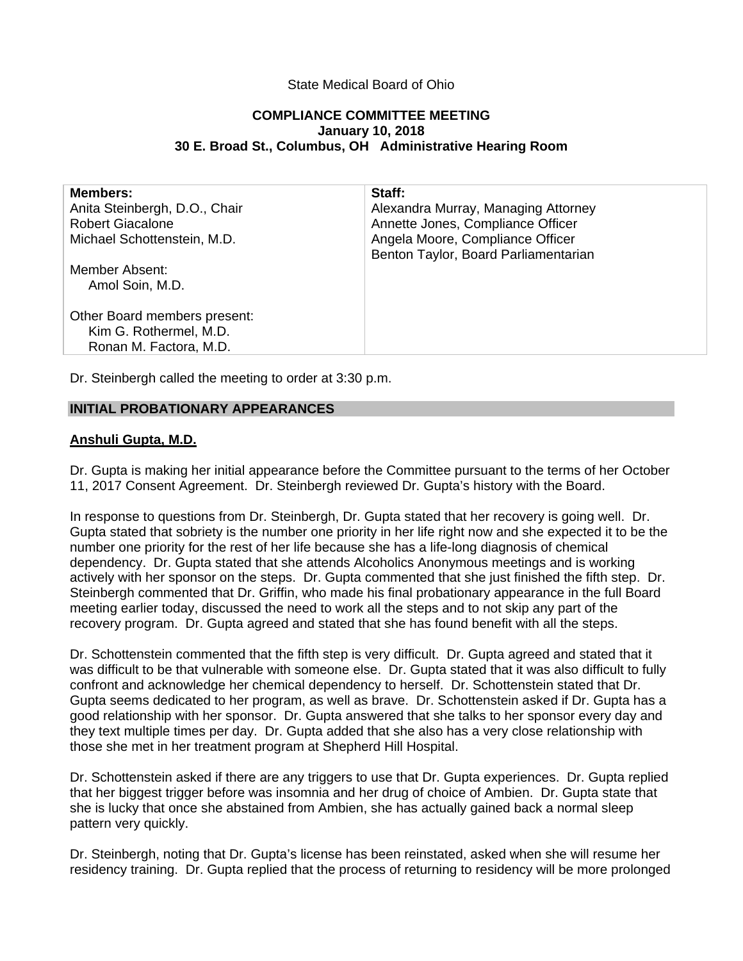# State Medical Board of Ohio

## **COMPLIANCE COMMITTEE MEETING January 10, 2018 30 E. Broad St., Columbus, OH Administrative Hearing Room**

| <b>Members:</b><br>Anita Steinbergh, D.O., Chair | Staff:<br>Alexandra Murray, Managing Attorney |
|--------------------------------------------------|-----------------------------------------------|
| <b>Robert Giacalone</b>                          | Annette Jones, Compliance Officer             |
| Michael Schottenstein, M.D.                      | Angela Moore, Compliance Officer              |
|                                                  | Benton Taylor, Board Parliamentarian          |
| Member Absent:                                   |                                               |
| Amol Soin, M.D.                                  |                                               |
| Other Board members present:                     |                                               |
| Kim G. Rothermel, M.D.                           |                                               |
| Ronan M. Factora, M.D.                           |                                               |
|                                                  |                                               |

Dr. Steinbergh called the meeting to order at 3:30 p.m.

## **INITIAL PROBATIONARY APPEARANCES**

## **Anshuli Gupta, M.D.**

Dr. Gupta is making her initial appearance before the Committee pursuant to the terms of her October 11, 2017 Consent Agreement. Dr. Steinbergh reviewed Dr. Gupta's history with the Board.

In response to questions from Dr. Steinbergh, Dr. Gupta stated that her recovery is going well. Dr. Gupta stated that sobriety is the number one priority in her life right now and she expected it to be the number one priority for the rest of her life because she has a life-long diagnosis of chemical dependency. Dr. Gupta stated that she attends Alcoholics Anonymous meetings and is working actively with her sponsor on the steps. Dr. Gupta commented that she just finished the fifth step. Dr. Steinbergh commented that Dr. Griffin, who made his final probationary appearance in the full Board meeting earlier today, discussed the need to work all the steps and to not skip any part of the recovery program. Dr. Gupta agreed and stated that she has found benefit with all the steps.

Dr. Schottenstein commented that the fifth step is very difficult. Dr. Gupta agreed and stated that it was difficult to be that vulnerable with someone else. Dr. Gupta stated that it was also difficult to fully confront and acknowledge her chemical dependency to herself. Dr. Schottenstein stated that Dr. Gupta seems dedicated to her program, as well as brave. Dr. Schottenstein asked if Dr. Gupta has a good relationship with her sponsor. Dr. Gupta answered that she talks to her sponsor every day and they text multiple times per day. Dr. Gupta added that she also has a very close relationship with those she met in her treatment program at Shepherd Hill Hospital.

Dr. Schottenstein asked if there are any triggers to use that Dr. Gupta experiences. Dr. Gupta replied that her biggest trigger before was insomnia and her drug of choice of Ambien. Dr. Gupta state that she is lucky that once she abstained from Ambien, she has actually gained back a normal sleep pattern very quickly.

Dr. Steinbergh, noting that Dr. Gupta's license has been reinstated, asked when she will resume her residency training. Dr. Gupta replied that the process of returning to residency will be more prolonged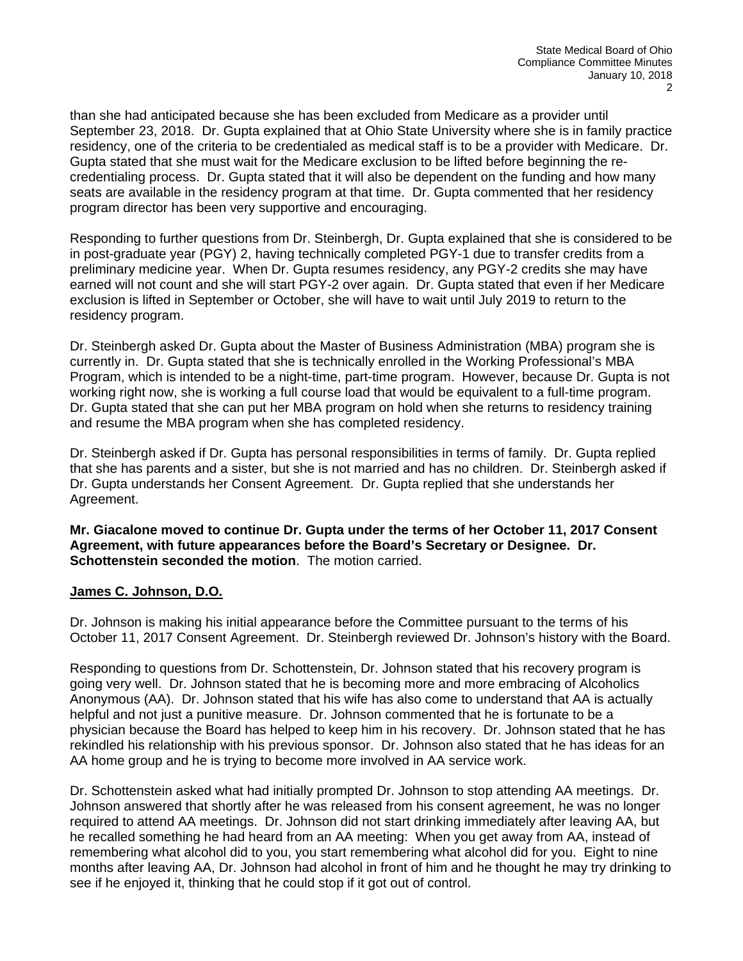than she had anticipated because she has been excluded from Medicare as a provider until September 23, 2018. Dr. Gupta explained that at Ohio State University where she is in family practice residency, one of the criteria to be credentialed as medical staff is to be a provider with Medicare. Dr. Gupta stated that she must wait for the Medicare exclusion to be lifted before beginning the recredentialing process. Dr. Gupta stated that it will also be dependent on the funding and how many seats are available in the residency program at that time. Dr. Gupta commented that her residency program director has been very supportive and encouraging.

Responding to further questions from Dr. Steinbergh, Dr. Gupta explained that she is considered to be in post-graduate year (PGY) 2, having technically completed PGY-1 due to transfer credits from a preliminary medicine year. When Dr. Gupta resumes residency, any PGY-2 credits she may have earned will not count and she will start PGY-2 over again. Dr. Gupta stated that even if her Medicare exclusion is lifted in September or October, she will have to wait until July 2019 to return to the residency program.

Dr. Steinbergh asked Dr. Gupta about the Master of Business Administration (MBA) program she is currently in. Dr. Gupta stated that she is technically enrolled in the Working Professional's MBA Program, which is intended to be a night-time, part-time program. However, because Dr. Gupta is not working right now, she is working a full course load that would be equivalent to a full-time program. Dr. Gupta stated that she can put her MBA program on hold when she returns to residency training and resume the MBA program when she has completed residency.

Dr. Steinbergh asked if Dr. Gupta has personal responsibilities in terms of family. Dr. Gupta replied that she has parents and a sister, but she is not married and has no children. Dr. Steinbergh asked if Dr. Gupta understands her Consent Agreement. Dr. Gupta replied that she understands her Agreement.

**Mr. Giacalone moved to continue Dr. Gupta under the terms of her October 11, 2017 Consent Agreement, with future appearances before the Board's Secretary or Designee. Dr. Schottenstein seconded the motion**. The motion carried.

# **James C. Johnson, D.O.**

Dr. Johnson is making his initial appearance before the Committee pursuant to the terms of his October 11, 2017 Consent Agreement. Dr. Steinbergh reviewed Dr. Johnson's history with the Board.

Responding to questions from Dr. Schottenstein, Dr. Johnson stated that his recovery program is going very well. Dr. Johnson stated that he is becoming more and more embracing of Alcoholics Anonymous (AA). Dr. Johnson stated that his wife has also come to understand that AA is actually helpful and not just a punitive measure. Dr. Johnson commented that he is fortunate to be a physician because the Board has helped to keep him in his recovery. Dr. Johnson stated that he has rekindled his relationship with his previous sponsor. Dr. Johnson also stated that he has ideas for an AA home group and he is trying to become more involved in AA service work.

Dr. Schottenstein asked what had initially prompted Dr. Johnson to stop attending AA meetings. Dr. Johnson answered that shortly after he was released from his consent agreement, he was no longer required to attend AA meetings. Dr. Johnson did not start drinking immediately after leaving AA, but he recalled something he had heard from an AA meeting: When you get away from AA, instead of remembering what alcohol did to you, you start remembering what alcohol did for you. Eight to nine months after leaving AA, Dr. Johnson had alcohol in front of him and he thought he may try drinking to see if he enjoyed it, thinking that he could stop if it got out of control.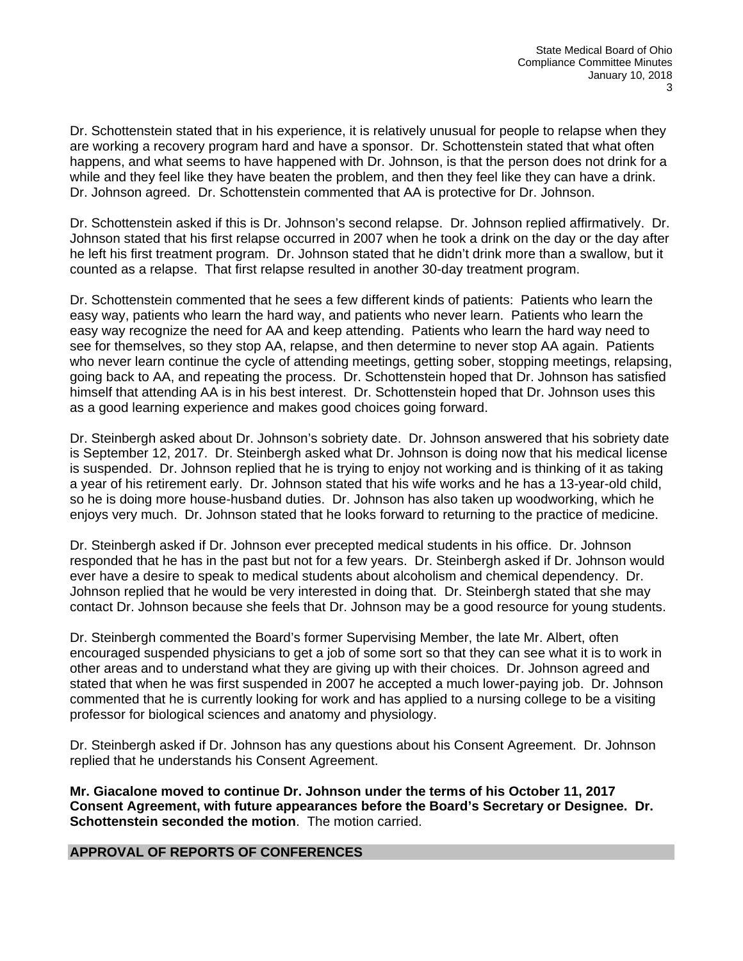Dr. Schottenstein stated that in his experience, it is relatively unusual for people to relapse when they are working a recovery program hard and have a sponsor. Dr. Schottenstein stated that what often happens, and what seems to have happened with Dr. Johnson, is that the person does not drink for a while and they feel like they have beaten the problem, and then they feel like they can have a drink. Dr. Johnson agreed. Dr. Schottenstein commented that AA is protective for Dr. Johnson.

Dr. Schottenstein asked if this is Dr. Johnson's second relapse. Dr. Johnson replied affirmatively. Dr. Johnson stated that his first relapse occurred in 2007 when he took a drink on the day or the day after he left his first treatment program. Dr. Johnson stated that he didn't drink more than a swallow, but it counted as a relapse. That first relapse resulted in another 30-day treatment program.

Dr. Schottenstein commented that he sees a few different kinds of patients: Patients who learn the easy way, patients who learn the hard way, and patients who never learn. Patients who learn the easy way recognize the need for AA and keep attending. Patients who learn the hard way need to see for themselves, so they stop AA, relapse, and then determine to never stop AA again. Patients who never learn continue the cycle of attending meetings, getting sober, stopping meetings, relapsing, going back to AA, and repeating the process. Dr. Schottenstein hoped that Dr. Johnson has satisfied himself that attending AA is in his best interest. Dr. Schottenstein hoped that Dr. Johnson uses this as a good learning experience and makes good choices going forward.

Dr. Steinbergh asked about Dr. Johnson's sobriety date. Dr. Johnson answered that his sobriety date is September 12, 2017. Dr. Steinbergh asked what Dr. Johnson is doing now that his medical license is suspended. Dr. Johnson replied that he is trying to enjoy not working and is thinking of it as taking a year of his retirement early. Dr. Johnson stated that his wife works and he has a 13-year-old child, so he is doing more house-husband duties. Dr. Johnson has also taken up woodworking, which he enjoys very much. Dr. Johnson stated that he looks forward to returning to the practice of medicine.

Dr. Steinbergh asked if Dr. Johnson ever precepted medical students in his office. Dr. Johnson responded that he has in the past but not for a few years. Dr. Steinbergh asked if Dr. Johnson would ever have a desire to speak to medical students about alcoholism and chemical dependency. Dr. Johnson replied that he would be very interested in doing that. Dr. Steinbergh stated that she may contact Dr. Johnson because she feels that Dr. Johnson may be a good resource for young students.

Dr. Steinbergh commented the Board's former Supervising Member, the late Mr. Albert, often encouraged suspended physicians to get a job of some sort so that they can see what it is to work in other areas and to understand what they are giving up with their choices. Dr. Johnson agreed and stated that when he was first suspended in 2007 he accepted a much lower-paying job. Dr. Johnson commented that he is currently looking for work and has applied to a nursing college to be a visiting professor for biological sciences and anatomy and physiology.

Dr. Steinbergh asked if Dr. Johnson has any questions about his Consent Agreement. Dr. Johnson replied that he understands his Consent Agreement.

**Mr. Giacalone moved to continue Dr. Johnson under the terms of his October 11, 2017 Consent Agreement, with future appearances before the Board's Secretary or Designee. Dr. Schottenstein seconded the motion**. The motion carried.

## **APPROVAL OF REPORTS OF CONFERENCES**